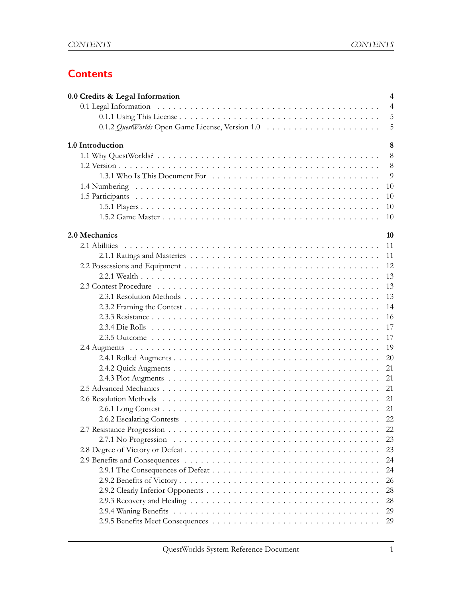# **Contents**

| 0.0 Credits & Legal Information | $\overline{4}$ |
|---------------------------------|----------------|
|                                 | $\overline{4}$ |
|                                 | 5              |
|                                 | 5              |
| 1.0 Introduction                | 8              |
|                                 | 8              |
|                                 | 8              |
|                                 | 9              |
|                                 | 10             |
|                                 | 10             |
|                                 | 10             |
|                                 | 10             |
| 2.0 Mechanics                   | 10             |
|                                 | 11             |
|                                 | 11             |
|                                 | 12             |
|                                 | 13             |
|                                 | 13             |
|                                 | 13             |
|                                 | 14             |
|                                 | 16             |
|                                 | 17             |
|                                 | 17             |
|                                 | 19             |
|                                 | 20             |
|                                 | 21             |
|                                 | 21             |
|                                 | 21             |
|                                 | 21             |
|                                 | 21             |
|                                 | 22             |
|                                 | 22             |
|                                 | 23             |
|                                 | 23             |
|                                 | 24             |
|                                 | 24             |
|                                 | 26             |
|                                 | 28             |
|                                 | 28             |
|                                 | 29             |
|                                 | 29             |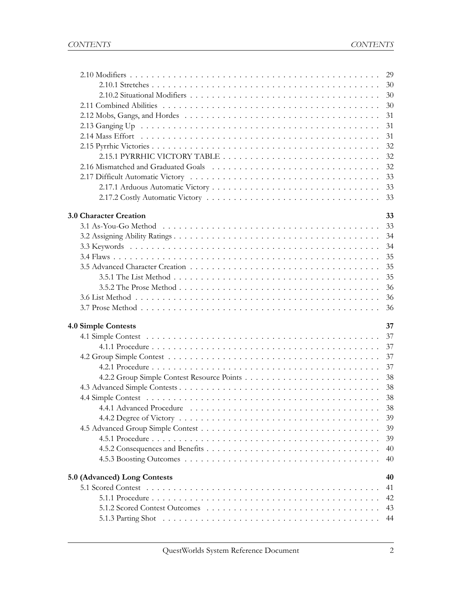|                              | -29      |
|------------------------------|----------|
|                              |          |
|                              | 30       |
|                              | 30       |
|                              | 31       |
|                              | 31       |
|                              | 31       |
|                              | 32       |
|                              | 32       |
|                              | 32       |
|                              | 33       |
|                              | 33       |
|                              | 33       |
|                              |          |
| 3.0 Character Creation       | 33       |
|                              | 33       |
|                              | 34       |
|                              | 34       |
|                              | 35       |
|                              | 35       |
|                              | 35       |
|                              | 36       |
|                              | 36       |
|                              | 36       |
|                              |          |
| 4.0 Simple Contests          | 37<br>37 |
|                              |          |
|                              | 37       |
|                              | 37       |
|                              | 37       |
|                              | 38       |
|                              | 38       |
|                              |          |
|                              |          |
|                              | 39       |
|                              | 39       |
|                              | 39       |
|                              | 40       |
|                              | 40       |
|                              | 40       |
| 5.0 (Advanced) Long Contests | 41       |
|                              | 42       |
|                              | 43       |
|                              | 44       |
|                              |          |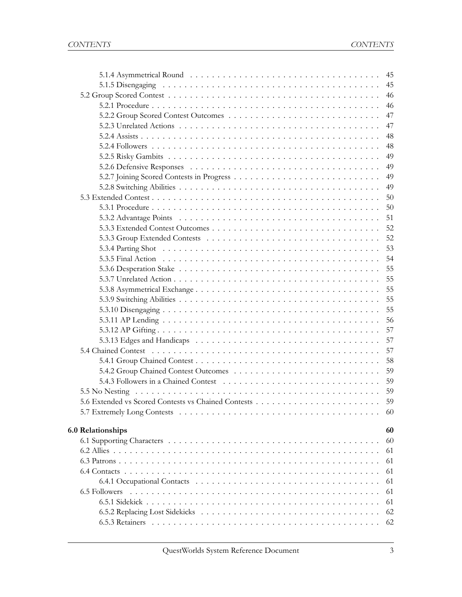|                          | 45 |
|--------------------------|----|
|                          | 45 |
|                          | 46 |
|                          | 46 |
|                          | 47 |
|                          | 47 |
|                          | 48 |
|                          | 48 |
|                          | 49 |
|                          | 49 |
|                          | 49 |
|                          | 49 |
|                          | 50 |
|                          | 50 |
|                          | 51 |
|                          | 52 |
|                          | 52 |
|                          | 53 |
|                          | 54 |
|                          | 55 |
|                          |    |
|                          | 55 |
|                          | 55 |
|                          | 55 |
|                          | 56 |
|                          | 57 |
|                          | 57 |
|                          | 57 |
|                          | 58 |
|                          | 59 |
|                          | 59 |
|                          | 59 |
|                          | 59 |
|                          | 60 |
|                          |    |
| <b>6.0 Relationships</b> | 60 |
|                          | 60 |
|                          | 61 |
|                          | 61 |
|                          | 61 |
|                          | 61 |
|                          | 61 |
|                          | 61 |
|                          | 62 |
|                          | 62 |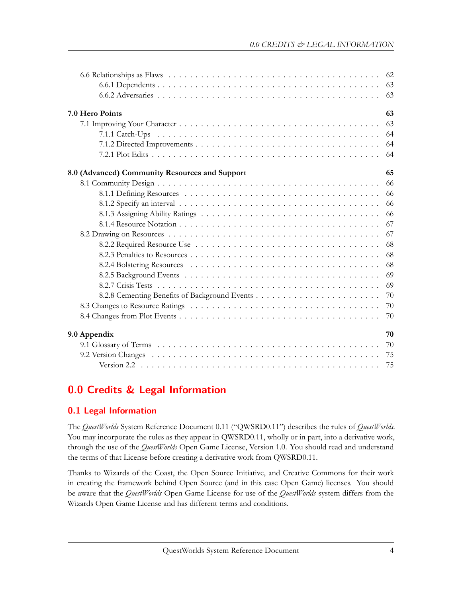|                                                | 63 |
|------------------------------------------------|----|
|                                                | 63 |
| 7.0 Hero Points                                | 63 |
|                                                | 63 |
|                                                | 64 |
|                                                | 64 |
|                                                | 64 |
| 8.0 (Advanced) Community Resources and Support | 65 |
|                                                | 66 |
|                                                | 66 |
|                                                | 66 |
|                                                | 66 |
|                                                | 67 |
|                                                | 67 |
|                                                | 68 |
|                                                | 68 |
|                                                | 68 |
|                                                | 69 |
|                                                | 69 |
|                                                | 70 |
|                                                | 70 |
|                                                | 70 |
| 9.0 Appendix                                   | 70 |
|                                                | 70 |
|                                                | 75 |
|                                                | 75 |

# <span id="page-3-0"></span>**0.0 Credits & Legal Information**

# <span id="page-3-1"></span>**0.1 Legal Information**

The *QuestWorlds* System Reference Document 0.11 ("QWSRD0.11") describes the rules of *QuestWorlds*. You may incorporate the rules as they appear in QWSRD0.11, wholly or in part, into a derivative work, through the use of the *QuestWorlds* Open Game License, Version 1.0. You should read and understand the terms of that License before creating a derivative work from QWSRD0.11.

<span id="page-3-2"></span>Thanks to Wizards of the Coast, the Open Source Initiative, and Creative Commons for their work in creating the framework behind Open Source (and in this case Open Game) licenses. You should be aware that the *QuestWorlds* Open Game License for use of the *QuestWorlds* system differs from the Wizards Open Game License and has different terms and conditions.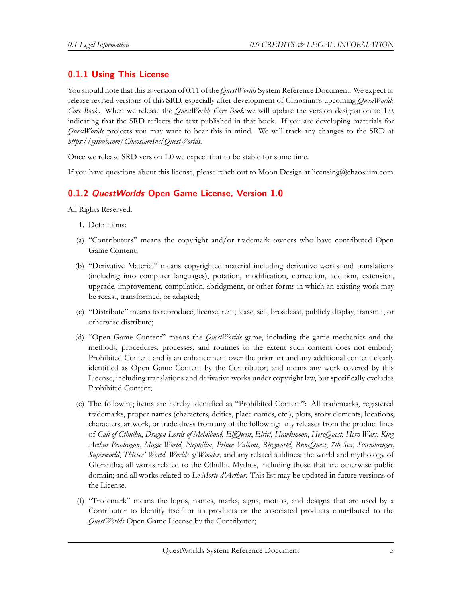# **0.1.1 Using This License**

You should note that this is version of 0.11 of the*QuestWorlds* System Reference Document. We expect to release revised versions of this SRD, especially after development of Chaosium's upcoming *QuestWorlds Core Book*. When we release the *QuestWorlds Core Book* we will update the version designation to 1.0, indicating that the SRD reflects the text published in that book. If you are developing materials for *QuestWorlds* projects you may want to bear this in mind. We will track any changes to the SRD at *https://github.com/ChaosiumInc/QuestWorlds*.

Once we release SRD version 1.0 we expect that to be stable for some time.

If you have questions about this license, please reach out to Moon Design at licensing@chaosium.com.

#### <span id="page-4-0"></span>**0.1.2** *QuestWorlds* **Open Game License, Version 1.0**

All Rights Reserved.

- 1. Definitions:
- (a) "Contributors" means the copyright and/or trademark owners who have contributed Open Game Content;
- (b) "Derivative Material" means copyrighted material including derivative works and translations (including into computer languages), potation, modification, correction, addition, extension, upgrade, improvement, compilation, abridgment, or other forms in which an existing work may be recast, transformed, or adapted;
- (c) "Distribute" means to reproduce, license, rent, lease, sell, broadcast, publicly display, transmit, or otherwise distribute;
- (d) "Open Game Content" means the *QuestWorlds* game, including the game mechanics and the methods, procedures, processes, and routines to the extent such content does not embody Prohibited Content and is an enhancement over the prior art and any additional content clearly identified as Open Game Content by the Contributor, and means any work covered by this License, including translations and derivative works under copyright law, but specifically excludes Prohibited Content;
- (e) The following items are hereby identified as "Prohibited Content": All trademarks, registered trademarks, proper names (characters, deities, place names, etc.), plots, story elements, locations, characters, artwork, or trade dress from any of the following: any releases from the product lines of *Call of Cthulhu*, *Dragon Lords of Melniboné*, *ElfQuest*, *Elric!*, *Hawkmoon*, *HeroQuest*, *Hero Wars*, *King Arthur Pendragon*, *Magic World*, *Nephilim*, *Prince Valiant*, *Ringworld*, *RuneQuest*, *7th Sea*, *Stormbringer*, *Superworld*, *Thieves' World*, *Worlds of Wonder*, and any related sublines; the world and mythology of Glorantha; all works related to the Cthulhu Mythos, including those that are otherwise public domain; and all works related to *Le Morte d'Arthur*. This list may be updated in future versions of the License.
- (f) "Trademark" means the logos, names, marks, signs, mottos, and designs that are used by a Contributor to identify itself or its products or the associated products contributed to the *QuestWorlds* Open Game License by the Contributor;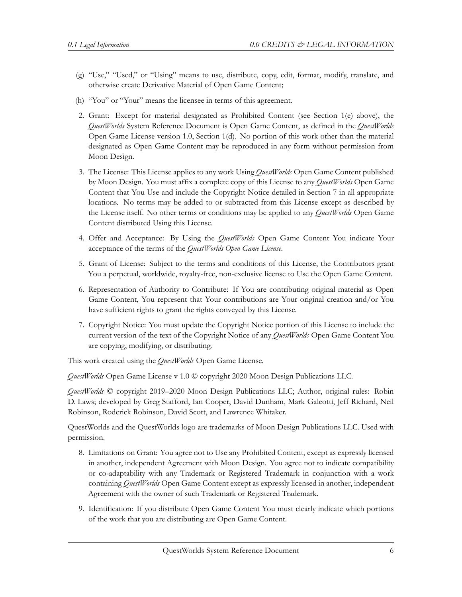- (g) "Use," "Used," or "Using" means to use, distribute, copy, edit, format, modify, translate, and otherwise create Derivative Material of Open Game Content;
- (h) "You" or "Your" means the licensee in terms of this agreement.
- 2. Grant: Except for material designated as Prohibited Content (see Section 1(e) above), the *QuestWorlds* System Reference Document is Open Game Content, as defined in the *QuestWorlds* Open Game License version 1.0, Section 1(d). No portion of this work other than the material designated as Open Game Content may be reproduced in any form without permission from Moon Design.
- 3. The License: This License applies to any work Using *QuestWorlds* Open Game Content published by Moon Design. You must affix a complete copy of this License to any *QuestWorlds* Open Game Content that You Use and include the Copyright Notice detailed in Section 7 in all appropriate locations. No terms may be added to or subtracted from this License except as described by the License itself. No other terms or conditions may be applied to any *QuestWorlds* Open Game Content distributed Using this License.
- 4. Offer and Acceptance: By Using the *QuestWorlds* Open Game Content You indicate Your acceptance of the terms of the *QuestWorlds Open Game License*.
- 5. Grant of License: Subject to the terms and conditions of this License, the Contributors grant You a perpetual, worldwide, royalty-free, non-exclusive license to Use the Open Game Content.
- 6. Representation of Authority to Contribute: If You are contributing original material as Open Game Content, You represent that Your contributions are Your original creation and/or You have sufficient rights to grant the rights conveyed by this License.
- 7. Copyright Notice: You must update the Copyright Notice portion of this License to include the current version of the text of the Copyright Notice of any *QuestWorlds* Open Game Content You are copying, modifying, or distributing.

This work created using the *QuestWorlds* Open Game License.

*QuestWorlds* Open Game License v 1.0 © copyright 2020 Moon Design Publications LLC.

*QuestWorlds* © copyright 2019–2020 Moon Design Publications LLC; Author, original rules: Robin D. Laws; developed by Greg Stafford, Ian Cooper, David Dunham, Mark Galeotti, Jeff Richard, Neil Robinson, Roderick Robinson, David Scott, and Lawrence Whitaker.

QuestWorlds and the QuestWorlds logo are trademarks of Moon Design Publications LLC. Used with permission.

- 8. Limitations on Grant: You agree not to Use any Prohibited Content, except as expressly licensed in another, independent Agreement with Moon Design. You agree not to indicate compatibility or co-adaptability with any Trademark or Registered Trademark in conjunction with a work containing *QuestWorlds* Open Game Content except as expressly licensed in another, independent Agreement with the owner of such Trademark or Registered Trademark.
- 9. Identification: If you distribute Open Game Content You must clearly indicate which portions of the work that you are distributing are Open Game Content.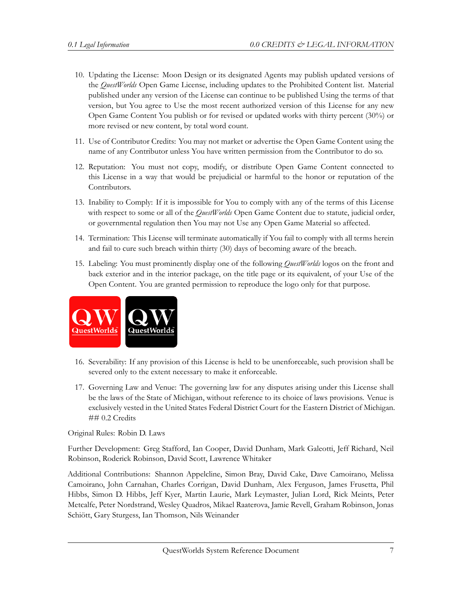- 10. Updating the License: Moon Design or its designated Agents may publish updated versions of the *QuestWorlds* Open Game License, including updates to the Prohibited Content list. Material published under any version of the License can continue to be published Using the terms of that version, but You agree to Use the most recent authorized version of this License for any new Open Game Content You publish or for revised or updated works with thirty percent (30%) or more revised or new content, by total word count.
- 11. Use of Contributor Credits: You may not market or advertise the Open Game Content using the name of any Contributor unless You have written permission from the Contributor to do so.
- 12. Reputation: You must not copy, modify, or distribute Open Game Content connected to this License in a way that would be prejudicial or harmful to the honor or reputation of the Contributors.
- 13. Inability to Comply: If it is impossible for You to comply with any of the terms of this License with respect to some or all of the *QuestWorlds* Open Game Content due to statute, judicial order, or governmental regulation then You may not Use any Open Game Material so affected.
- 14. Termination: This License will terminate automatically if You fail to comply with all terms herein and fail to cure such breach within thirty (30) days of becoming aware of the breach.
- 15. Labeling: You must prominently display one of the following *QuestWorlds* logos on the front and back exterior and in the interior package, on the title page or its equivalent, of your Use of the Open Content. You are granted permission to reproduce the logo only for that purpose.



- 16. Severability: If any provision of this License is held to be unenforceable, such provision shall be severed only to the extent necessary to make it enforceable.
- 17. Governing Law and Venue: The governing law for any disputes arising under this License shall be the laws of the State of Michigan, without reference to its choice of laws provisions. Venue is exclusively vested in the United States Federal District Court for the Eastern District of Michigan. ## 0.2 Credits

Original Rules: Robin D. Laws

Further Development: Greg Stafford, Ian Cooper, David Dunham, Mark Galeotti, Jeff Richard, Neil Robinson, Roderick Robinson, David Scott, Lawrence Whitaker

Additional Contributions: Shannon Appelcline, Simon Bray, David Cake, Dave Camoirano, Melissa Camoirano, John Carnahan, Charles Corrigan, David Dunham, Alex Ferguson, James Frusetta, Phil Hibbs, Simon D. Hibbs, Jeff Kyer, Martin Laurie, Mark Leymaster, Julian Lord, Rick Meints, Peter Metcalfe, Peter Nordstrand, Wesley Quadros, Mikael Raaterova, Jamie Revell, Graham Robinson, Jonas Schiött, Gary Sturgess, Ian Thomson, Nils Weinander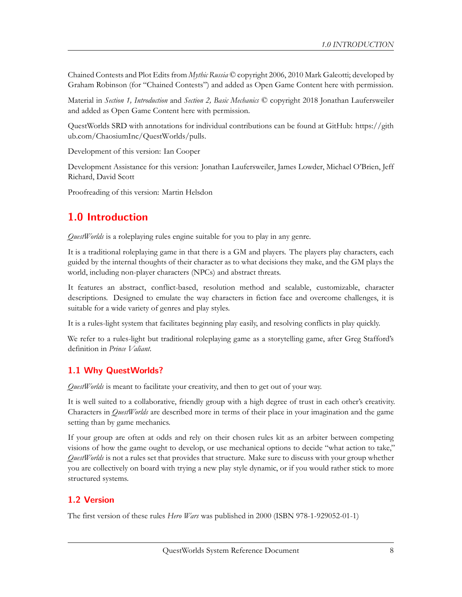Chained Contests and Plot Edits from *Mythic Russia* © copyright 2006, 2010 Mark Galeotti; developed by Graham Robinson (for "Chained Contests") and added as Open Game Content here with permission.

Material in *Section 1, Introduction* and *Section 2, Basic Mechanics* © copyright 2018 Jonathan Laufersweiler and added as Open Game Content here with permission.

QuestWorlds SRD with annotations for individual contributions can be found at GitHub: [https://gith](https://github.com/ChaosiumInc/QuestWorlds/pulls) [ub.com/ChaosiumInc/QuestWorlds/pulls](https://github.com/ChaosiumInc/QuestWorlds/pulls).

Development of this version: Ian Cooper

Development Assistance for this version: Jonathan Laufersweiler, James Lowder, Michael O'Brien, Jeff Richard, David Scott

Proofreading of this version: Martin Helsdon

# <span id="page-7-0"></span>**1.0 Introduction**

*QuestWorlds* is a roleplaying rules engine suitable for you to play in any genre.

It is a traditional roleplaying game in that there is a GM and players. The players play characters, each guided by the internal thoughts of their character as to what decisions they make, and the GM plays the world, including non-player characters (NPCs) and abstract threats.

It features an abstract, conflict-based, resolution method and scalable, customizable, character descriptions. Designed to emulate the way characters in fiction face and overcome challenges, it is suitable for a wide variety of genres and play styles.

It is a rules-light system that facilitates beginning play easily, and resolving conflicts in play quickly.

We refer to a rules-light but traditional roleplaying game as a storytelling game, after Greg Stafford's definition in *Prince Valiant*.

# <span id="page-7-1"></span>**1.1 Why QuestWorlds?**

*QuestWorlds* is meant to facilitate your creativity, and then to get out of your way.

It is well suited to a collaborative, friendly group with a high degree of trust in each other's creativity. Characters in *QuestWorlds* are described more in terms of their place in your imagination and the game setting than by game mechanics.

If your group are often at odds and rely on their chosen rules kit as an arbiter between competing visions of how the game ought to develop, or use mechanical options to decide "what action to take," *QuestWorlds* is not a rules set that provides that structure. Make sure to discuss with your group whether you are collectively on board with trying a new play style dynamic, or if you would rather stick to more structured systems.

# <span id="page-7-2"></span>**1.2 Version**

The first version of these rules *Hero Wars* was published in 2000 (ISBN 978-1-929052-01-1)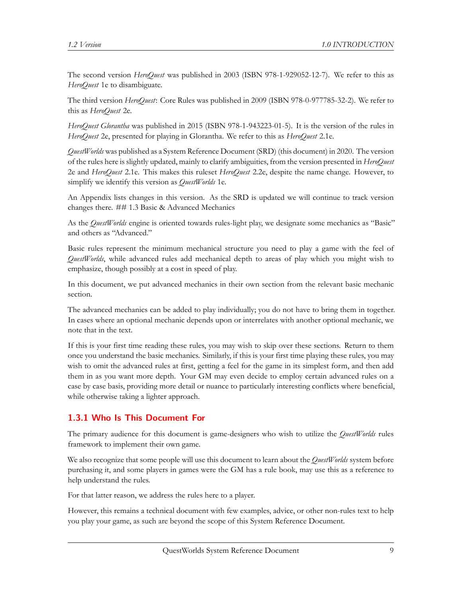The second version *HeroQuest* was published in 2003 (ISBN 978-1-929052-12-7). We refer to this as *HeroQuest* 1e to disambiguate.

The third version *HeroQuest*: Core Rules was published in 2009 (ISBN 978-0-977785-32-2). We refer to this as *HeroQuest* 2e.

*HeroQuest Glorantha* was published in 2015 (ISBN 978-1-943223-01-5). It is the version of the rules in *HeroQuest* 2e, presented for playing in Glorantha. We refer to this as *HeroQuest* 2.1e.

*QuestWorlds* was published as a System Reference Document (SRD) (this document) in 2020. The version of the rules here is slightly updated, mainly to clarify ambiguities, from the version presented in *HeroQuest* 2e and *HeroQuest* 2.1e. This makes this ruleset *HeroQuest* 2.2e, despite the name change. However, to simplify we identify this version as *QuestWorlds* 1e.

An Appendix lists changes in this version. As the SRD is updated we will continue to track version changes there. ## 1.3 Basic & Advanced Mechanics

As the *QuestWorlds* engine is oriented towards rules-light play, we designate some mechanics as "Basic" and others as "Advanced."

Basic rules represent the minimum mechanical structure you need to play a game with the feel of *QuestWorlds*, while advanced rules add mechanical depth to areas of play which you might wish to emphasize, though possibly at a cost in speed of play.

In this document, we put advanced mechanics in their own section from the relevant basic mechanic section.

The advanced mechanics can be added to play individually; you do not have to bring them in together. In cases where an optional mechanic depends upon or interrelates with another optional mechanic, we note that in the text.

If this is your first time reading these rules, you may wish to skip over these sections. Return to them once you understand the basic mechanics. Similarly, if this is your first time playing these rules, you may wish to omit the advanced rules at first, getting a feel for the game in its simplest form, and then add them in as you want more depth. Your GM may even decide to employ certain advanced rules on a case by case basis, providing more detail or nuance to particularly interesting conflicts where beneficial, while otherwise taking a lighter approach.

# <span id="page-8-0"></span>**1.3.1 Who Is This Document For**

The primary audience for this document is game-designers who wish to utilize the *QuestWorlds* rules framework to implement their own game.

We also recognize that some people will use this document to learn about the *QuestWorlds* system before purchasing it, and some players in games were the GM has a rule book, may use this as a reference to help understand the rules.

For that latter reason, we address the rules here to a player.

However, this remains a technical document with few examples, advice, or other non-rules text to help you play your game, as such are beyond the scope of this System Reference Document.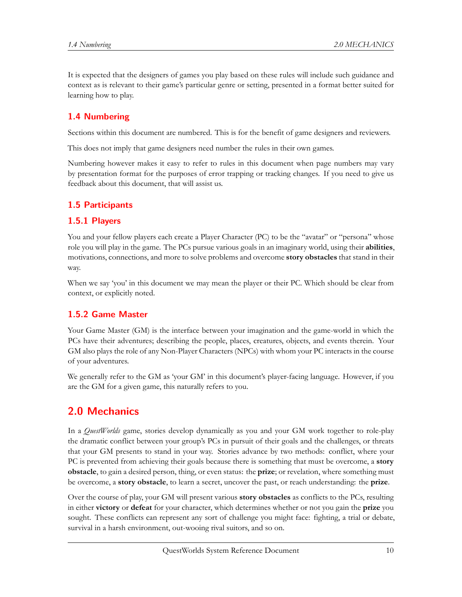It is expected that the designers of games you play based on these rules will include such guidance and context as is relevant to their game's particular genre or setting, presented in a format better suited for learning how to play.

# <span id="page-9-0"></span>**1.4 Numbering**

Sections within this document are numbered. This is for the benefit of game designers and reviewers.

This does not imply that game designers need number the rules in their own games.

Numbering however makes it easy to refer to rules in this document when page numbers may vary by presentation format for the purposes of error trapping or tracking changes. If you need to give us feedback about this document, that will assist us.

# <span id="page-9-1"></span>**1.5 Participants**

#### <span id="page-9-2"></span>**1.5.1 Players**

You and your fellow players each create a Player Character (PC) to be the "avatar" or "persona" whose role you will play in the game. The PCs pursue various goals in an imaginary world, using their **abilities**, motivations, connections, and more to solve problems and overcome **story obstacles** that stand in their way.

When we say 'you' in this document we may mean the player or their PC. Which should be clear from context, or explicitly noted.

## <span id="page-9-3"></span>**1.5.2 Game Master**

Your Game Master (GM) is the interface between your imagination and the game-world in which the PCs have their adventures; describing the people, places, creatures, objects, and events therein. Your GM also plays the role of any Non-Player Characters (NPCs) with whom your PC interacts in the course of your adventures.

We generally refer to the GM as 'your GM' in this document's player-facing language. However, if you are the GM for a given game, this naturally refers to you.

# <span id="page-9-4"></span>**2.0 Mechanics**

In a *QuestWorlds* game, stories develop dynamically as you and your GM work together to role-play the dramatic conflict between your group's PCs in pursuit of their goals and the challenges, or threats that your GM presents to stand in your way. Stories advance by two methods: conflict, where your PC is prevented from achieving their goals because there is something that must be overcome, a **story obstacle**, to gain a desired person, thing, or even status: the **prize**; or revelation, where something must be overcome, a **story obstacle**, to learn a secret, uncover the past, or reach understanding: the **prize**.

Over the course of play, your GM will present various **story obstacles** as conflicts to the PCs, resulting in either **victory** or **defeat** for your character, which determines whether or not you gain the **prize** you sought. These conflicts can represent any sort of challenge you might face: fighting, a trial or debate, survival in a harsh environment, out-wooing rival suitors, and so on.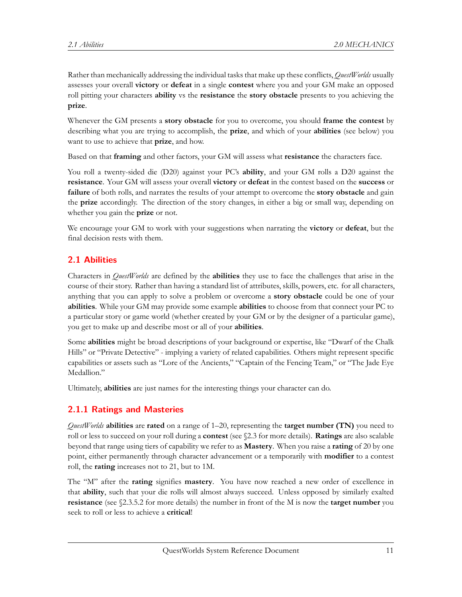Rather than mechanically addressing the individual tasks that make up these conflicts, *QuestWorlds* usually assesses your overall **victory** or **defeat** in a single **contest** where you and your GM make an opposed roll pitting your characters **ability** vs the **resistance** the **story obstacle** presents to you achieving the **prize**.

Whenever the GM presents a **story obstacle** for you to overcome, you should **frame the contest** by describing what you are trying to accomplish, the **prize**, and which of your **abilities** (see below) you want to use to achieve that **prize**, and how.

Based on that **framing** and other factors, your GM will assess what **resistance** the characters face.

You roll a twenty-sided die (D20) against your PC's **ability**, and your GM rolls a D20 against the **resistance**. Your GM will assess your overall **victory** or **defeat** in the contest based on the **success** or **failure** of both rolls, and narrates the results of your attempt to overcome the **story obstacle** and gain the **prize** accordingly. The direction of the story changes, in either a big or small way, depending on whether you gain the **prize** or not.

We encourage your GM to work with your suggestions when narrating the **victory** or **defeat**, but the final decision rests with them.

## <span id="page-10-0"></span>**2.1 Abilities**

Characters in *QuestWorlds* are defined by the **abilities** they use to face the challenges that arise in the course of their story. Rather than having a standard list of attributes, skills, powers, etc. for all characters, anything that you can apply to solve a problem or overcome a **story obstacle** could be one of your **abilities**. While your GM may provide some example **abilities** to choose from that connect your PC to a particular story or game world (whether created by your GM or by the designer of a particular game), you get to make up and describe most or all of your **abilities**.

Some **abilities** might be broad descriptions of your background or expertise, like "Dwarf of the Chalk Hills" or "Private Detective" - implying a variety of related capabilities. Others might represent specific capabilities or assets such as "Lore of the Ancients," "Captain of the Fencing Team," or "The Jade Eye Medallion."

Ultimately, **abilities** are just names for the interesting things your character can do.

# <span id="page-10-1"></span>**2.1.1 Ratings and Masteries**

*QuestWorlds* **abilities** are **rated** on a range of 1–20, representing the **target number (TN)** you need to roll or less to succeed on your roll during a **contest** (see §2.3 for more details). **Ratings** are also scalable beyond that range using tiers of capability we refer to as **Mastery**. When you raise a **rating** of 20 by one point, either permanently through character advancement or a temporarily with **modifier** to a contest roll, the **rating** increases not to 21, but to 1M.

The "M" after the **rating** signifies **mastery**. You have now reached a new order of excellence in that **ability**, such that your die rolls will almost always succeed. Unless opposed by similarly exalted **resistance** (see §2.3.5.2 for more details) the number in front of the M is now the **target number** you seek to roll or less to achieve a **critical**!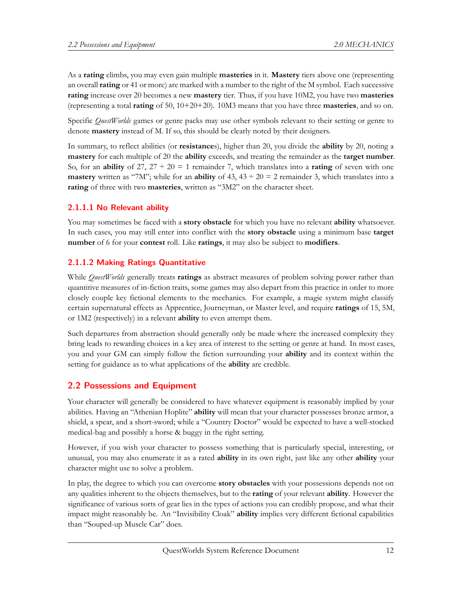As a **rating** climbs, you may even gain multiple **masteries** in it. **Mastery** tiers above one (representing an overall **rating** or 41 or more) are marked with a number to the right of the M symbol. Each successive **rating** increase over 20 becomes a new **mastery** tier. Thus, if you have 10M2, you have two **masteries** (representing a total **rating** of 50, 10+20+20). 10M3 means that you have three **masteries**, and so on.

Specific *QuestWorlds* games or genre packs may use other symbols relevant to their setting or genre to denote **mastery** instead of M. If so, this should be clearly noted by their designers.

In summary, to reflect abilities (or **resistance**s), higher than 20, you divide the **ability** by 20, noting a **mastery** for each multiple of 20 the **ability** exceeds, and treating the remainder as the **target number**. So, for an **ability** of 27,  $27 \div 20 = 1$  remainder 7, which translates into a **rating** of seven with one **mastery** written as "7M"; while for an **ability** of  $43$ ,  $43 \div 20 = 2$  remainder 3, which translates into a **rating** of three with two **masteries**, written as "3M2" on the character sheet.

#### **2.1.1.1 No Relevant ability**

You may sometimes be faced with a **story obstacle** for which you have no relevant **ability** whatsoever. In such cases, you may still enter into conflict with the **story obstacle** using a minimum base **target number** of 6 for your **contest** roll. Like **ratings**, it may also be subject to **modifiers**.

#### **2.1.1.2 Making Ratings Quantitative**

While *QuestWorlds* generally treats **ratings** as abstract measures of problem solving power rather than quantitive measures of in-fiction traits, some games may also depart from this practice in order to more closely couple key fictional elements to the mechanics. For example, a magic system might classify certain supernatural effects as Apprentice, Journeyman, or Master level, and require **ratings** of 15, 5M, or 1M2 (respectively) in a relevant **ability** to even attempt them.

Such departures from abstraction should generally only be made where the increased complexity they bring leads to rewarding choices in a key area of interest to the setting or genre at hand. In most cases, you and your GM can simply follow the fiction surrounding your **ability** and its context within the setting for guidance as to what applications of the **ability** are credible.

## <span id="page-11-0"></span>**2.2 Possessions and Equipment**

Your character will generally be considered to have whatever equipment is reasonably implied by your abilities. Having an "Athenian Hoplite" **ability** will mean that your character possesses bronze armor, a shield, a spear, and a short-sword; while a "Country Doctor" would be expected to have a well-stocked medical-bag and possibly a horse & buggy in the right setting.

However, if you wish your character to possess something that is particularly special, interesting, or unusual, you may also enumerate it as a rated **ability** in its own right, just like any other **ability** your character might use to solve a problem.

In play, the degree to which you can overcome **story obstacles** with your possessions depends not on any qualities inherent to the objects themselves, but to the **rating** of your relevant **ability**. However the significance of various sorts of gear lies in the types of actions you can credibly propose, and what their impact might reasonably be. An "Invisibility Cloak" **ability** implies very different fictional capabilities than "Souped-up Muscle Car" does.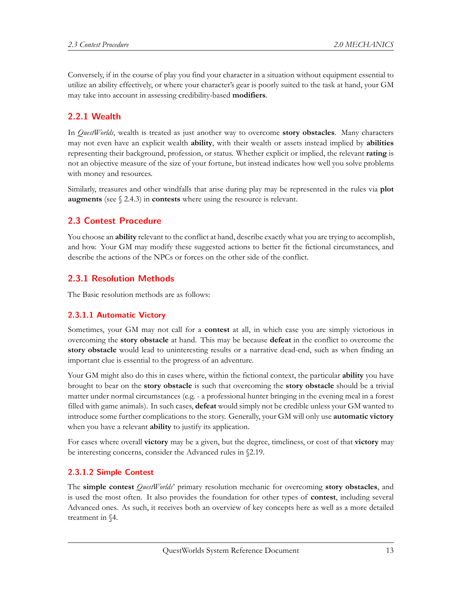Conversely, if in the course of play you find your character in a situation without equipment essential to utilize an ability effectively, or where your character's gear is poorly suited to the task at hand, your GM may take into account in assessing credibility-based **modifiers**.

### <span id="page-12-0"></span>**2.2.1 Wealth**

In *QuestWorlds*, wealth is treated as just another way to overcome **story obstacles**. Many characters may not even have an explicit wealth **ability**, with their wealth or assets instead implied by **abilities** representing their background, profession, or status. Whether explicit or implied, the relevant **rating** is not an objective measure of the size of your fortune, but instead indicates how well you solve problems with money and resources.

Similarly, treasures and other windfalls that arise during play may be represented in the rules via **plot augments** (see § 2.4.3) in **contests** where using the resource is relevant.

#### <span id="page-12-1"></span>**2.3 Contest Procedure**

You choose an **ability** relevant to the conflict at hand, describe exactly what you are trying to accomplish, and how. Your GM may modify these suggested actions to better fit the fictional circumstances, and describe the actions of the NPCs or forces on the other side of the conflict.

#### <span id="page-12-2"></span>**2.3.1 Resolution Methods**

The Basic resolution methods are as follows:

#### **2.3.1.1 Automatic Victory**

Sometimes, your GM may not call for a **contest** at all, in which case you are simply victorious in overcoming the **story obstacle** at hand. This may be because **defeat** in the conflict to overcome the **story obstacle** would lead to uninteresting results or a narrative dead-end, such as when finding an important clue is essential to the progress of an adventure.

Your GM might also do this in cases where, within the fictional context, the particular **ability** you have brought to bear on the **story obstacle** is such that overcoming the **story obstacle** should be a trivial matter under normal circumstances (e.g. - a professional hunter bringing in the evening meal in a forest filled with game animals). In such cases, **defeat** would simply not be credible unless your GM wanted to introduce some further complications to the story. Generally, your GM will only use **automatic victory** when you have a relevant **ability** to justify its application.

For cases where overall **victory** may be a given, but the degree, timeliness, or cost of that **victory** may be interesting concerns, consider the Advanced rules in §2.19.

#### **2.3.1.2 Simple Contest**

The **simple contest** *QuestWorlds*' primary resolution mechanic for overcoming **story obstacles**, and is used the most often. It also provides the foundation for other types of **contest**, including several Advanced ones. As such, it receives both an overview of key concepts here as well as a more detailed treatment in §4.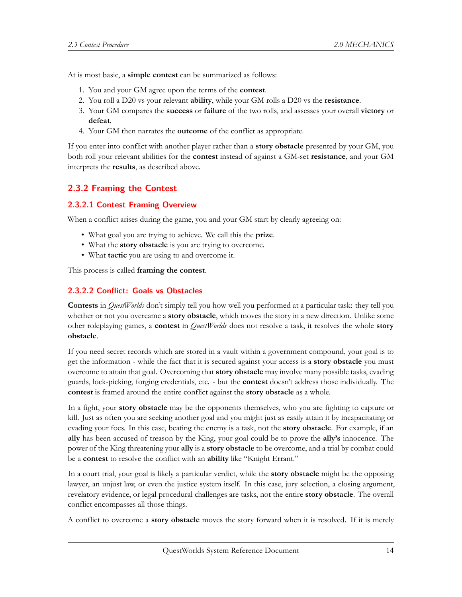At is most basic, a **simple contest** can be summarized as follows:

- 1. You and your GM agree upon the terms of the **contest**.
- 2. You roll a D20 vs your relevant **ability**, while your GM rolls a D20 vs the **resistance**.
- 3. Your GM compares the **success** or **failure** of the two rolls, and assesses your overall **victory** or **defeat**.
- 4. Your GM then narrates the **outcome** of the conflict as appropriate.

If you enter into conflict with another player rather than a **story obstacle** presented by your GM, you both roll your relevant abilities for the **contest** instead of against a GM-set **resistance**, and your GM interprets the **results**, as described above.

#### <span id="page-13-0"></span>**2.3.2 Framing the Contest**

#### **2.3.2.1 Contest Framing Overview**

When a conflict arises during the game, you and your GM start by clearly agreeing on:

- What goal you are trying to achieve. We call this the **prize**.
- What the **story obstacle** is you are trying to overcome.
- What **tactic** you are using to and overcome it.

This process is called **framing the contest**.

#### **2.3.2.2 Conflict: Goals vs Obstacles**

**Contests** in *QuestWorlds* don't simply tell you how well you performed at a particular task: they tell you whether or not you overcame a **story obstacle**, which moves the story in a new direction. Unlike some other roleplaying games, a **contest** in *QuestWorlds* does not resolve a task, it resolves the whole **story obstacle**.

If you need secret records which are stored in a vault within a government compound, your goal is to get the information - while the fact that it is secured against your access is a **story obstacle** you must overcome to attain that goal. Overcoming that **story obstacle** may involve many possible tasks, evading guards, lock-picking, forging credentials, etc. - but the **contest** doesn't address those individually. The **contest** is framed around the entire conflict against the **story obstacle** as a whole.

In a fight, your **story obstacle** may be the opponents themselves, who you are fighting to capture or kill. Just as often you are seeking another goal and you might just as easily attain it by incapacitating or evading your foes. In this case, beating the enemy is a task, not the **story obstacle**. For example, if an **ally** has been accused of treason by the King, your goal could be to prove the **ally's** innocence. The power of the King threatening your **ally** is a **story obstacle** to be overcome, and a trial by combat could be a **contest** to resolve the conflict with an **ability** like "Knight Errant."

In a court trial, your goal is likely a particular verdict, while the **story obstacle** might be the opposing lawyer, an unjust law, or even the justice system itself. In this case, jury selection, a closing argument, revelatory evidence, or legal procedural challenges are tasks, not the entire **story obstacle**. The overall conflict encompasses all those things.

A conflict to overcome a **story obstacle** moves the story forward when it is resolved. If it is merely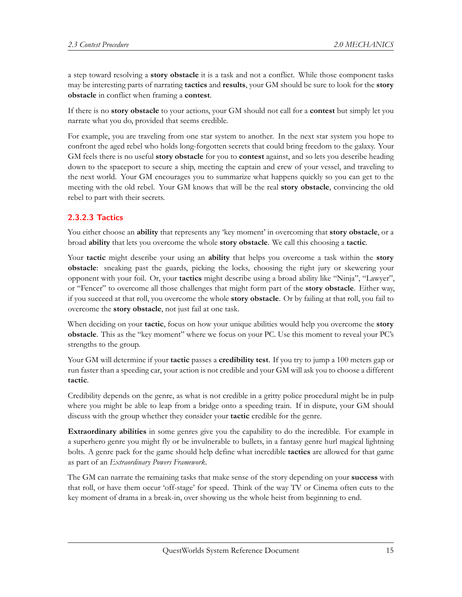a step toward resolving a **story obstacle** it is a task and not a conflict. While those component tasks may be interesting parts of narrating **tactics** and **results**, your GM should be sure to look for the **story obstacle** in conflict when framing a **contest**.

If there is no **story obstacle** to your actions, your GM should not call for a **contest** but simply let you narrate what you do, provided that seems credible.

For example, you are traveling from one star system to another. In the next star system you hope to confront the aged rebel who holds long-forgotten secrets that could bring freedom to the galaxy. Your GM feels there is no useful **story obstacle** for you to **contest** against, and so lets you describe heading down to the spaceport to secure a ship, meeting the captain and crew of your vessel, and traveling to the next world. Your GM encourages you to summarize what happens quickly so you can get to the meeting with the old rebel. Your GM knows that will be the real **story obstacle**, convincing the old rebel to part with their secrets.

## **2.3.2.3 Tactics**

You either choose an **ability** that represents any 'key moment' in overcoming that **story obstacle**, or a broad **ability** that lets you overcome the whole **story obstacle**. We call this choosing a **tactic**.

Your **tactic** might describe your using an **ability** that helps you overcome a task within the **story obstacle**: sneaking past the guards, picking the locks, choosing the right jury or skewering your opponent with your foil. Or, your **tactics** might describe using a broad ability like "Ninja", "Lawyer", or "Fencer" to overcome all those challenges that might form part of the **story obstacle**. Either way, if you succeed at that roll, you overcome the whole **story obstacle**. Or by failing at that roll, you fail to overcome the **story obstacle**, not just fail at one task.

When deciding on your **tactic**, focus on how your unique abilities would help you overcome the **story obstacle**. This as the "key moment" where we focus on your PC. Use this moment to reveal your PC's strengths to the group.

Your GM will determine if your **tactic** passes a **credibility test**. If you try to jump a 100 meters gap or run faster than a speeding car, your action is not credible and your GM will ask you to choose a different **tactic**.

Credibility depends on the genre, as what is not credible in a gritty police procedural might be in pulp where you might be able to leap from a bridge onto a speeding train. If in dispute, your GM should discuss with the group whether they consider your **tactic** credible for the genre.

**Extraordinary abilities** in some genres give you the capability to do the incredible. For example in a superhero genre you might fly or be invulnerable to bullets, in a fantasy genre hurl magical lightning bolts. A genre pack for the game should help define what incredible **tactics** are allowed for that game as part of an *Extraordinary Powers Framework*.

The GM can narrate the remaining tasks that make sense of the story depending on your **success** with that roll, or have them occur 'off-stage' for speed. Think of the way TV or Cinema often cuts to the key moment of drama in a break-in, over showing us the whole heist from beginning to end.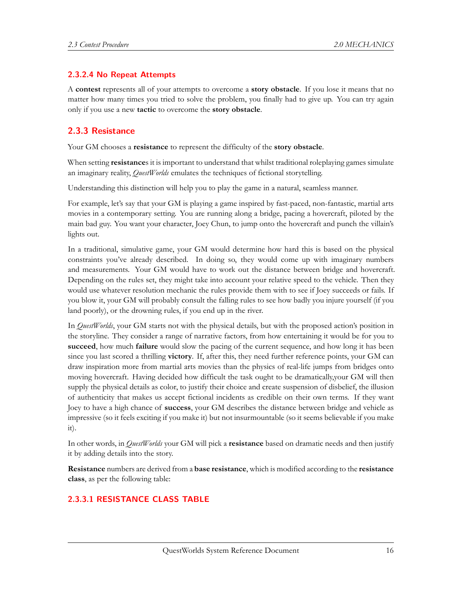#### **2.3.2.4 No Repeat Attempts**

A **contest** represents all of your attempts to overcome a **story obstacle**. If you lose it means that no matter how many times you tried to solve the problem, you finally had to give up. You can try again only if you use a new **tactic** to overcome the **story obstacle**.

### <span id="page-15-0"></span>**2.3.3 Resistance**

Your GM chooses a **resistance** to represent the difficulty of the **story obstacle**.

When setting **resistance**s it is important to understand that whilst traditional roleplaying games simulate an imaginary reality, *QuestWorlds* emulates the techniques of fictional storytelling.

Understanding this distinction will help you to play the game in a natural, seamless manner.

For example, let's say that your GM is playing a game inspired by fast-paced, non-fantastic, martial arts movies in a contemporary setting. You are running along a bridge, pacing a hovercraft, piloted by the main bad guy. You want your character, Joey Chun, to jump onto the hovercraft and punch the villain's lights out.

In a traditional, simulative game, your GM would determine how hard this is based on the physical constraints you've already described. In doing so, they would come up with imaginary numbers and measurements. Your GM would have to work out the distance between bridge and hovercraft. Depending on the rules set, they might take into account your relative speed to the vehicle. Then they would use whatever resolution mechanic the rules provide them with to see if Joey succeeds or fails. If you blow it, your GM will probably consult the falling rules to see how badly you injure yourself (if you land poorly), or the drowning rules, if you end up in the river.

In *QuestWorlds*, your GM starts not with the physical details, but with the proposed action's position in the storyline. They consider a range of narrative factors, from how entertaining it would be for you to **succeed**, how much **failure** would slow the pacing of the current sequence, and how long it has been since you last scored a thrilling **victory**. If, after this, they need further reference points, your GM can draw inspiration more from martial arts movies than the physics of real-life jumps from bridges onto moving hovercraft. Having decided how difficult the task ought to be dramatically,your GM will then supply the physical details as color, to justify their choice and create suspension of disbelief, the illusion of authenticity that makes us accept fictional incidents as credible on their own terms. If they want Joey to have a high chance of **success**, your GM describes the distance between bridge and vehicle as impressive (so it feels exciting if you make it) but not insurmountable (so it seems believable if you make it).

In other words, in *QuestWorlds* your GM will pick a **resistance** based on dramatic needs and then justify it by adding details into the story.

**Resistance** numbers are derived from a **base resistance**, which is modified according to the **resistance class**, as per the following table:

#### **2.3.3.1 RESISTANCE CLASS TABLE**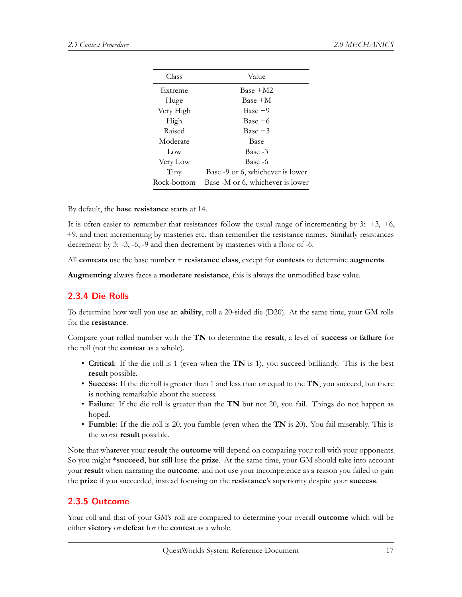| Class       | Value                            |
|-------------|----------------------------------|
| Extreme     | $Base + M2$                      |
| Huge        | Base +M                          |
| Very High   | $Base + 9$                       |
| High        | $Base + 6$                       |
| Raised      | $Base + 3$                       |
| Moderate    | Base                             |
| Low         | Base -3                          |
| Very Low    | Base -6                          |
| Tiny        | Base -9 or 6, whichever is lower |
| Rock-bottom | Base -M or 6, whichever is lower |
|             |                                  |

By default, the **base resistance** starts at 14.

It is often easier to remember that resistances follow the usual range of incrementing by  $3: +3, +6$ , +9, and then incrementing by masteries etc. than remember the resistance names. Similarly resistances decrement by 3: -3, -6, -9 and then decrement by masteries with a floor of -6.

All **contests** use the base number + **resistance class**, except for **contests** to determine **augments**.

**Augmenting** always faces a **moderate resistance**, this is always the unmodified base value.

#### <span id="page-16-0"></span>**2.3.4 Die Rolls**

To determine how well you use an **ability**, roll a 20-sided die (D20). At the same time, your GM rolls for the **resistance**.

Compare your rolled number with the **TN** to determine the **result**, a level of **success** or **failure** for the roll (not the **contest** as a whole).

- **Critical**: If the die roll is 1 (even when the **TN** is 1), you succeed brilliantly. This is the best **result** possible.
- **Success**: If the die roll is greater than 1 and less than or equal to the **TN**, you succeed, but there is nothing remarkable about the success.
- **Failure**: If the die roll is greater than the **TN** but not 20, you fail. Things do not happen as hoped.
- **Fumble**: If the die roll is 20, you fumble (even when the **TN** is 20). You fail miserably. This is the worst **result** possible.

Note that whatever your **result** the **outcome** will depend on comparing your roll with your opponents. So you might \***succeed**, but still lose the **prize**. At the same time, your GM should take into account your **result** when narrating the **outcome**, and not use your incompetence as a reason you failed to gain the **prize** if you succeeded, instead focusing on the **resistance**'s superiority despite your **success**.

#### <span id="page-16-1"></span>**2.3.5 Outcome**

Your roll and that of your GM's roll are compared to determine your overall **outcome** which will be either **victory** or **defeat** for the **contest** as a whole.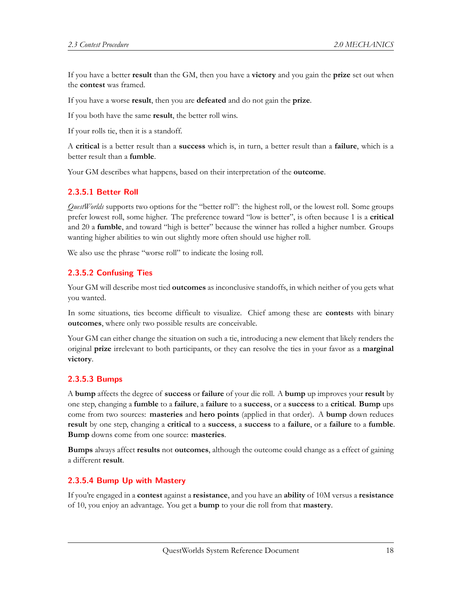If you have a better **result** than the GM, then you have a **victory** and you gain the **prize** set out when the **contest** was framed.

If you have a worse **result**, then you are **defeated** and do not gain the **prize**.

If you both have the same **result**, the better roll wins.

If your rolls tie, then it is a standoff.

A **critical** is a better result than a **success** which is, in turn, a better result than a **failure**, which is a better result than a **fumble**.

Your GM describes what happens, based on their interpretation of the **outcome**.

#### **2.3.5.1 Better Roll**

*QuestWorlds* supports two options for the "better roll": the highest roll, or the lowest roll. Some groups prefer lowest roll, some higher. The preference toward "low is better", is often because 1 is a **critical** and 20 a **fumble**, and toward "high is better" because the winner has rolled a higher number. Groups wanting higher abilities to win out slightly more often should use higher roll.

We also use the phrase "worse roll" to indicate the losing roll.

#### **2.3.5.2 Confusing Ties**

Your GM will describe most tied **outcomes** as inconclusive standoffs, in which neither of you gets what you wanted.

In some situations, ties become difficult to visualize. Chief among these are **contest**s with binary **outcomes**, where only two possible results are conceivable.

Your GM can either change the situation on such a tie, introducing a new element that likely renders the original **prize** irrelevant to both participants, or they can resolve the ties in your favor as a **marginal victory**.

#### **2.3.5.3 Bumps**

A **bump** affects the degree of **success** or **failure** of your die roll. A **bump** up improves your **result** by one step, changing a **fumble** to a **failure**, a **failure** to a **success**, or a **success** to a **critical**. **Bump** ups come from two sources: **masteries** and **hero points** (applied in that order). A **bump** down reduces **result** by one step, changing a **critical** to a **success**, a **success** to a **failure**, or a **failure** to a **fumble**. **Bump** downs come from one source: **masteries**.

**Bumps** always affect **results** not **outcomes**, although the outcome could change as a effect of gaining a different **result**.

#### **2.3.5.4 Bump Up with Mastery**

If you're engaged in a **contest** against a **resistance**, and you have an **ability** of 10M versus a **resistance** of 10, you enjoy an advantage. You get a **bump** to your die roll from that **mastery**.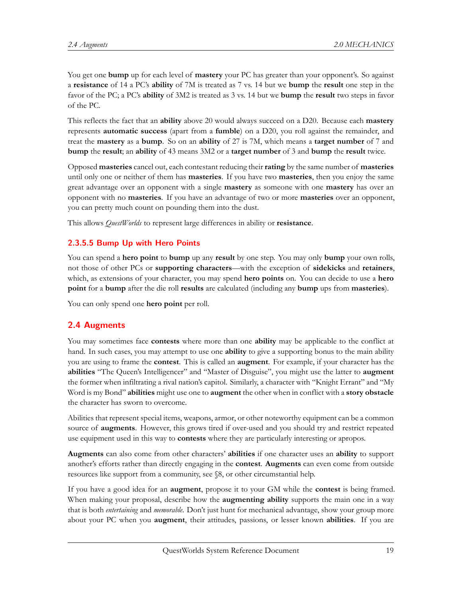You get one **bump** up for each level of **mastery** your PC has greater than your opponent's. So against a **resistance** of 14 a PC's **ability** of 7M is treated as 7 vs. 14 but we **bump** the **result** one step in the favor of the PC; a PC's **ability** of 3M2 is treated as 3 vs. 14 but we **bump** the **result** two steps in favor of the PC.

This reflects the fact that an **ability** above 20 would always succeed on a D20. Because each **mastery** represents **automatic success** (apart from a **fumble**) on a D20, you roll against the remainder, and treat the **mastery** as a **bump**. So on an **ability** of 27 is 7M, which means a **target number** of 7 and **bump** the **result**; an **ability** of 43 means 3M2 or a **target number** of 3 and **bump** the **result** twice.

Opposed **masteries** cancel out, each contestant reducing their **rating** by the same number of **masteries** until only one or neither of them has **masteries**. If you have two **masteries**, then you enjoy the same great advantage over an opponent with a single **mastery** as someone with one **mastery** has over an opponent with no **masteries**. If you have an advantage of two or more **masteries** over an opponent, you can pretty much count on pounding them into the dust.

This allows *QuestWorlds* to represent large differences in ability or **resistance**.

## **2.3.5.5 Bump Up with Hero Points**

You can spend a **hero point** to **bump** up any **result** by one step. You may only **bump** your own rolls, not those of other PCs or **supporting characters**—with the exception of **sidekicks** and **retainers**, which, as extensions of your character, you may spend **hero points** on. You can decide to use a **hero point** for a **bump** after the die roll **results** are calculated (including any **bump** ups from **masteries**).

You can only spend one **hero point** per roll.

## <span id="page-18-0"></span>**2.4 Augments**

You may sometimes face **contests** where more than one **ability** may be applicable to the conflict at hand. In such cases, you may attempt to use one **ability** to give a supporting bonus to the main ability you are using to frame the **contest**. This is called an **augment**. For example, if your character has the **abilities** "The Queen's Intelligencer" and "Master of Disguise", you might use the latter to **augment** the former when infiltrating a rival nation's capitol. Similarly, a character with "Knight Errant" and "My Word is my Bond" **abilities** might use one to **augment** the other when in conflict with a **story obstacle** the character has sworn to overcome.

Abilities that represent special items, weapons, armor, or other noteworthy equipment can be a common source of **augments**. However, this grows tired if over-used and you should try and restrict repeated use equipment used in this way to **contests** where they are particularly interesting or apropos.

**Augments** can also come from other characters' **abilities** if one character uses an **ability** to support another's efforts rather than directly engaging in the **contest**. **Augments** can even come from outside resources like support from a community, see §8, or other circumstantial help.

If you have a good idea for an **augment**, propose it to your GM while the **contest** is being framed. When making your proposal, describe how the **augmenting ability** supports the main one in a way that is both *entertaining* and *memorable*. Don't just hunt for mechanical advantage, show your group more about your PC when you **augment**, their attitudes, passions, or lesser known **abilities**. If you are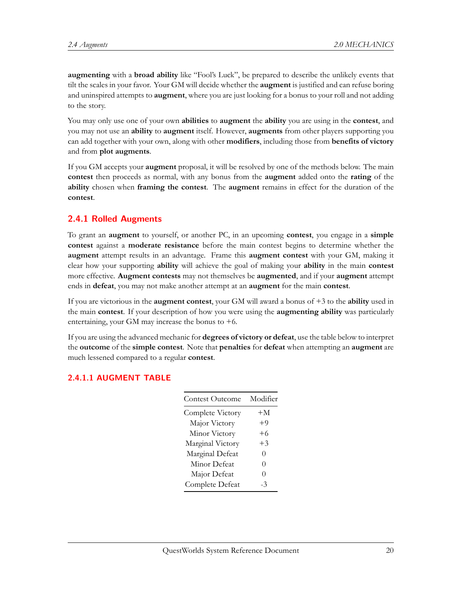**augmenting** with a **broad ability** like "Fool's Luck", be prepared to describe the unlikely events that tilt the scales in your favor. Your GM will decide whether the **augment** is justified and can refuse boring and uninspired attempts to **augment**, where you are just looking for a bonus to your roll and not adding to the story.

You may only use one of your own **abilities** to **augment** the **ability** you are using in the **contest**, and you may not use an **ability** to **augment** itself. However, **augments** from other players supporting you can add together with your own, along with other **modifiers**, including those from **benefits of victory** and from **plot augments**.

If you GM accepts your **augment** proposal, it will be resolved by one of the methods below. The main **contest** then proceeds as normal, with any bonus from the **augment** added onto the **rating** of the **ability** chosen when **framing the contest**. The **augment** remains in effect for the duration of the **contest**.

#### <span id="page-19-0"></span>**2.4.1 Rolled Augments**

To grant an **augment** to yourself, or another PC, in an upcoming **contest**, you engage in a **simple contest** against a **moderate resistance** before the main contest begins to determine whether the **augment** attempt results in an advantage. Frame this **augment contest** with your GM, making it clear how your supporting **ability** will achieve the goal of making your **ability** in the main **contest** more effective. **Augment contests** may not themselves be **augmented**, and if your **augment** attempt ends in **defeat**, you may not make another attempt at an **augment** for the main **contest**.

If you are victorious in the **augment contest**, your GM will award a bonus of +3 to the **ability** used in the main **contest**. If your description of how you were using the **augmenting ability** was particularly entertaining, your GM may increase the bonus to  $+6$ .

If you are using the advanced mechanic for **degrees of victory or defeat**, use the table below to interpret the **outcome** of the **simple contest**. Note that **penalties** for **defeat** when attempting an **augment** are much lessened compared to a regular **contest**.

#### <span id="page-19-1"></span>**2.4.1.1 AUGMENT TABLE**

| <b>Contest Outcome</b> | Modifier |
|------------------------|----------|
| Complete Victory       | $+M$     |
| Major Victory          | $+9$     |
| Minor Victory          | $+6$     |
| Marginal Victory       | $+3$     |
| Marginal Defeat        | 0        |
| Minor Defeat           | 0        |
| Major Defeat           | 0        |
| Complete Defeat        | . 3      |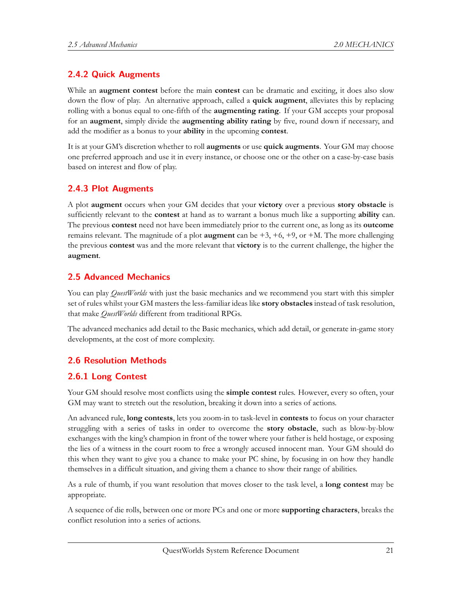### **2.4.2 Quick Augments**

While an **augment contest** before the main **contest** can be dramatic and exciting, it does also slow down the flow of play. An alternative approach, called a **quick augment**, alleviates this by replacing rolling with a bonus equal to one-fifth of the **augmenting rating**. If your GM accepts your proposal for an **augment**, simply divide the **augmenting ability rating** by five, round down if necessary, and add the modifier as a bonus to your **ability** in the upcoming **contest**.

It is at your GM's discretion whether to roll **augments** or use **quick augments**. Your GM may choose one preferred approach and use it in every instance, or choose one or the other on a case-by-case basis based on interest and flow of play.

#### <span id="page-20-0"></span>**2.4.3 Plot Augments**

A plot **augment** occurs when your GM decides that your **victory** over a previous **story obstacle** is sufficiently relevant to the **contest** at hand as to warrant a bonus much like a supporting **ability** can. The previous **contest** need not have been immediately prior to the current one, as long as its **outcome** remains relevant. The magnitude of a plot **augment** can be  $+3$ ,  $+6$ ,  $+9$ , or  $+M$ . The more challenging the previous **contest** was and the more relevant that **victory** is to the current challenge, the higher the **augment**.

#### <span id="page-20-1"></span>**2.5 Advanced Mechanics**

You can play *QuestWorlds* with just the basic mechanics and we recommend you start with this simpler set of rules whilst your GM masters the less-familiar ideas like **story obstacles** instead of task resolution, that make *QuestWorlds* different from traditional RPGs.

The advanced mechanics add detail to the Basic mechanics, which add detail, or generate in-game story developments, at the cost of more complexity.

#### <span id="page-20-2"></span>**2.6 Resolution Methods**

#### <span id="page-20-3"></span>**2.6.1 Long Contest**

Your GM should resolve most conflicts using the **simple contest** rules. However, every so often, your GM may want to stretch out the resolution, breaking it down into a series of actions.

An advanced rule, **long contests**, lets you zoom-in to task-level in **contests** to focus on your character struggling with a series of tasks in order to overcome the **story obstacle**, such as blow-by-blow exchanges with the king's champion in front of the tower where your father is held hostage, or exposing the lies of a witness in the court room to free a wrongly accused innocent man. Your GM should do this when they want to give you a chance to make your PC shine, by focusing in on how they handle themselves in a difficult situation, and giving them a chance to show their range of abilities.

As a rule of thumb, if you want resolution that moves closer to the task level, a **long contest** may be appropriate.

A sequence of die rolls, between one or more PCs and one or more **supporting characters**, breaks the conflict resolution into a series of actions.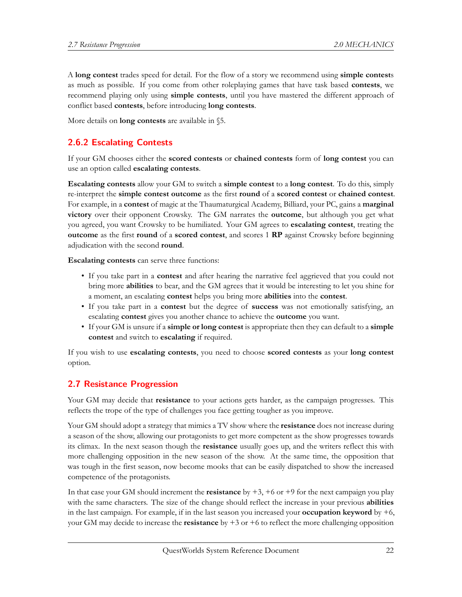A **long contest** trades speed for detail. For the flow of a story we recommend using **simple contest**s as much as possible. If you come from other roleplaying games that have task based **contests**, we recommend playing only using **simple contests**, until you have mastered the different approach of conflict based **contests**, before introducing **long contests**.

More details on **long contests** are available in §5.

# <span id="page-21-0"></span>**2.6.2 Escalating Contests**

If your GM chooses either the **scored contests** or **chained contests** form of **long contest** you can use an option called **escalating contests**.

**Escalating contests** allow your GM to switch a **simple contest** to a **long contest**. To do this, simply re-interpret the **simple contest outcome** as the first **round** of a **scored contest** or **chained contest**. For example, in a **contest** of magic at the Thaumaturgical Academy, Billiard, your PC, gains a **marginal victory** over their opponent Crowsky. The GM narrates the **outcome**, but although you get what you agreed, you want Crowsky to be humiliated. Your GM agrees to **escalating contest**, treating the **outcome** as the first **round** of a **scored contest**, and scores 1 **RP** against Crowsky before beginning adjudication with the second **round**.

**Escalating contests** can serve three functions:

- If you take part in a **contest** and after hearing the narrative feel aggrieved that you could not bring more **abilities** to bear, and the GM agrees that it would be interesting to let you shine for a moment, an escalating **contest** helps you bring more **abilities** into the **contest**.
- If you take part in a **contest** but the degree of **success** was not emotionally satisfying, an escalating **contest** gives you another chance to achieve the **outcome** you want.
- If your GM is unsure if a **simple or long contest** is appropriate then they can default to a **simple contest** and switch to **escalating** if required.

If you wish to use **escalating contests**, you need to choose **scored contests** as your **long contest** option.

## <span id="page-21-1"></span>**2.7 Resistance Progression**

Your GM may decide that **resistance** to your actions gets harder, as the campaign progresses. This reflects the trope of the type of challenges you face getting tougher as you improve.

Your GM should adopt a strategy that mimics a TV show where the **resistance** does not increase during a season of the show, allowing our protagonists to get more competent as the show progresses towards its climax. In the next season though the **resistance** usually goes up, and the writers reflect this with more challenging opposition in the new season of the show. At the same time, the opposition that was tough in the first season, now become mooks that can be easily dispatched to show the increased competence of the protagonists.

In that case your GM should increment the **resistance** by +3, +6 or +9 for the next campaign you play with the same characters. The size of the change should reflect the increase in your previous **abilities** in the last campaign. For example, if in the last season you increased your **occupation keyword** by  $+6$ , your GM may decide to increase the **resistance** by +3 or +6 to reflect the more challenging opposition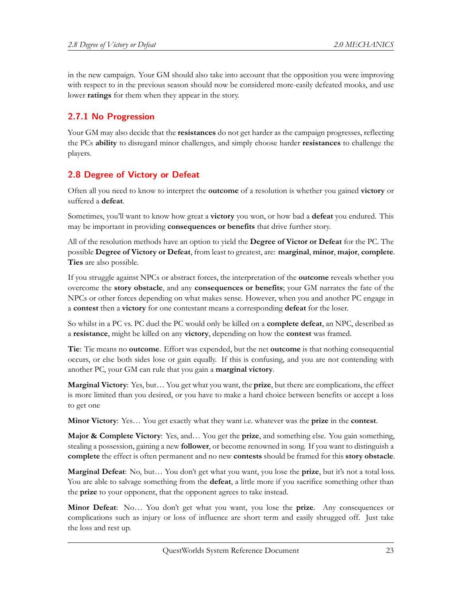in the new campaign. Your GM should also take into account that the opposition you were improving with respect to in the previous season should now be considered more-easily defeated mooks, and use lower **ratings** for them when they appear in the story.

# <span id="page-22-0"></span>**2.7.1 No Progression**

Your GM may also decide that the **resistances** do not get harder as the campaign progresses, reflecting the PCs **ability** to disregard minor challenges, and simply choose harder **resistances** to challenge the players.

# <span id="page-22-1"></span>**2.8 Degree of Victory or Defeat**

Often all you need to know to interpret the **outcome** of a resolution is whether you gained **victory** or suffered a **defeat**.

Sometimes, you'll want to know how great a **victory** you won, or how bad a **defeat** you endured. This may be important in providing **consequences or benefits** that drive further story.

All of the resolution methods have an option to yield the **Degree of Victor or Defeat** for the PC. The possible **Degree of Victory or Defeat**, from least to greatest, are: **marginal**, **minor**, **major**, **complete**. **Ties** are also possible.

If you struggle against NPCs or abstract forces, the interpretation of the **outcome** reveals whether you overcome the **story obstacle**, and any **consequences or benefits**; your GM narrates the fate of the NPCs or other forces depending on what makes sense. However, when you and another PC engage in a **contest** then a **victory** for one contestant means a corresponding **defeat** for the loser.

So whilst in a PC vs. PC duel the PC would only be killed on a **complete defeat**, an NPC, described as a **resistance**, might be killed on any **victory**, depending on how the **contest** was framed.

**Tie**: Tie means no **outcome**. Effort was expended, but the net **outcome** is that nothing consequential occurs, or else both sides lose or gain equally. If this is confusing, and you are not contending with another PC, your GM can rule that you gain a **marginal victory**.

**Marginal Victory**: Yes, but… You get what you want, the **prize**, but there are complications, the effect is more limited than you desired, or you have to make a hard choice between benefits or accept a loss to get one

**Minor Victory**: Yes… You get exactly what they want i.e. whatever was the **prize** in the **contest**.

**Major & Complete Victory**: Yes, and… You get the **prize**, and something else. You gain something, stealing a possession, gaining a new **follower**, or become renowned in song. If you want to distinguish a **complete** the effect is often permanent and no new **contests** should be framed for this **story obstacle**.

**Marginal Defeat**: No, but… You don't get what you want, you lose the **prize**, but it's not a total loss. You are able to salvage something from the **defeat**, a little more if you sacrifice something other than the **prize** to your opponent, that the opponent agrees to take instead.

**Minor Defeat**: No… You don't get what you want, you lose the **prize**. Any consequences or complications such as injury or loss of influence are short term and easily shrugged off. Just take the loss and rest up.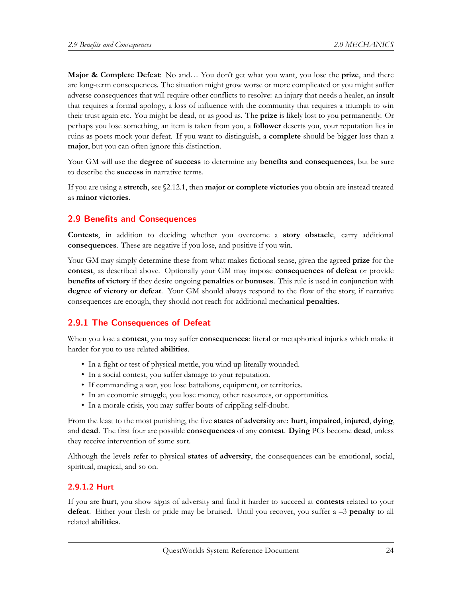**Major & Complete Defeat**: No and… You don't get what you want, you lose the **prize**, and there are long-term consequences. The situation might grow worse or more complicated or you might suffer adverse consequences that will require other conflicts to resolve: an injury that needs a healer, an insult that requires a formal apology, a loss of influence with the community that requires a triumph to win their trust again etc. You might be dead, or as good as. The **prize** is likely lost to you permanently. Or perhaps you lose something, an item is taken from you, a **follower** deserts you, your reputation lies in ruins as poets mock your defeat. If you want to distinguish, a **complete** should be bigger loss than a **major**, but you can often ignore this distinction.

Your GM will use the **degree of success** to determine any **benefits and consequences**, but be sure to describe the **success** in narrative terms.

If you are using a **stretch**, see §2.12.1, then **major or complete victories** you obtain are instead treated as **minor victories**.

#### <span id="page-23-0"></span>**2.9 Benefits and Consequences**

**Contests**, in addition to deciding whether you overcome a **story obstacle**, carry additional **consequences**. These are negative if you lose, and positive if you win.

Your GM may simply determine these from what makes fictional sense, given the agreed **prize** for the **contest**, as described above. Optionally your GM may impose **consequences of defeat** or provide **benefits of victory** if they desire ongoing **penalties** or **bonuses**. This rule is used in conjunction with **degree of victory or defeat**. Your GM should always respond to the flow of the story, if narrative consequences are enough, they should not reach for additional mechanical **penalties**.

## <span id="page-23-1"></span>**2.9.1 The Consequences of Defeat**

When you lose a **contest**, you may suffer **consequences**: literal or metaphorical injuries which make it harder for you to use related **abilities**.

- In a fight or test of physical mettle, you wind up literally wounded.
- In a social contest, you suffer damage to your reputation.
- If commanding a war, you lose battalions, equipment, or territories.
- In an economic struggle, you lose money, other resources, or opportunities.
- In a morale crisis, you may suffer bouts of crippling self-doubt.

From the least to the most punishing, the five **states of adversity** are: **hurt**, **impaired**, **injured**, **dying**, and **dead**. The first four are possible **consequences** of any **contest**. **Dying** PCs become **dead**, unless they receive intervention of some sort.

Although the levels refer to physical **states of adversity**, the consequences can be emotional, social, spiritual, magical, and so on.

#### **2.9.1.2 Hurt**

If you are **hurt**, you show signs of adversity and find it harder to succeed at **contests** related to your **defeat**. Either your flesh or pride may be bruised. Until you recover, you suffer a –3 **penalty** to all related **abilities**.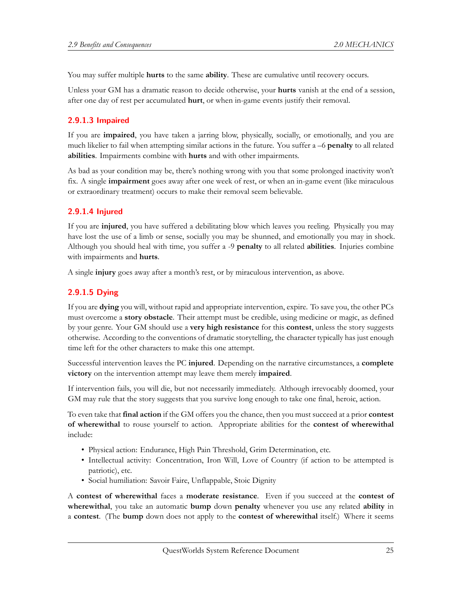You may suffer multiple **hurts** to the same **ability**. These are cumulative until recovery occurs.

Unless your GM has a dramatic reason to decide otherwise, your **hurts** vanish at the end of a session, after one day of rest per accumulated **hurt**, or when in-game events justify their removal.

#### **2.9.1.3 Impaired**

If you are **impaired**, you have taken a jarring blow, physically, socially, or emotionally, and you are much likelier to fail when attempting similar actions in the future. You suffer a –6 **penalty** to all related **abilities**. Impairments combine with **hurts** and with other impairments.

As bad as your condition may be, there's nothing wrong with you that some prolonged inactivity won't fix. A single **impairment** goes away after one week of rest, or when an in-game event (like miraculous or extraordinary treatment) occurs to make their removal seem believable.

#### **2.9.1.4 Injured**

If you are **injured**, you have suffered a debilitating blow which leaves you reeling. Physically you may have lost the use of a limb or sense, socially you may be shunned, and emotionally you may in shock. Although you should heal with time, you suffer a -9 **penalty** to all related **abilities**. Injuries combine with impairments and **hurts**.

A single **injury** goes away after a month's rest, or by miraculous intervention, as above.

#### **2.9.1.5 Dying**

If you are **dying** you will, without rapid and appropriate intervention, expire. To save you, the other PCs must overcome a **story obstacle**. Their attempt must be credible, using medicine or magic, as defined by your genre. Your GM should use a **very high resistance** for this **contest**, unless the story suggests otherwise. According to the conventions of dramatic storytelling, the character typically has just enough time left for the other characters to make this one attempt.

Successful intervention leaves the PC **injured**. Depending on the narrative circumstances, a **complete victory** on the intervention attempt may leave them merely **impaired**.

If intervention fails, you will die, but not necessarily immediately. Although irrevocably doomed, your GM may rule that the story suggests that you survive long enough to take one final, heroic, action.

To even take that **final action** if the GM offers you the chance, then you must succeed at a prior **contest of wherewithal** to rouse yourself to action. Appropriate abilities for the **contest of wherewithal** include:

- Physical action: Endurance, High Pain Threshold, Grim Determination, etc.
- Intellectual activity: Concentration, Iron Will, Love of Country (if action to be attempted is patriotic), etc.
- Social humiliation: Savoir Faire, Unflappable, Stoic Dignity

A **contest of wherewithal** faces a **moderate resistance**. Even if you succeed at the **contest of wherewithal**, you take an automatic **bump** down **penalty** whenever you use any related **ability** in a **contest**. (The **bump** down does not apply to the **contest of wherewithal** itself.) Where it seems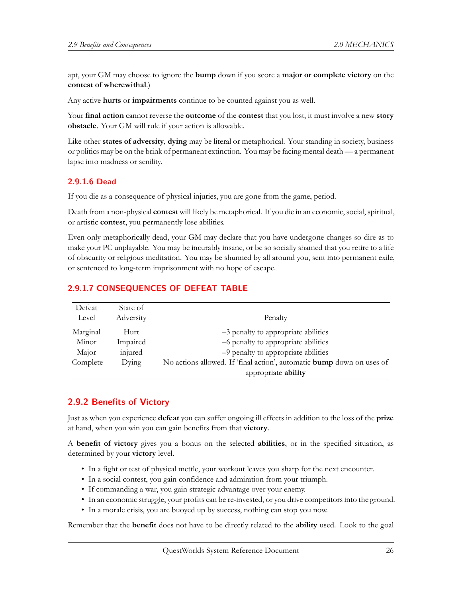apt, your GM may choose to ignore the **bump** down if you score a **major or complete victory** on the **contest of wherewithal**.)

Any active **hurts** or **impairments** continue to be counted against you as well.

Your **final action** cannot reverse the **outcome** of the **contest** that you lost, it must involve a new **story obstacle**. Your GM will rule if your action is allowable.

Like other **states of adversity**, **dying** may be literal or metaphorical. Your standing in society, business or politics may be on the brink of permanent extinction. You may be facing mental death — a permanent lapse into madness or senility.

#### **2.9.1.6 Dead**

If you die as a consequence of physical injuries, you are gone from the game, period.

Death from a non-physical **contest** will likely be metaphorical. If you die in an economic, social, spiritual, or artistic **contest**, you permanently lose abilities.

Even only metaphorically dead, your GM may declare that you have undergone changes so dire as to make your PC unplayable. You may be incurably insane, or be so socially shamed that you retire to a life of obscurity or religious meditation. You may be shunned by all around you, sent into permanent exile, or sentenced to long-term imprisonment with no hope of escape.

#### **2.9.1.7 CONSEQUENCES OF DEFEAT TABLE**

| Defeat   | State of  |                                                                       |
|----------|-----------|-----------------------------------------------------------------------|
| Level    | Adversity | Penalty                                                               |
| Marginal | Hurt      | $-3$ penalty to appropriate abilities                                 |
| Minor    | Impaired  | -6 penalty to appropriate abilities                                   |
| Major    | injured   | -9 penalty to appropriate abilities                                   |
| Complete | Dying     | No actions allowed. If 'final action', automatic bump down on uses of |
|          |           | appropriate ability                                                   |

## <span id="page-25-0"></span>**2.9.2 Benefits of Victory**

Just as when you experience **defeat** you can suffer ongoing ill effects in addition to the loss of the **prize** at hand, when you win you can gain benefits from that **victory**.

A **benefit of victory** gives you a bonus on the selected **abilities**, or in the specified situation, as determined by your **victory** level.

- In a fight or test of physical mettle, your workout leaves you sharp for the next encounter.
- In a social contest, you gain confidence and admiration from your triumph.
- If commanding a war, you gain strategic advantage over your enemy.
- In an economic struggle, your profits can be re-invested, or you drive competitors into the ground.
- In a morale crisis, you are buoyed up by success, nothing can stop you now.

Remember that the **benefit** does not have to be directly related to the **ability** used. Look to the goal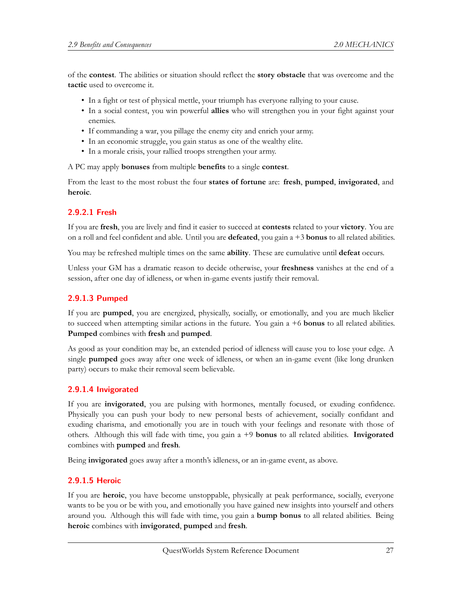of the **contest**. The abilities or situation should reflect the **story obstacle** that was overcome and the **tactic** used to overcome it.

- In a fight or test of physical mettle, your triumph has everyone rallying to your cause.
- In a social contest, you win powerful **allies** who will strengthen you in your fight against your enemies.
- If commanding a war, you pillage the enemy city and enrich your army.
- In an economic struggle, you gain status as one of the wealthy elite.
- In a morale crisis, your rallied troops strengthen your army.

A PC may apply **bonuses** from multiple **benefits** to a single **contest**.

From the least to the most robust the four **states of fortune** are: **fresh**, **pumped**, **invigorated**, and **heroic**.

#### **2.9.2.1 Fresh**

If you are **fresh**, you are lively and find it easier to succeed at **contests** related to your **victory**. You are on a roll and feel confident and able. Until you are **defeated**, you gain a +3 **bonus** to all related abilities.

You may be refreshed multiple times on the same **ability**. These are cumulative until **defeat** occurs.

Unless your GM has a dramatic reason to decide otherwise, your **freshness** vanishes at the end of a session, after one day of idleness, or when in-game events justify their removal.

## **2.9.1.3 Pumped**

If you are **pumped**, you are energized, physically, socially, or emotionally, and you are much likelier to succeed when attempting similar actions in the future. You gain a +6 **bonus** to all related abilities. **Pumped** combines with **fresh** and **pumped**.

As good as your condition may be, an extended period of idleness will cause you to lose your edge. A single **pumped** goes away after one week of idleness, or when an in-game event (like long drunken party) occurs to make their removal seem believable.

#### **2.9.1.4 Invigorated**

If you are **invigorated**, you are pulsing with hormones, mentally focused, or exuding confidence. Physically you can push your body to new personal bests of achievement, socially confidant and exuding charisma, and emotionally you are in touch with your feelings and resonate with those of others. Although this will fade with time, you gain a +9 **bonus** to all related abilities. **Invigorated** combines with **pumped** and **fresh**.

Being **invigorated** goes away after a month's idleness, or an in-game event, as above.

#### **2.9.1.5 Heroic**

If you are **heroic**, you have become unstoppable, physically at peak performance, socially, everyone wants to be you or be with you, and emotionally you have gained new insights into yourself and others around you. Although this will fade with time, you gain a **bump bonus** to all related abilities. Being **heroic** combines with **invigorated**, **pumped** and **fresh**.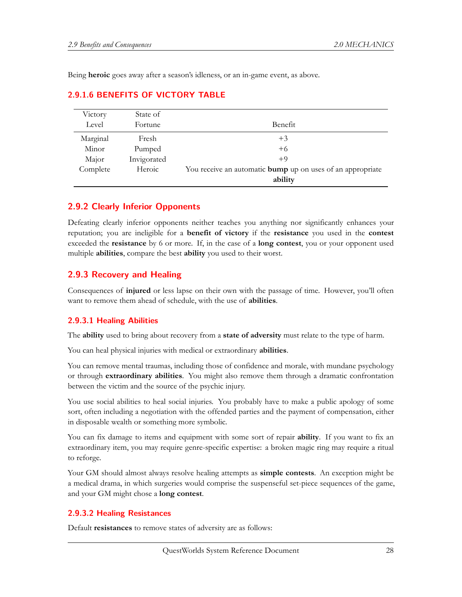Being **heroic** goes away after a season's idleness, or an in-game event, as above.

| Victory<br>Level | State of<br>Fortune | Benefit                                                               |
|------------------|---------------------|-----------------------------------------------------------------------|
| Marginal         | Fresh               | $+3$                                                                  |
| Minor            | Pumped              | $+6$                                                                  |
| Major            | Invigorated         | $+9$                                                                  |
| Complete         | Heroic              | You receive an automatic bump up on uses of an appropriate<br>ability |

# **2.9.1.6 BENEFITS OF VICTORY TABLE**

#### <span id="page-27-0"></span>**2.9.2 Clearly Inferior Opponents**

Defeating clearly inferior opponents neither teaches you anything nor significantly enhances your reputation; you are ineligible for a **benefit of victory** if the **resistance** you used in the **contest** exceeded the **resistance** by 6 or more. If, in the case of a **long contest**, you or your opponent used multiple **abilities**, compare the best **ability** you used to their worst.

## <span id="page-27-1"></span>**2.9.3 Recovery and Healing**

Consequences of **injured** or less lapse on their own with the passage of time. However, you'll often want to remove them ahead of schedule, with the use of **abilities**.

#### **2.9.3.1 Healing Abilities**

The **ability** used to bring about recovery from a **state of adversity** must relate to the type of harm.

You can heal physical injuries with medical or extraordinary **abilities**.

You can remove mental traumas, including those of confidence and morale, with mundane psychology or through **extraordinary abilities**. You might also remove them through a dramatic confrontation between the victim and the source of the psychic injury.

You use social abilities to heal social injuries. You probably have to make a public apology of some sort, often including a negotiation with the offended parties and the payment of compensation, either in disposable wealth or something more symbolic.

You can fix damage to items and equipment with some sort of repair **ability**. If you want to fix an extraordinary item, you may require genre-specific expertise: a broken magic ring may require a ritual to reforge.

Your GM should almost always resolve healing attempts as **simple contests**. An exception might be a medical drama, in which surgeries would comprise the suspenseful set-piece sequences of the game, and your GM might chose a **long contest**.

#### **2.9.3.2 Healing Resistances**

Default **resistances** to remove states of adversity are as follows: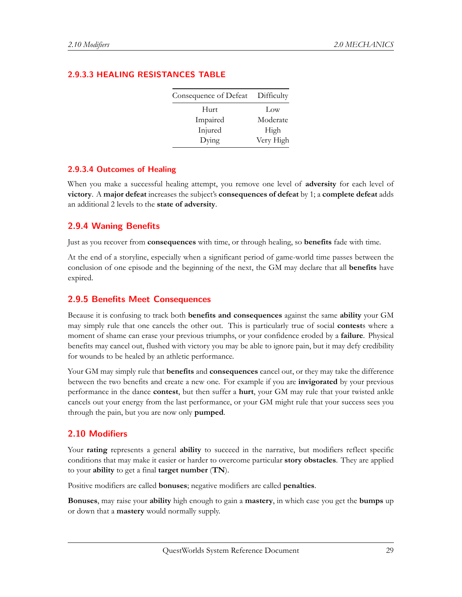| Consequence of Defeat Difficulty |           |
|----------------------------------|-----------|
| Hurt                             | Low       |
| Impaired                         | Moderate  |
| Injured                          | High      |
| Dying                            | Very High |

# **2.9.3.3 HEALING RESISTANCES TABLE**

#### **2.9.3.4 Outcomes of Healing**

When you make a successful healing attempt, you remove one level of **adversity** for each level of **victory**. A **major defeat** increases the subject's **consequences of defeat** by 1; a **complete defeat** adds an additional 2 levels to the **state of adversity**.

#### <span id="page-28-0"></span>**2.9.4 Waning Benefits**

Just as you recover from **consequences** with time, or through healing, so **benefits** fade with time.

At the end of a storyline, especially when a significant period of game-world time passes between the conclusion of one episode and the beginning of the next, the GM may declare that all **benefits** have expired.

#### <span id="page-28-1"></span>**2.9.5 Benefits Meet Consequences**

Because it is confusing to track both **benefits and consequences** against the same **ability** your GM may simply rule that one cancels the other out. This is particularly true of social **contest**s where a moment of shame can erase your previous triumphs, or your confidence eroded by a **failure**. Physical benefits may cancel out, flushed with victory you may be able to ignore pain, but it may defy credibility for wounds to be healed by an athletic performance.

Your GM may simply rule that **benefits** and **consequences** cancel out, or they may take the difference between the two benefits and create a new one. For example if you are **invigorated** by your previous performance in the dance **contest**, but then suffer a **hurt**, your GM may rule that your twisted ankle cancels out your energy from the last performance, or your GM might rule that your success sees you through the pain, but you are now only **pumped**.

#### <span id="page-28-2"></span>**2.10 Modifiers**

Your **rating** represents a general **ability** to succeed in the narrative, but modifiers reflect specific conditions that may make it easier or harder to overcome particular **story obstacles**. They are applied to your **ability** to get a final **target number** (**TN**).

Positive modifiers are called **bonuses**; negative modifiers are called **penalties**.

**Bonuses**, may raise your **ability** high enough to gain a **mastery**, in which case you get the **bumps** up or down that a **mastery** would normally supply.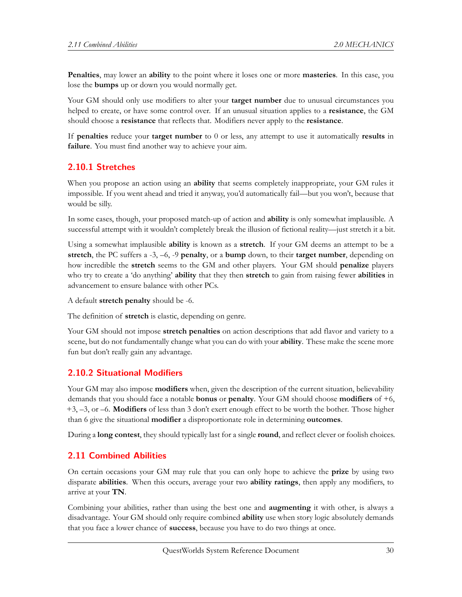**Penalties**, may lower an **ability** to the point where it loses one or more **masteries**. In this case, you lose the **bumps** up or down you would normally get.

Your GM should only use modifiers to alter your **target number** due to unusual circumstances you helped to create, or have some control over. If an unusual situation applies to a **resistance**, the GM should choose a **resistance** that reflects that. Modifiers never apply to the **resistance**.

If **penalties** reduce your **target number** to 0 or less, any attempt to use it automatically **results** in **failure**. You must find another way to achieve your aim.

#### <span id="page-29-0"></span>**2.10.1 Stretches**

When you propose an action using an **ability** that seems completely inappropriate, your GM rules it impossible. If you went ahead and tried it anyway, you'd automatically fail—but you won't, because that would be silly.

In some cases, though, your proposed match-up of action and **ability** is only somewhat implausible. A successful attempt with it wouldn't completely break the illusion of fictional reality—just stretch it a bit.

Using a somewhat implausible **ability** is known as a **stretch**. If your GM deems an attempt to be a **stretch**, the PC suffers a -3, –6, -9 **penalty**, or a **bump** down, to their **target number**, depending on how incredible the **stretch** seems to the GM and other players. Your GM should **penalize** players who try to create a 'do anything' **ability** that they then **stretch** to gain from raising fewer **abilities** in advancement to ensure balance with other PCs.

A default **stretch penalty** should be -6.

The definition of **stretch** is elastic, depending on genre.

Your GM should not impose **stretch penalties** on action descriptions that add flavor and variety to a scene, but do not fundamentally change what you can do with your **ability**. These make the scene more fun but don't really gain any advantage.

#### <span id="page-29-1"></span>**2.10.2 Situational Modifiers**

Your GM may also impose **modifiers** when, given the description of the current situation, believability demands that you should face a notable **bonus** or **penalty**. Your GM should choose **modifiers** of +6, +3, –3, or –6. **Modifiers** of less than 3 don't exert enough effect to be worth the bother. Those higher than 6 give the situational **modifier** a disproportionate role in determining **outcomes**.

During a **long contest**, they should typically last for a single **round**, and reflect clever or foolish choices.

#### <span id="page-29-2"></span>**2.11 Combined Abilities**

On certain occasions your GM may rule that you can only hope to achieve the **prize** by using two disparate **abilities**. When this occurs, average your two **ability ratings**, then apply any modifiers, to arrive at your **TN**.

Combining your abilities, rather than using the best one and **augmenting** it with other, is always a disadvantage. Your GM should only require combined **ability** use when story logic absolutely demands that you face a lower chance of **success**, because you have to do two things at once.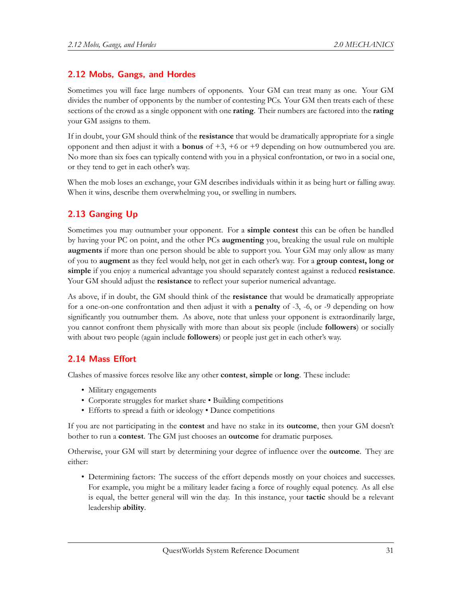## <span id="page-30-0"></span>**2.12 Mobs, Gangs, and Hordes**

Sometimes you will face large numbers of opponents. Your GM can treat many as one. Your GM divides the number of opponents by the number of contesting PCs. Your GM then treats each of these sections of the crowd as a single opponent with one **rating**. Their numbers are factored into the **rating** your GM assigns to them.

If in doubt, your GM should think of the **resistance** that would be dramatically appropriate for a single opponent and then adjust it with a **bonus** of +3, +6 or +9 depending on how outnumbered you are. No more than six foes can typically contend with you in a physical confrontation, or two in a social one, or they tend to get in each other's way.

When the mob loses an exchange, your GM describes individuals within it as being hurt or falling away. When it wins, describe them overwhelming you, or swelling in numbers.

# <span id="page-30-1"></span>**2.13 Ganging Up**

Sometimes you may outnumber your opponent. For a **simple contest** this can be often be handled by having your PC on point, and the other PCs **augmenting** you, breaking the usual rule on multiple **augments** if more than one person should be able to support you. Your GM may only allow as many of you to **augment** as they feel would help, not get in each other's way. For a **group contest, long or simple** if you enjoy a numerical advantage you should separately contest against a reduced **resistance**. Your GM should adjust the **resistance** to reflect your superior numerical advantage.

As above, if in doubt, the GM should think of the **resistance** that would be dramatically appropriate for a one-on-one confrontation and then adjust it with a **penalty** of -3, -6, or -9 depending on how significantly you outnumber them. As above, note that unless your opponent is extraordinarily large, you cannot confront them physically with more than about six people (include **followers**) or socially with about two people (again include **followers**) or people just get in each other's way.

## <span id="page-30-2"></span>**2.14 Mass Effort**

Clashes of massive forces resolve like any other **contest**, **simple** or **long**. These include:

- Military engagements
- Corporate struggles for market share Building competitions
- Efforts to spread a faith or ideology Dance competitions

If you are not participating in the **contest** and have no stake in its **outcome**, then your GM doesn't bother to run a **contest**. The GM just chooses an **outcome** for dramatic purposes.

Otherwise, your GM will start by determining your degree of influence over the **outcome**. They are either:

• Determining factors: The success of the effort depends mostly on your choices and successes. For example, you might be a military leader facing a force of roughly equal potency. As all else is equal, the better general will win the day. In this instance, your **tactic** should be a relevant leadership **ability**.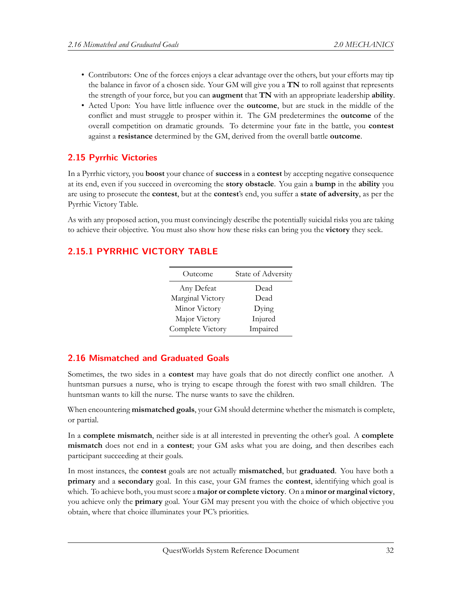- Contributors: One of the forces enjoys a clear advantage over the others, but your efforts may tip the balance in favor of a chosen side. Your GM will give you a **TN** to roll against that represents the strength of your force, but you can **augment** that **TN** with an appropriate leadership **ability**.
- Acted Upon: You have little influence over the **outcome**, but are stuck in the middle of the conflict and must struggle to prosper within it. The GM predetermines the **outcome** of the overall competition on dramatic grounds. To determine your fate in the battle, you **contest** against a **resistance** determined by the GM, derived from the overall battle **outcome**.

# <span id="page-31-0"></span>**2.15 Pyrrhic Victories**

In a Pyrrhic victory, you **boost** your chance of **success** in a **contest** by accepting negative consequence at its end, even if you succeed in overcoming the **story obstacle**. You gain a **bump** in the **ability** you are using to prosecute the **contest**, but at the **contest**'s end, you suffer a **state of adversity**, as per the Pyrrhic Victory Table.

As with any proposed action, you must convincingly describe the potentially suicidal risks you are taking to achieve their objective. You must also show how these risks can bring you the **victory** they seek.

# <span id="page-31-1"></span>**2.15.1 PYRRHIC VICTORY TABLE**

| Outcome          | State of Adversity |
|------------------|--------------------|
| Any Defeat       | Dead               |
| Marginal Victory | Dead               |
| Minor Victory    | Dying              |
| Major Victory    | Injured            |
| Complete Victory | Impaired           |

# <span id="page-31-2"></span>**2.16 Mismatched and Graduated Goals**

Sometimes, the two sides in a **contest** may have goals that do not directly conflict one another. A huntsman pursues a nurse, who is trying to escape through the forest with two small children. The huntsman wants to kill the nurse. The nurse wants to save the children.

When encountering **mismatched goals**, your GM should determine whether the mismatch is complete, or partial.

In a **complete mismatch**, neither side is at all interested in preventing the other's goal. A **complete mismatch** does not end in a **contest**; your GM asks what you are doing, and then describes each participant succeeding at their goals.

<span id="page-31-3"></span>In most instances, the **contest** goals are not actually **mismatched**, but **graduated**. You have both a **primary** and a **secondary** goal. In this case, your GM frames the **contest**, identifying which goal is which. To achieve both, you must score a **major or complete victory**. On a **minor or marginal victory**, you achieve only the **primary** goal. Your GM may present you with the choice of which objective you obtain, where that choice illuminates your PC's priorities.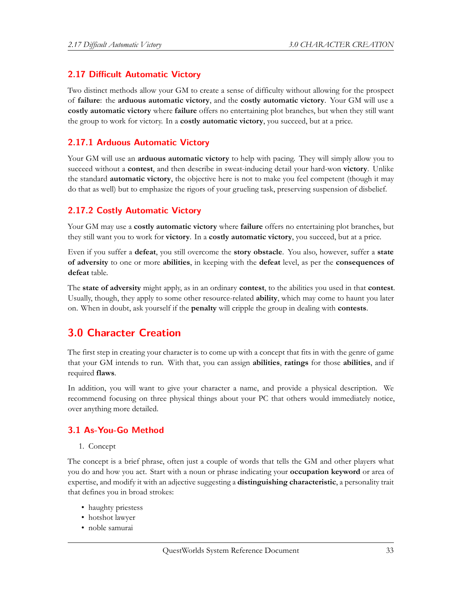# **2.17 Difficult Automatic Victory**

Two distinct methods allow your GM to create a sense of difficulty without allowing for the prospect of **failure**: the **arduous automatic victory**, and the **costly automatic victory**. Your GM will use a **costly automatic victory** where **failure** offers no entertaining plot branches, but when they still want the group to work for victory. In a **costly automatic victory**, you succeed, but at a price.

# <span id="page-32-0"></span>**2.17.1 Arduous Automatic Victory**

Your GM will use an **arduous automatic victory** to help with pacing. They will simply allow you to succeed without a **contest**, and then describe in sweat-inducing detail your hard-won **victory**. Unlike the standard **automatic victory**, the objective here is not to make you feel competent (though it may do that as well) but to emphasize the rigors of your grueling task, preserving suspension of disbelief.

## <span id="page-32-1"></span>**2.17.2 Costly Automatic Victory**

Your GM may use a **costly automatic victory** where **failure** offers no entertaining plot branches, but they still want you to work for **victory**. In a **costly automatic victory**, you succeed, but at a price.

Even if you suffer a **defeat**, you still overcome the **story obstacle**. You also, however, suffer a **state of adversity** to one or more **abilities**, in keeping with the **defeat** level, as per the **consequences of defeat** table.

The **state of adversity** might apply, as in an ordinary **contest**, to the abilities you used in that **contest**. Usually, though, they apply to some other resource-related **ability**, which may come to haunt you later on. When in doubt, ask yourself if the **penalty** will cripple the group in dealing with **contests**.

# <span id="page-32-2"></span>**3.0 Character Creation**

The first step in creating your character is to come up with a concept that fits in with the genre of game that your GM intends to run. With that, you can assign **abilities**, **ratings** for those **abilities**, and if required **flaws**.

In addition, you will want to give your character a name, and provide a physical description. We recommend focusing on three physical things about your PC that others would immediately notice, over anything more detailed.

## <span id="page-32-3"></span>**3.1 As-You-Go Method**

#### 1. Concept

The concept is a brief phrase, often just a couple of words that tells the GM and other players what you do and how you act. Start with a noun or phrase indicating your **occupation keyword** or area of expertise, and modify it with an adjective suggesting a **distinguishing characteristic**, a personality trait that defines you in broad strokes:

- haughty priestess
- hotshot lawyer
- noble samurai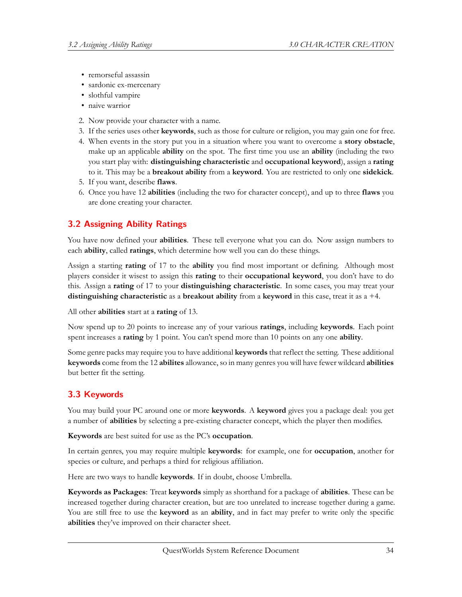- remorseful assassin
- sardonic ex-mercenary
- slothful vampire
- naive warrior
- 2. Now provide your character with a name.
- 3. If the series uses other **keywords**, such as those for culture or religion, you may gain one for free.
- 4. When events in the story put you in a situation where you want to overcome a **story obstacle**, make up an applicable **ability** on the spot. The first time you use an **ability** (including the two you start play with: **distinguishing characteristic** and **occupational keyword**), assign a **rating** to it. This may be a **breakout ability** from a **keyword**. You are restricted to only one **sidekick**.
- 5. If you want, describe **flaws**.
- 6. Once you have 12 **abilities** (including the two for character concept), and up to three **flaws** you are done creating your character.

# <span id="page-33-0"></span>**3.2 Assigning Ability Ratings**

You have now defined your **abilities**. These tell everyone what you can do. Now assign numbers to each **ability**, called **ratings**, which determine how well you can do these things.

Assign a starting **rating** of 17 to the **ability** you find most important or defining. Although most players consider it wisest to assign this **rating** to their **occupational keyword**, you don't have to do this. Assign a **rating** of 17 to your **distinguishing characteristic**. In some cases, you may treat your **distinguishing characteristic** as a **breakout ability** from a **keyword** in this case, treat it as a +4.

All other **abilities** start at a **rating** of 13.

Now spend up to 20 points to increase any of your various **ratings**, including **keywords**. Each point spent increases a **rating** by 1 point. You can't spend more than 10 points on any one **ability**.

Some genre packs may require you to have additional **keywords** that reflect the setting. These additional **keywords** come from the 12 **abilites** allowance, so in many genres you will have fewer wildcard **abilities** but better fit the setting.

# <span id="page-33-1"></span>**3.3 Keywords**

You may build your PC around one or more **keywords**. A **keyword** gives you a package deal: you get a number of **abilities** by selecting a pre-existing character concept, which the player then modifies.

**Keywords** are best suited for use as the PC's **occupation**.

In certain genres, you may require multiple **keywords**: for example, one for **occupation**, another for species or culture, and perhaps a third for religious affiliation.

Here are two ways to handle **keywords**. If in doubt, choose Umbrella.

**Keywords as Packages**: Treat **keywords** simply as shorthand for a package of **abilities**. These can be increased together during character creation, but are too unrelated to increase together during a game. You are still free to use the **keyword** as an **ability**, and in fact may prefer to write only the specific **abilities** they've improved on their character sheet.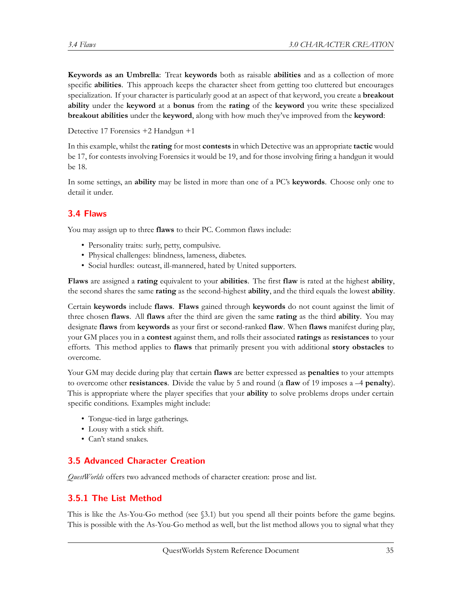**Keywords as an Umbrella**: Treat **keywords** both as raisable **abilities** and as a collection of more specific **abilities**. This approach keeps the character sheet from getting too cluttered but encourages specialization. If your character is particularly good at an aspect of that keyword, you create a **breakout ability** under the **keyword** at a **bonus** from the **rating** of the **keyword** you write these specialized **breakout abilities** under the **keyword**, along with how much they've improved from the **keyword**:

Detective 17 Forensics +2 Handgun +1

In this example, whilst the **rating** for most **contests** in which Detective was an appropriate **tactic** would be 17, for contests involving Forensics it would be 19, and for those involving firing a handgun it would be 18.

In some settings, an **ability** may be listed in more than one of a PC's **keywords**. Choose only one to detail it under.

# <span id="page-34-0"></span>**3.4 Flaws**

You may assign up to three **flaws** to their PC. Common flaws include:

- Personality traits: surly, petty, compulsive.
- Physical challenges: blindness, lameness, diabetes.
- Social hurdles: outcast, ill-mannered, hated by United supporters.

**Flaws** are assigned a **rating** equivalent to your **abilities**. The first **flaw** is rated at the highest **ability**, the second shares the same **rating** as the second-highest **ability**, and the third equals the lowest **ability**.

Certain **keywords** include **flaws**. **Flaws** gained through **keywords** do not count against the limit of three chosen **flaws**. All **flaws** after the third are given the same **rating** as the third **ability**. You may designate **flaws** from **keywords** as your first or second-ranked **flaw**. When **flaws** manifest during play, your GM places you in a **contest** against them, and rolls their associated **ratings** as **resistances** to your efforts. This method applies to **flaws** that primarily present you with additional **story obstacles** to overcome.

Your GM may decide during play that certain **flaws** are better expressed as **penalties** to your attempts to overcome other **resistances**. Divide the value by 5 and round (a **flaw** of 19 imposes a –4 **penalty**). This is appropriate where the player specifies that your **ability** to solve problems drops under certain specific conditions. Examples might include:

- Tongue-tied in large gatherings.
- Lousy with a stick shift.
- Can't stand snakes.

# <span id="page-34-1"></span>**3.5 Advanced Character Creation**

*QuestWorlds* offers two advanced methods of character creation: prose and list.

## <span id="page-34-2"></span>**3.5.1 The List Method**

This is like the As-You-Go method (see §3.1) but you spend all their points before the game begins. This is possible with the As-You-Go method as well, but the list method allows you to signal what they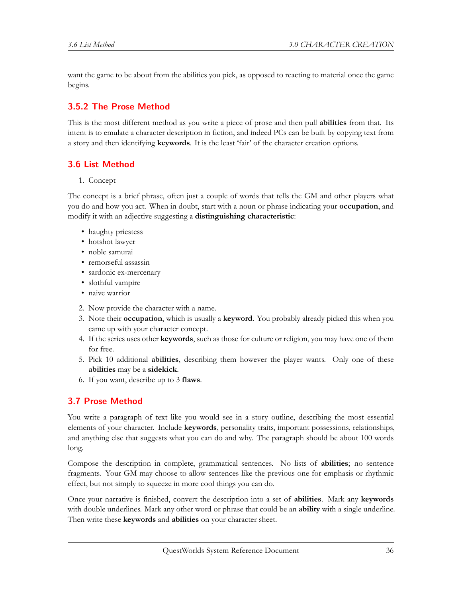want the game to be about from the abilities you pick, as opposed to reacting to material once the game begins.

# <span id="page-35-0"></span>**3.5.2 The Prose Method**

This is the most different method as you write a piece of prose and then pull **abilities** from that. Its intent is to emulate a character description in fiction, and indeed PCs can be built by copying text from a story and then identifying **keywords**. It is the least 'fair' of the character creation options.

# <span id="page-35-1"></span>**3.6 List Method**

1. Concept

The concept is a brief phrase, often just a couple of words that tells the GM and other players what you do and how you act. When in doubt, start with a noun or phrase indicating your **occupation**, and modify it with an adjective suggesting a **distinguishing characteristic**:

- haughty priestess
- hotshot lawyer
- noble samurai
- remorseful assassin
- sardonic ex-mercenary
- slothful vampire
- naive warrior
- 2. Now provide the character with a name.
- 3. Note their **occupation**, which is usually a **keyword**. You probably already picked this when you came up with your character concept.
- 4. If the series uses other **keywords**, such as those for culture or religion, you may have one of them for free.
- 5. Pick 10 additional **abilities**, describing them however the player wants. Only one of these **abilities** may be a **sidekick**.
- 6. If you want, describe up to 3 **flaws**.

# <span id="page-35-2"></span>**3.7 Prose Method**

You write a paragraph of text like you would see in a story outline, describing the most essential elements of your character. Include **keywords**, personality traits, important possessions, relationships, and anything else that suggests what you can do and why. The paragraph should be about 100 words long.

Compose the description in complete, grammatical sentences. No lists of **abilities**; no sentence fragments. Your GM may choose to allow sentences like the previous one for emphasis or rhythmic effect, but not simply to squeeze in more cool things you can do.

Once your narrative is finished, convert the description into a set of **abilities**. Mark any **keywords** with double underlines. Mark any other word or phrase that could be an **ability** with a single underline. Then write these **keywords** and **abilities** on your character sheet.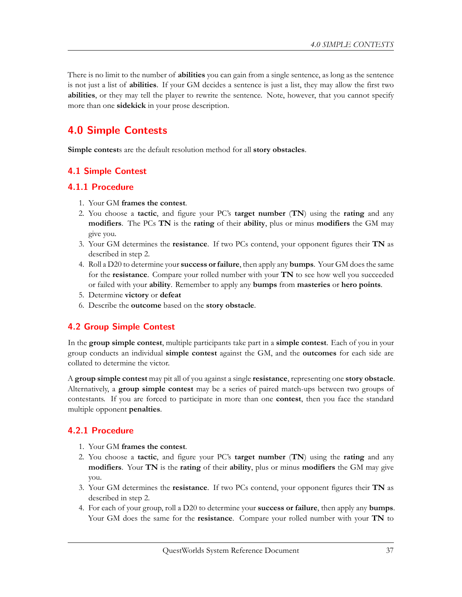There is no limit to the number of **abilities** you can gain from a single sentence, as long as the sentence is not just a list of **abilities**. If your GM decides a sentence is just a list, they may allow the first two **abilities**, or they may tell the player to rewrite the sentence. Note, however, that you cannot specify more than one **sidekick** in your prose description.

# **4.0 Simple Contests**

**Simple contest**s are the default resolution method for all **story obstacles**.

# **4.1 Simple Contest**

# **4.1.1 Procedure**

- 1. Your GM **frames the contest**.
- 2. You choose a **tactic**, and figure your PC's **target number** (**TN**) using the **rating** and any **modifiers**. The PCs **TN** is the **rating** of their **ability**, plus or minus **modifiers** the GM may give you.
- 3. Your GM determines the **resistance**. If two PCs contend, your opponent figures their **TN** as described in step 2.
- 4. Roll a D20 to determine your **success or failure**, then apply any **bumps**. Your GM does the same for the **resistance**. Compare your rolled number with your **TN** to see how well you succeeded or failed with your **ability**. Remember to apply any **bumps** from **masteries** or **hero points**.
- 5. Determine **victory** or **defeat**
- 6. Describe the **outcome** based on the **story obstacle**.

# **4.2 Group Simple Contest**

In the **group simple contest**, multiple participants take part in a **simple contest**. Each of you in your group conducts an individual **simple contest** against the GM, and the **outcomes** for each side are collated to determine the victor.

A **group simple contest** may pit all of you against a single **resistance**, representing one **story obstacle**. Alternatively, a **group simple contest** may be a series of paired match-ups between two groups of contestants. If you are forced to participate in more than one **contest**, then you face the standard multiple opponent **penalties**.

# **4.2.1 Procedure**

- 1. Your GM **frames the contest**.
- 2. You choose a **tactic**, and figure your PC's **target number** (**TN**) using the **rating** and any **modifiers**. Your **TN** is the **rating** of their **ability**, plus or minus **modifiers** the GM may give you.
- 3. Your GM determines the **resistance**. If two PCs contend, your opponent figures their **TN** as described in step 2.
- 4. For each of your group, roll a D20 to determine your **success or failure**, then apply any **bumps**. Your GM does the same for the **resistance**. Compare your rolled number with your **TN** to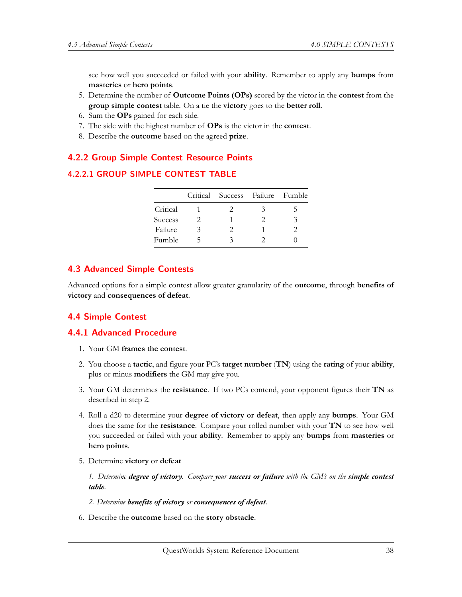see how well you succeeded or failed with your **ability**. Remember to apply any **bumps** from **masteries** or **hero points**.

- 5. Determine the number of **Outcome Points (OPs)** scored by the victor in the **contest** from the **group simple contest** table. On a tie the **victory** goes to the **better roll**.
- 6. Sum the **OPs** gained for each side.
- 7. The side with the highest number of **OPs** is the victor in the **contest**.
- 8. Describe the **outcome** based on the agreed **prize**.

### **4.2.2 Group Simple Contest Resource Points**

#### **4.2.2.1 GROUP SIMPLE CONTEST TABLE**

|                |               | Critical Success Failure Fumble |   |    |
|----------------|---------------|---------------------------------|---|----|
| Critical       |               | $\mathcal{L}$                   | 3 | C. |
| <b>Success</b> | $\mathcal{L}$ |                                 |   | 3  |
| Failure        | 3             | $\mathcal{L}$                   |   | 2  |
| Fumble         |               | ζ                               |   |    |

### **4.3 Advanced Simple Contests**

Advanced options for a simple contest allow greater granularity of the **outcome**, through **benefits of victory** and **consequences of defeat**.

# **4.4 Simple Contest**

#### **4.4.1 Advanced Procedure**

- 1. Your GM **frames the contest**.
- 2. You choose a **tactic**, and figure your PC's **target number** (**TN**) using the **rating** of your **ability**, plus or minus **modifiers** the GM may give you.
- 3. Your GM determines the **resistance**. If two PCs contend, your opponent figures their **TN** as described in step 2.
- 4. Roll a d20 to determine your **degree of victory or defeat**, then apply any **bumps**. Your GM does the same for the **resistance**. Compare your rolled number with your **TN** to see how well you succeeded or failed with your **ability**. Remember to apply any **bumps** from **masteries** or **hero points**.
- 5. Determine **victory** or **defeat**

*1. Determine degree of victory. Compare your success or failure with the GM's on the simple contest table.*

- *2. Determine benefits of victory or consequences of defeat.*
- 6. Describe the **outcome** based on the **story obstacle**.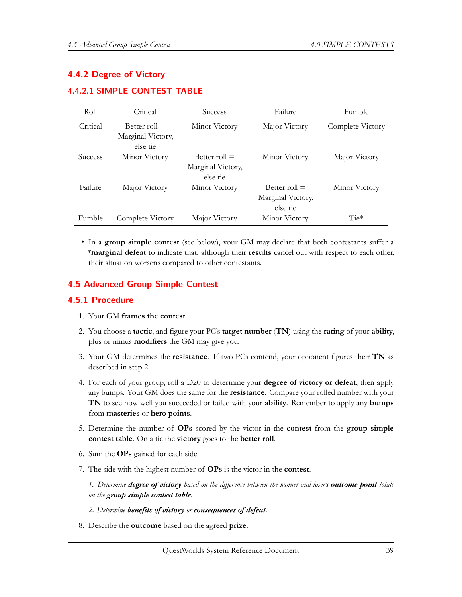# **4.4.2 Degree of Victory**

#### **4.4.2.1 SIMPLE CONTEST TABLE**

| Roll           | Critical                                         | <b>Success</b>                                   | Failure                                          | Fumble           |
|----------------|--------------------------------------------------|--------------------------------------------------|--------------------------------------------------|------------------|
| Critical       | Better roll $=$<br>Marginal Victory,<br>else tie | Minor Victory                                    | Major Victory                                    | Complete Victory |
| <b>Success</b> | Minor Victory                                    | Better roll $=$<br>Marginal Victory,<br>else tie | Minor Victory                                    | Major Victory    |
| Failure        | Major Victory                                    | Minor Victory                                    | Better roll $=$<br>Marginal Victory,<br>else tie | Minor Victory    |
| Fumble         | Complete Victory                                 | Major Victory                                    | Minor Victory                                    | $Tie*$           |

• In a **group simple contest** (see below), your GM may declare that both contestants suffer a \***marginal defeat** to indicate that, although their **results** cancel out with respect to each other, their situation worsens compared to other contestants.

### **4.5 Advanced Group Simple Contest**

#### **4.5.1 Procedure**

- 1. Your GM **frames the contest**.
- 2. You choose a **tactic**, and figure your PC's **target number** (**TN**) using the **rating** of your **ability**, plus or minus **modifiers** the GM may give you.
- 3. Your GM determines the **resistance**. If two PCs contend, your opponent figures their **TN** as described in step 2.
- 4. For each of your group, roll a D20 to determine your **degree of victory or defeat**, then apply any bumps. Your GM does the same for the **resistance**. Compare your rolled number with your **TN** to see how well you succeeded or failed with your **ability**. Remember to apply any **bumps** from **masteries** or **hero points**.
- 5. Determine the number of **OPs** scored by the victor in the **contest** from the **group simple contest table**. On a tie the **victory** goes to the **better roll**.
- 6. Sum the **OPs** gained for each side.
- 7. The side with the highest number of **OPs** is the victor in the **contest**.

*1. Determine degree of victory based on the difference between the winner and loser's outcome point totals on the group simple contest table.*

- *2. Determine benefits of victory or consequences of defeat.*
- 8. Describe the **outcome** based on the agreed **prize**.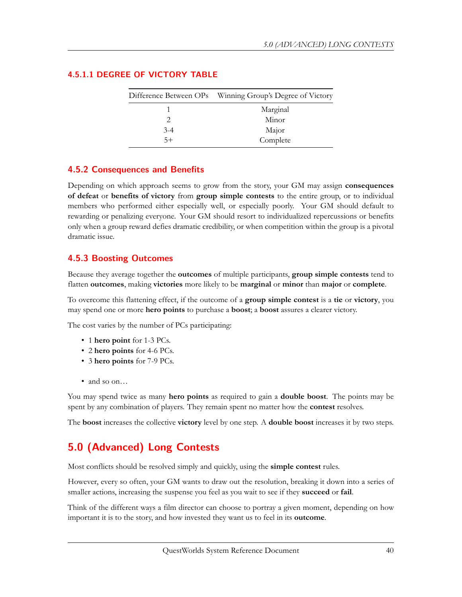|       | Difference Between OPs Winning Group's Degree of Victory |
|-------|----------------------------------------------------------|
|       | Marginal                                                 |
|       | Minor                                                    |
| $3-4$ | Major                                                    |
| $5+$  | Complete                                                 |

#### **4.5.1.1 DEGREE OF VICTORY TABLE**

# **4.5.2 Consequences and Benefits**

Depending on which approach seems to grow from the story, your GM may assign **consequences of defeat** or **benefits of victory** from **group simple contests** to the entire group, or to individual members who performed either especially well, or especially poorly. Your GM should default to rewarding or penalizing everyone. Your GM should resort to individualized repercussions or benefits only when a group reward defies dramatic credibility, or when competition within the group is a pivotal dramatic issue.

# **4.5.3 Boosting Outcomes**

Because they average together the **outcomes** of multiple participants, **group simple contests** tend to flatten **outcomes**, making **victories** more likely to be **marginal** or **minor** than **major** or **complete**.

To overcome this flattening effect, if the outcome of a **group simple contest** is a **tie** or **victory**, you may spend one or more **hero points** to purchase a **boost**; a **boost** assures a clearer victory.

The cost varies by the number of PCs participating:

- 1 **hero point** for 1-3 PCs.
- 2 **hero points** for 4-6 PCs.
- 3 **hero points** for 7-9 PCs.
- and so on...

You may spend twice as many **hero points** as required to gain a **double boost**. The points may be spent by any combination of players. They remain spent no matter how the **contest** resolves.

The **boost** increases the collective **victory** level by one step. A **double boost** increases it by two steps.

# **5.0 (Advanced) Long Contests**

Most conflicts should be resolved simply and quickly, using the **simple contest** rules.

However, every so often, your GM wants to draw out the resolution, breaking it down into a series of smaller actions, increasing the suspense you feel as you wait to see if they **succeed** or **fail**.

Think of the different ways a film director can choose to portray a given moment, depending on how important it is to the story, and how invested they want us to feel in its **outcome**.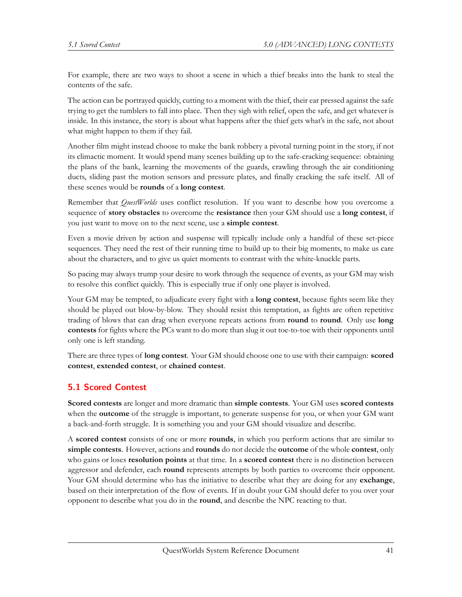For example, there are two ways to shoot a scene in which a thief breaks into the bank to steal the contents of the safe.

The action can be portrayed quickly, cutting to a moment with the thief, their ear pressed against the safe trying to get the tumblers to fall into place. Then they sigh with relief, open the safe, and get whatever is inside. In this instance, the story is about what happens after the thief gets what's in the safe, not about what might happen to them if they fail.

Another film might instead choose to make the bank robbery a pivotal turning point in the story, if not its climactic moment. It would spend many scenes building up to the safe-cracking sequence: obtaining the plans of the bank, learning the movements of the guards, crawling through the air conditioning ducts, sliding past the motion sensors and pressure plates, and finally cracking the safe itself. All of these scenes would be **rounds** of a **long contest**.

Remember that *QuestWorlds* uses conflict resolution. If you want to describe how you overcome a sequence of **story obstacles** to overcome the **resistance** then your GM should use a **long contest**, if you just want to move on to the next scene, use a **simple contest**.

Even a movie driven by action and suspense will typically include only a handful of these set-piece sequences. They need the rest of their running time to build up to their big moments, to make us care about the characters, and to give us quiet moments to contrast with the white-knuckle parts.

So pacing may always trump your desire to work through the sequence of events, as your GM may wish to resolve this conflict quickly. This is especially true if only one player is involved.

Your GM may be tempted, to adjudicate every fight with a **long contest**, because fights seem like they should be played out blow-by-blow. They should resist this temptation, as fights are often repetitive trading of blows that can drag when everyone repeats actions from **round** to **round**. Only use **long contests** for fights where the PCs want to do more than slug it out toe-to-toe with their opponents until only one is left standing.

There are three types of **long contest**. Your GM should choose one to use with their campaign: **scored contest**, **extended contest**, or **chained contest**.

# **5.1 Scored Contest**

**Scored contests** are longer and more dramatic than **simple contests**. Your GM uses **scored contests** when the **outcome** of the struggle is important, to generate suspense for you, or when your GM want a back-and-forth struggle. It is something you and your GM should visualize and describe.

A **scored contest** consists of one or more **rounds**, in which you perform actions that are similar to **simple contests**. However, actions and **rounds** do not decide the **outcome** of the whole **contest**, only who gains or loses **resolution points** at that time. In a **scored contest** there is no distinction between aggressor and defender, each **round** represents attempts by both parties to overcome their opponent. Your GM should determine who has the initiative to describe what they are doing for any **exchange**, based on their interpretation of the flow of events. If in doubt your GM should defer to you over your opponent to describe what you do in the **round**, and describe the NPC reacting to that.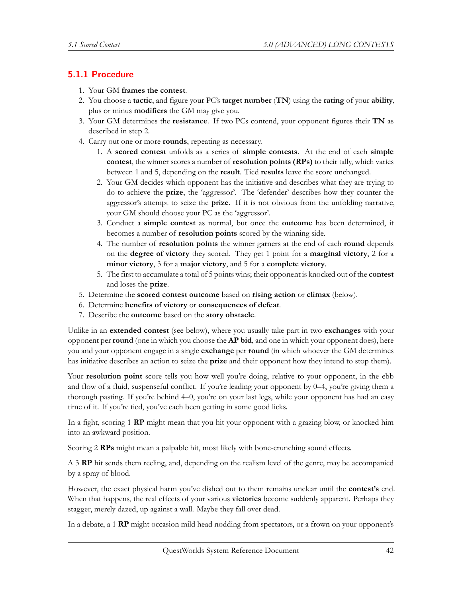# **5.1.1 Procedure**

- 1. Your GM **frames the contest**.
- 2. You choose a **tactic**, and figure your PC's **target number** (**TN**) using the **rating** of your **ability**, plus or minus **modifiers** the GM may give you.
- 3. Your GM determines the **resistance**. If two PCs contend, your opponent figures their **TN** as described in step 2.
- 4. Carry out one or more **rounds**, repeating as necessary.
	- 1. A **scored contest** unfolds as a series of **simple contests**. At the end of each **simple contest**, the winner scores a number of **resolution points (RPs)** to their tally, which varies between 1 and 5, depending on the **result**. Tied **results** leave the score unchanged.
	- 2. Your GM decides which opponent has the initiative and describes what they are trying to do to achieve the **prize**, the 'aggressor'. The 'defender' describes how they counter the aggressor's attempt to seize the **prize**. If it is not obvious from the unfolding narrative, your GM should choose your PC as the 'aggressor'.
	- 3. Conduct a **simple contest** as normal, but once the **outcome** has been determined, it becomes a number of **resolution points** scored by the winning side.
	- 4. The number of **resolution points** the winner garners at the end of each **round** depends on the **degree of victory** they scored. They get 1 point for a **marginal victory**, 2 for a **minor victory**, 3 for a **major victory**, and 5 for a **complete victory**.
	- 5. The first to accumulate a total of 5 points wins; their opponent is knocked out of the **contest** and loses the **prize**.
- 5. Determine the **scored contest outcome** based on **rising action** or **climax** (below).
- 6. Determine **benefits of victory** or **consequences of defeat**.
- 7. Describe the **outcome** based on the **story obstacle**.

Unlike in an **extended contest** (see below), where you usually take part in two **exchanges** with your opponent per **round** (one in which you choose the **AP bid**, and one in which your opponent does), here you and your opponent engage in a single **exchange** per **round** (in which whoever the GM determines has initiative describes an action to seize the **prize** and their opponent how they intend to stop them).

Your **resolution point** score tells you how well you're doing, relative to your opponent, in the ebb and flow of a fluid, suspenseful conflict. If you're leading your opponent by 0–4, you're giving them a thorough pasting. If you're behind 4–0, you're on your last legs, while your opponent has had an easy time of it. If you're tied, you've each been getting in some good licks.

In a fight, scoring 1 **RP** might mean that you hit your opponent with a grazing blow, or knocked him into an awkward position.

Scoring 2 **RPs** might mean a palpable hit, most likely with bone-crunching sound effects.

A 3 **RP** hit sends them reeling, and, depending on the realism level of the genre, may be accompanied by a spray of blood.

However, the exact physical harm you've dished out to them remains unclear until the **contest's** end. When that happens, the real effects of your various **victories** become suddenly apparent. Perhaps they stagger, merely dazed, up against a wall. Maybe they fall over dead.

In a debate, a 1 **RP** might occasion mild head nodding from spectators, or a frown on your opponent's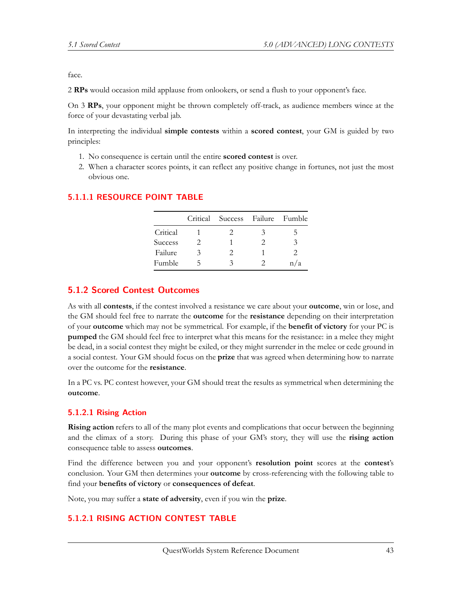face.

2 **RPs** would occasion mild applause from onlookers, or send a flush to your opponent's face.

On 3 **RPs**, your opponent might be thrown completely off-track, as audience members wince at the force of your devastating verbal jab.

In interpreting the individual **simple contests** within a **scored contest**, your GM is guided by two principles:

- 1. No consequence is certain until the entire **scored contest** is over.
- 2. When a character scores points, it can reflect any positive change in fortunes, not just the most obvious one.

|                |   | Critical Success Failure Fumble |               |     |
|----------------|---|---------------------------------|---------------|-----|
| Critical       |   | $\mathcal{L}$                   | 3             | b.  |
| <b>Success</b> | 2 |                                 | $\mathcal{L}$ | 3   |
| Failure        | 3 | 2                               |               |     |
| Fumble         | ↖ | 3                               | $\mathcal{L}$ | n/a |

# **5.1.1.1 RESOURCE POINT TABLE**

# **5.1.2 Scored Contest Outcomes**

As with all **contests**, if the contest involved a resistance we care about your **outcome**, win or lose, and the GM should feel free to narrate the **outcome** for the **resistance** depending on their interpretation of your **outcome** which may not be symmetrical. For example, if the **benefit of victory** for your PC is **pumped** the GM should feel free to interpret what this means for the resistance: in a melee they might be dead, in a social contest they might be exiled, or they might surrender in the melee or cede ground in a social contest. Your GM should focus on the **prize** that was agreed when determining how to narrate over the outcome for the **resistance**.

In a PC vs. PC contest however, your GM should treat the results as symmetrical when determining the **outcome**.

# **5.1.2.1 Rising Action**

**Rising action** refers to all of the many plot events and complications that occur between the beginning and the climax of a story. During this phase of your GM's story, they will use the **rising action** consequence table to assess **outcomes**.

Find the difference between you and your opponent's **resolution point** scores at the **contest**'s conclusion. Your GM then determines your **outcome** by cross-referencing with the following table to find your **benefits of victory** or **consequences of defeat**.

Note, you may suffer a **state of adversity**, even if you win the **prize**.

# **5.1.2.1 RISING ACTION CONTEST TABLE**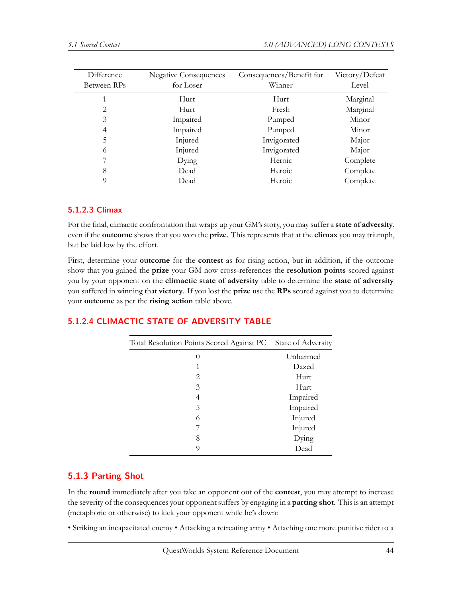| Difference  | <b>Negative Consequences</b> | Consequences/Benefit for | Victory/Defeat |
|-------------|------------------------------|--------------------------|----------------|
| Between RPs | for Loser                    | Winner                   | Level          |
|             | Hurt.                        | Hurt                     | Marginal       |
| 2           | Hurt                         | Fresh                    | Marginal       |
| 3           | Impaired                     | Pumped                   | Minor          |
| 4           | Impaired                     | Pumped                   | Minor          |
| 5           | Injured                      | Invigorated              | Major          |
| 6           | Injured                      | Invigorated              | Major          |
|             | Dying                        | Heroic                   | Complete       |
| 8           | Dead                         | Heroic                   | Complete       |
| $\Omega$    | Dead                         | Heroic                   | Complete       |
|             |                              |                          |                |

#### **5.1.2.3 Climax**

For the final, climactic confrontation that wraps up your GM's story, you may suffer a **state of adversity**, even if the **outcome** shows that you won the **prize**. This represents that at the **climax** you may triumph, but be laid low by the effort.

First, determine your **outcome** for the **contest** as for rising action, but in addition, if the outcome show that you gained the **prize** your GM now cross-references the **resolution points** scored against you by your opponent on the **climactic state of adversity** table to determine the **state of adversity** you suffered in winning that **victory**. If you lost the **prize** use the **RPs** scored against you to determine your **outcome** as per the **rising action** table above.

# **5.1.2.4 CLIMACTIC STATE OF ADVERSITY TABLE**

| Total Resolution Points Scored Against PC | State of Adversity |
|-------------------------------------------|--------------------|
| $\left( \right)$                          | Unharmed           |
|                                           | Dazed              |
| 2                                         | Hurt               |
| 3                                         | Hurt               |
| 4                                         | Impaired           |
| 5                                         | Impaired           |
| 6                                         | Injured            |
|                                           | Injured            |
| 8                                         | Dying              |
| 9                                         | Dead               |

# **5.1.3 Parting Shot**

In the **round** immediately after you take an opponent out of the **contest**, you may attempt to increase the severity of the consequences your opponent suffers by engaging in a **parting shot**. This is an attempt (metaphoric or otherwise) to kick your opponent while he's down:

• Striking an incapacitated enemy • Attacking a retreating army • Attaching one more punitive rider to a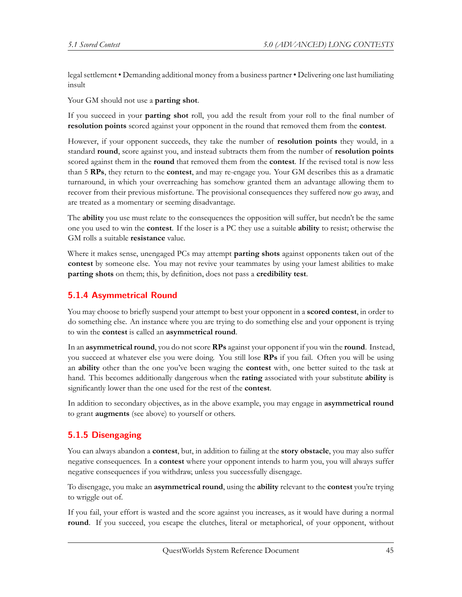legal settlement • Demanding additional money from a business partner • Delivering one last humiliating insult

Your GM should not use a **parting shot**.

If you succeed in your **parting shot** roll, you add the result from your roll to the final number of **resolution points** scored against your opponent in the round that removed them from the **contest**.

However, if your opponent succeeds, they take the number of **resolution points** they would, in a standard **round**, score against you, and instead subtracts them from the number of **resolution points** scored against them in the **round** that removed them from the **contest**. If the revised total is now less than 5 **RPs**, they return to the **contest**, and may re-engage you. Your GM describes this as a dramatic turnaround, in which your overreaching has somehow granted them an advantage allowing them to recover from their previous misfortune. The provisional consequences they suffered now go away, and are treated as a momentary or seeming disadvantage.

The **ability** you use must relate to the consequences the opposition will suffer, but needn't be the same one you used to win the **contest**. If the loser is a PC they use a suitable **ability** to resist; otherwise the GM rolls a suitable **resistance** value.

Where it makes sense, unengaged PCs may attempt **parting shots** against opponents taken out of the **contest** by someone else. You may not revive your teammates by using your lamest abilities to make **parting shots** on them; this, by definition, does not pass a **credibility test**.

# **5.1.4 Asymmetrical Round**

You may choose to briefly suspend your attempt to best your opponent in a **scored contest**, in order to do something else. An instance where you are trying to do something else and your opponent is trying to win the **contest** is called an **asymmetrical round**.

In an **asymmetrical round**, you do not score **RPs** against your opponent if you win the **round**. Instead, you succeed at whatever else you were doing. You still lose **RPs** if you fail. Often you will be using an **ability** other than the one you've been waging the **contest** with, one better suited to the task at hand. This becomes additionally dangerous when the **rating** associated with your substitute **ability** is significantly lower than the one used for the rest of the **contest**.

In addition to secondary objectives, as in the above example, you may engage in **asymmetrical round** to grant **augments** (see above) to yourself or others.

# **5.1.5 Disengaging**

You can always abandon a **contest**, but, in addition to failing at the **story obstacle**, you may also suffer negative consequences. In a **contest** where your opponent intends to harm you, you will always suffer negative consequences if you withdraw, unless you successfully disengage.

To disengage, you make an **asymmetrical round**, using the **ability** relevant to the **contest** you're trying to wriggle out of.

If you fail, your effort is wasted and the score against you increases, as it would have during a normal **round**. If you succeed, you escape the clutches, literal or metaphorical, of your opponent, without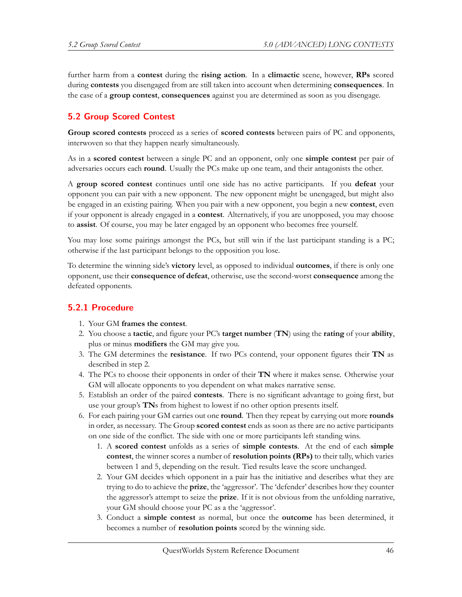further harm from a **contest** during the **rising action**. In a **climactic** scene, however, **RPs** scored during **contests** you disengaged from are still taken into account when determining **consequences**. In the case of a **group contest**, **consequences** against you are determined as soon as you disengage.

# **5.2 Group Scored Contest**

**Group scored contests** proceed as a series of **scored contests** between pairs of PC and opponents, interwoven so that they happen nearly simultaneously.

As in a **scored contest** between a single PC and an opponent, only one **simple contest** per pair of adversaries occurs each **round**. Usually the PCs make up one team, and their antagonists the other.

A **group scored contest** continues until one side has no active participants. If you **defeat** your opponent you can pair with a new opponent. The new opponent might be unengaged, but might also be engaged in an existing pairing. When you pair with a new opponent, you begin a new **contest**, even if your opponent is already engaged in a **contest**. Alternatively, if you are unopposed, you may choose to **assist**. Of course, you may be later engaged by an opponent who becomes free yourself.

You may lose some pairings amongst the PCs, but still win if the last participant standing is a PC; otherwise if the last participant belongs to the opposition you lose.

To determine the winning side's **victory** level, as opposed to individual **outcomes**, if there is only one opponent, use their **consequence of defeat**, otherwise, use the second-worst **consequence** among the defeated opponents.

# **5.2.1 Procedure**

- 1. Your GM **frames the contest**.
- 2. You choose a **tactic**, and figure your PC's **target number** (**TN**) using the **rating** of your **ability**, plus or minus **modifiers** the GM may give you.
- 3. The GM determines the **resistance**. If two PCs contend, your opponent figures their **TN** as described in step 2.
- 4. The PCs to choose their opponents in order of their **TN** where it makes sense. Otherwise your GM will allocate opponents to you dependent on what makes narrative sense.
- 5. Establish an order of the paired **contests**. There is no significant advantage to going first, but use your group's **TN**s from highest to lowest if no other option presents itself.
- 6. For each pairing your GM carries out one **round**. Then they repeat by carrying out more **rounds** in order, as necessary. The Group **scored contest** ends as soon as there are no active participants on one side of the conflict. The side with one or more participants left standing wins.
	- 1. A **scored contest** unfolds as a series of **simple contests**. At the end of each **simple contest**, the winner scores a number of **resolution points (RPs)** to their tally, which varies between 1 and 5, depending on the result. Tied results leave the score unchanged.
	- 2. Your GM decides which opponent in a pair has the initiative and describes what they are trying to do to achieve the **prize**, the 'aggressor'. The 'defender' describes how they counter the aggressor's attempt to seize the **prize**. If it is not obvious from the unfolding narrative, your GM should choose your PC as a the 'aggressor'.
	- 3. Conduct a **simple contest** as normal, but once the **outcome** has been determined, it becomes a number of **resolution points** scored by the winning side.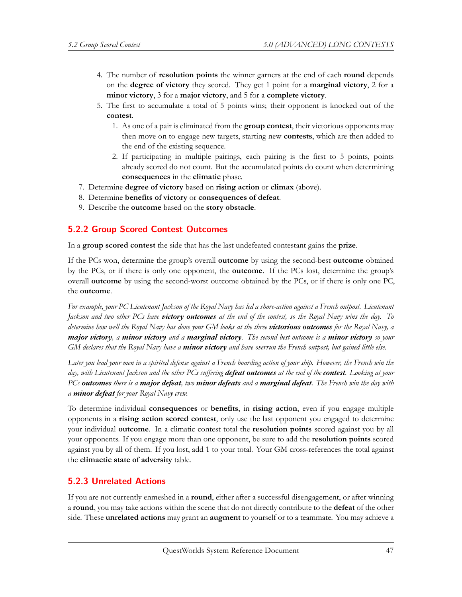- 4. The number of **resolution points** the winner garners at the end of each **round** depends on the **degree of victory** they scored. They get 1 point for a **marginal victory**, 2 for a **minor victory**, 3 for a **major victory**, and 5 for a **complete victory**.
- 5. The first to accumulate a total of 5 points wins; their opponent is knocked out of the **contest**.
	- 1. As one of a pair is eliminated from the **group contest**, their victorious opponents may then move on to engage new targets, starting new **contests**, which are then added to the end of the existing sequence.
	- 2. If participating in multiple pairings, each pairing is the first to 5 points, points already scored do not count. But the accumulated points do count when determining **consequences** in the **climatic** phase.
- 7. Determine **degree of victory** based on **rising action** or **climax** (above).
- 8. Determine **benefits of victory** or **consequences of defeat**.
- 9. Describe the **outcome** based on the **story obstacle**.

#### **5.2.2 Group Scored Contest Outcomes**

In a **group scored contest** the side that has the last undefeated contestant gains the **prize**.

If the PCs won, determine the group's overall **outcome** by using the second-best **outcome** obtained by the PCs, or if there is only one opponent, the **outcome**. If the PCs lost, determine the group's overall **outcome** by using the second-worst outcome obtained by the PCs, or if there is only one PC, the **outcome**.

*For example, your PC Lieutenant Jackson of the Royal Navy has led a shore-action against a French outpost. Lieutenant Jackson and two other PCs have victory outcomes at the end of the contest, so the Royal Navy wins the day. To determine how well the Royal Navy has done your GM looks at the three victorious outcomes for the Royal Navy, a major victory, a minor victory and a marginal victory. The second best outcome is a minor victory so your GM declares that the Royal Navy have a minor victory and have overrun the French outpost, but gained little else.*

*Later you lead your men in a spirited defense against a French boarding action of your ship. However, the French win the day, with Lieutenant Jackson and the other PCs suffering defeat outcomes at the end of the contest. Looking at your PCs outcomes there is a major defeat, two minor defeats and a marginal defeat. The French win the day with a minor defeat for your Royal Navy crew.*

To determine individual **consequences** or **benefits**, in **rising action**, even if you engage multiple opponents in a **rising action scored contest**, only use the last opponent you engaged to determine your individual **outcome**. In a climatic contest total the **resolution points** scored against you by all your opponents. If you engage more than one opponent, be sure to add the **resolution points** scored against you by all of them. If you lost, add 1 to your total. Your GM cross-references the total against the **climactic state of adversity** table.

#### **5.2.3 Unrelated Actions**

If you are not currently enmeshed in a **round**, either after a successful disengagement, or after winning a **round**, you may take actions within the scene that do not directly contribute to the **defeat** of the other side. These **unrelated actions** may grant an **augment** to yourself or to a teammate. You may achieve a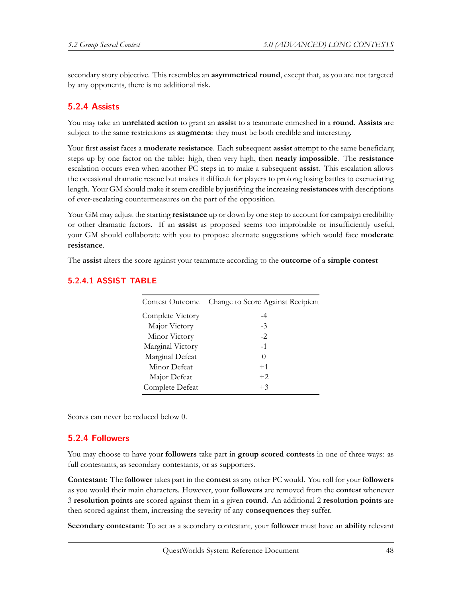secondary story objective. This resembles an **asymmetrical round**, except that, as you are not targeted by any opponents, there is no additional risk.

### **5.2.4 Assists**

You may take an **unrelated action** to grant an **assist** to a teammate enmeshed in a **round**. **Assists** are subject to the same restrictions as **augments**: they must be both credible and interesting.

Your first **assist** faces a **moderate resistance**. Each subsequent **assist** attempt to the same beneficiary, steps up by one factor on the table: high, then very high, then **nearly impossible**. The **resistance** escalation occurs even when another PC steps in to make a subsequent **assist**. This escalation allows the occasional dramatic rescue but makes it difficult for players to prolong losing battles to excruciating length. Your GM should make it seem credible by justifying the increasing **resistances** with descriptions of ever-escalating countermeasures on the part of the opposition.

Your GM may adjust the starting **resistance** up or down by one step to account for campaign credibility or other dramatic factors. If an **assist** as proposed seems too improbable or insufficiently useful, your GM should collaborate with you to propose alternate suggestions which would face **moderate resistance**.

The **assist** alters the score against your teammate according to the **outcome** of a **simple contest**

| Contest Outcome  | Change to Score Against Recipient |
|------------------|-----------------------------------|
| Complete Victory | -4                                |
| Major Victory    | -3                                |
| Minor Victory    | $-2.$                             |
| Marginal Victory | $-1$                              |
| Marginal Defeat  | $\left( \right)$                  |
| Minor Defeat     | $+1$                              |
| Major Defeat     | $+2$                              |
| Complete Defeat  | $+3$                              |

### **5.2.4.1 ASSIST TABLE**

Scores can never be reduced below 0.

#### **5.2.4 Followers**

You may choose to have your **followers** take part in **group scored contests** in one of three ways: as full contestants, as secondary contestants, or as supporters.

**Contestant**: The **follower** takes part in the **contest** as any other PC would. You roll for your **followers** as you would their main characters. However, your **followers** are removed from the **contest** whenever 3 **resolution points** are scored against them in a given **round**. An additional 2 **resolution points** are then scored against them, increasing the severity of any **consequences** they suffer.

**Secondary contestant**: To act as a secondary contestant, your **follower** must have an **ability** relevant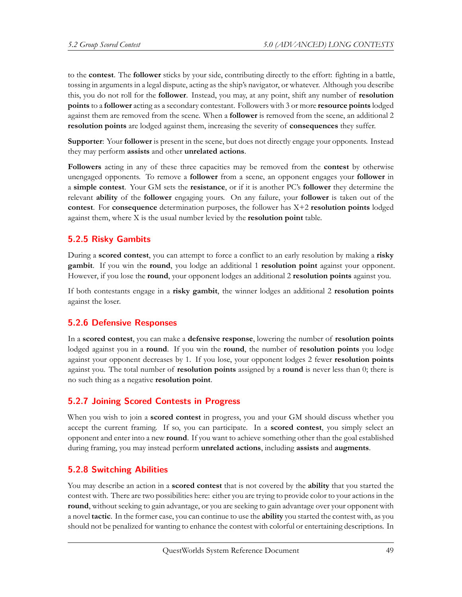to the **contest**. The **follower** sticks by your side, contributing directly to the effort: fighting in a battle, tossing in arguments in a legal dispute, acting as the ship's navigator, or whatever. Although you describe this, you do not roll for the **follower**. Instead, you may, at any point, shift any number of **resolution points** to a **follower** acting as a secondary contestant. Followers with 3 or more **resource points** lodged against them are removed from the scene. When a **follower** is removed from the scene, an additional 2 **resolution points** are lodged against them, increasing the severity of **consequences** they suffer.

**Supporter**: Your **follower** is present in the scene, but does not directly engage your opponents. Instead they may perform **assists** and other **unrelated actions**.

**Followers** acting in any of these three capacities may be removed from the **contest** by otherwise unengaged opponents. To remove a **follower** from a scene, an opponent engages your **follower** in a **simple contest**. Your GM sets the **resistance**, or if it is another PC's **follower** they determine the relevant **ability** of the **follower** engaging yours. On any failure, your **follower** is taken out of the **contest**. For **consequence** determination purposes, the follower has X+2 **resolution points** lodged against them, where X is the usual number levied by the **resolution point** table.

# **5.2.5 Risky Gambits**

During a **scored contest**, you can attempt to force a conflict to an early resolution by making a **risky gambit**. If you win the **round**, you lodge an additional 1 **resolution point** against your opponent. However, if you lose the **round**, your opponent lodges an additional 2 **resolution points** against you.

If both contestants engage in a **risky gambit**, the winner lodges an additional 2 **resolution points** against the loser.

#### **5.2.6 Defensive Responses**

In a **scored contest**, you can make a **defensive response**, lowering the number of **resolution points** lodged against you in a **round**. If you win the **round**, the number of **resolution points** you lodge against your opponent decreases by 1. If you lose, your opponent lodges 2 fewer **resolution points** against you. The total number of **resolution points** assigned by a **round** is never less than 0; there is no such thing as a negative **resolution point**.

# **5.2.7 Joining Scored Contests in Progress**

When you wish to join a **scored contest** in progress, you and your GM should discuss whether you accept the current framing. If so, you can participate. In a **scored contest**, you simply select an opponent and enter into a new **round**. If you want to achieve something other than the goal established during framing, you may instead perform **unrelated actions**, including **assists** and **augments**.

#### **5.2.8 Switching Abilities**

You may describe an action in a **scored contest** that is not covered by the **ability** that you started the contest with. There are two possibilities here: either you are trying to provide color to your actions in the **round**, without seeking to gain advantage, or you are seeking to gain advantage over your opponent with a novel **tactic**. In the former case, you can continue to use the **ability** you started the contest with, as you should not be penalized for wanting to enhance the contest with colorful or entertaining descriptions. In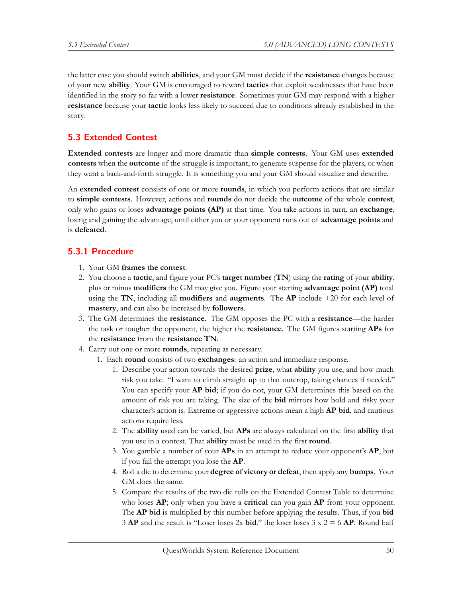the latter case you should switch **abilities**, and your GM must decide if the **resistance** changes because of your new **ability**. Your GM is encouraged to reward **tactics** that exploit weaknesses that have been identified in the story so far with a lower **resistance**. Sometimes your GM may respond with a higher **resistance** because your **tactic** looks less likely to succeed due to conditions already established in the story.

# **5.3 Extended Contest**

**Extended contests** are longer and more dramatic than **simple contests**. Your GM uses **extended contests** when the **outcome** of the struggle is important, to generate suspense for the players, or when they want a back-and-forth struggle. It is something you and your GM should visualize and describe.

An **extended contest** consists of one or more **rounds**, in which you perform actions that are similar to **simple contests**. However, actions and **rounds** do not decide the **outcome** of the whole **contest**, only who gains or loses **advantage points (AP)** at that time. You take actions in turn, an **exchange**, losing and gaining the advantage, until either you or your opponent runs out of **advantage points** and is **defeated**.

### **5.3.1 Procedure**

- 1. Your GM **frames the contest**.
- 2. You choose a **tactic**, and figure your PC's **target number** (**TN**) using the **rating** of your **ability**, plus or minus **modifiers** the GM may give you. Figure your starting **advantage point (AP)** total using the **TN**, including all **modifiers** and **augments**. The **AP** include +20 for each level of **mastery**, and can also be increased by **followers**.
- 3. The GM determines the **resistance**. The GM opposes the PC with a **resistance**—the harder the task or tougher the opponent, the higher the **resistance**. The GM figures starting **APs** for the **resistance** from the **resistance TN**.
- 4. Carry out one or more **rounds**, repeating as necessary.
	- 1. Each **round** consists of two **exchanges**: an action and immediate response.
		- 1. Describe your action towards the desired **prize**, what **ability** you use, and how much risk you take. "I want to climb straight up to that outcrop, taking chances if needed." You can specify your **AP bid**; if you do not, your GM determines this based on the amount of risk you are taking. The size of the **bid** mirrors how bold and risky your character's action is. Extreme or aggressive actions mean a high **AP bid**, and cautious actions require less.
		- 2. The **ability** used can be varied, but **APs** are always calculated on the first **ability** that you use in a contest. That **ability** must be used in the first **round**.
		- 3. You gamble a number of your **APs** in an attempt to reduce your opponent's **AP**, but if you fail the attempt you lose the **AP**.
		- 4. Roll a die to determine your **degree of victory or defeat**, then apply any **bumps**. Your GM does the same.
		- 5. Compare the results of the two die rolls on the Extended Contest Table to determine who loses **AP**; only when you have a **critical** can you gain **AP** from your opponent. The **AP bid** is multiplied by this number before applying the results. Thus, if you **bid** 3 **AP** and the result is "Loser loses 2x **bid**," the loser loses 3 x 2 = 6 **AP**. Round half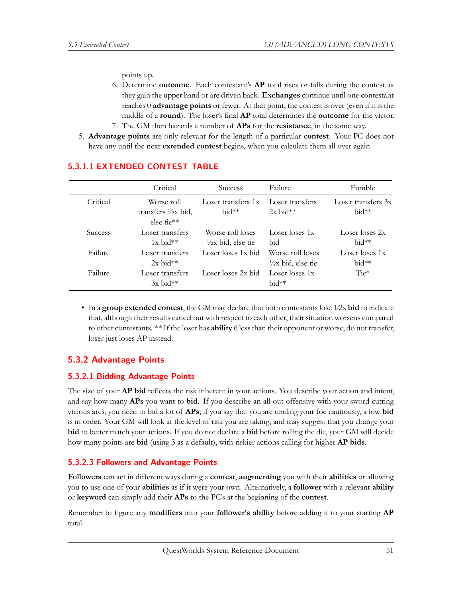points up.

- 6. Determine **outcome**. Each contestant's **AP** total rises or falls during the contest as they gain the upper hand or are driven back. **Exchanges** continue until one contestant reaches 0 **advantage points** or fewer. At that point, the contest is over (even if it is the middle of a **round**). The loser's final **AP** total determines the **outcome** for the victor. 7. The GM then hazards a number of **APs** for the **resistance**, in the same way.
- 5. **Advantage points** are only relevant for the length of a particular **contest**. Your PC does not have any until the next **extended contest** begins, when you calculate them all over again

|                | Critical                                                    | <b>Success</b>                                    | Failure                                           | Fumble                        |
|----------------|-------------------------------------------------------------|---------------------------------------------------|---------------------------------------------------|-------------------------------|
| Critical       | Worse roll<br>transfers $\frac{1}{2}x$ bid,<br>$else$ tie** | Loser transfers 1x<br>$hid**$                     | Loser transfers<br>$2x$ bid**                     | Loser transfers 3x<br>$bid**$ |
| <b>Success</b> | Loser transfers<br>$1x$ bid**                               | Worse roll loses<br>$\frac{1}{2}$ x bid, else tie | Loser loses 1x<br>bid                             | Loser loses 2x<br>$bid**$     |
| Failure        | Loser transfers<br>$2x$ bid**                               | Loser loses 1x bid                                | Worse roll loses<br>$\frac{1}{2}$ x bid, else tie | Loser loses 1x<br>$bid**$     |
| Failure        | Loser transfers<br>$3x$ bid**                               | Loser loses 2x bid                                | Loser loses 1x<br>$bid**$                         | $Tie*$                        |

#### **5.3.1.1 EXTENDED CONTEST TABLE**

• In a **group extended contest**, the GM may declare that both contestants lose 1⁄2x **bid** to indicate that, although their results cancel out with respect to each other, their situation worsens compared to other contestants. \*\* If the loser has **ability** 6 less than their opponent or worse, do not transfer, loser just loses AP instead.

#### **5.3.2 Advantage Points**

#### **5.3.2.1 Bidding Advantage Points**

The size of your **AP bid** reflects the risk inherent in your actions. You describe your action and intent, and say how many **APs** you want to **bid**. If you describe an all-out offensive with your sword cutting vicious arcs, you need to bid a lot of **APs**; if you say that you are circling your foe cautiously, a low **bid** is in order. Your GM will look at the level of risk you are taking, and may suggest that you change your **bid** to better match your actions. If you do not declare a **bid** before rolling the die, your GM will decide how many points are **bid** (using 3 as a default), with riskier actions calling for higher **AP bids**.

#### **5.3.2.3 Followers and Advantage Points**

**Followers** can act in different ways during a **contest**, **augmenting** you with their **abilities** or allowing you to use one of your **abilities** as if it were your own. Alternatively, a **follower** with a relevant **ability** or **keyword** can simply add their **APs** to the PC's at the beginning of the **contest**.

Remember to figure any **modifiers** into your **follower's ability** before adding it to your starting **AP** total.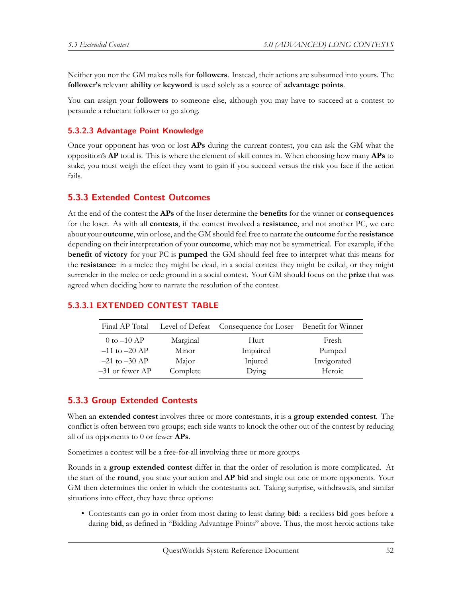Neither you nor the GM makes rolls for **followers**. Instead, their actions are subsumed into yours. The **follower's** relevant **ability** or **keyword** is used solely as a source of **advantage points**.

You can assign your **followers** to someone else, although you may have to succeed at a contest to persuade a reluctant follower to go along.

### **5.3.2.3 Advantage Point Knowledge**

Once your opponent has won or lost **APs** during the current contest, you can ask the GM what the opposition's **AP** total is. This is where the element of skill comes in. When choosing how many **APs** to stake, you must weigh the effect they want to gain if you succeed versus the risk you face if the action fails.

### **5.3.3 Extended Contest Outcomes**

At the end of the contest the **APs** of the loser determine the **benefits** for the winner or **consequences** for the loser. As with all **contests**, if the contest involved a **resistance**, and not another PC, we care about your **outcome**, win or lose, and the GM should feel free to narrate the **outcome** for the **resistance** depending on their interpretation of your **outcome**, which may not be symmetrical. For example, if the **benefit of victory** for your PC is **pumped** the GM should feel free to interpret what this means for the **resistance**: in a melee they might be dead, in a social contest they might be exiled, or they might surrender in the melee or cede ground in a social contest. Your GM should focus on the **prize** that was agreed when deciding how to narrate the resolution of the contest.

| Final AP Total    |          | Level of Defeat Consequence for Loser Benefit for Winner |             |
|-------------------|----------|----------------------------------------------------------|-------------|
| $0$ to $-10$ AP   | Marginal | Hurt                                                     | Fresh       |
| $-11$ to $-20$ AP | Minor    | Impaired                                                 | Pumped      |
| $-21$ to $-30$ AP | Major    | Injured                                                  | Invigorated |
| $-31$ or fewer AP | Complete | Dying                                                    | Heroic      |

# **5.3.3.1 EXTENDED CONTEST TABLE**

# **5.3.3 Group Extended Contests**

When an **extended contest** involves three or more contestants, it is a **group extended contest**. The conflict is often between two groups; each side wants to knock the other out of the contest by reducing all of its opponents to 0 or fewer **APs**.

Sometimes a contest will be a free-for-all involving three or more groups.

Rounds in a **group extended contest** differ in that the order of resolution is more complicated. At the start of the **round**, you state your action and **AP bid** and single out one or more opponents. Your GM then determines the order in which the contestants act. Taking surprise, withdrawals, and similar situations into effect, they have three options:

• Contestants can go in order from most daring to least daring **bid**: a reckless **bid** goes before a daring **bid**, as defined in "Bidding Advantage Points" above. Thus, the most heroic actions take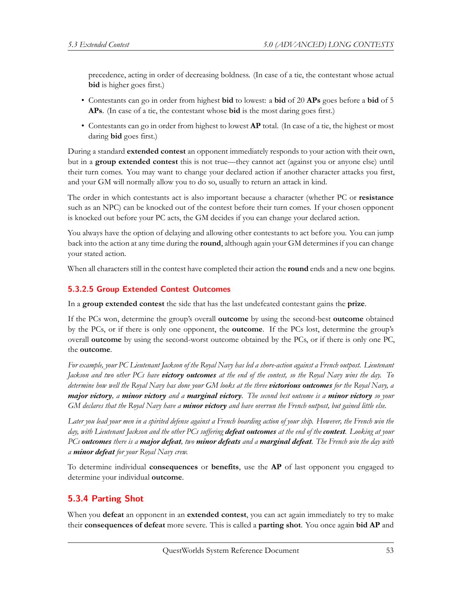precedence, acting in order of decreasing boldness. (In case of a tie, the contestant whose actual **bid** is higher goes first.)

- Contestants can go in order from highest **bid** to lowest: a **bid** of 20 **APs** goes before a **bid** of 5 **APs**. (In case of a tie, the contestant whose **bid** is the most daring goes first.)
- Contestants can go in order from highest to lowest **AP** total. (In case of a tie, the highest or most daring **bid** goes first.)

During a standard **extended contest** an opponent immediately responds to your action with their own, but in a **group extended contest** this is not true—they cannot act (against you or anyone else) until their turn comes. You may want to change your declared action if another character attacks you first, and your GM will normally allow you to do so, usually to return an attack in kind.

The order in which contestants act is also important because a character (whether PC or **resistance** such as an NPC) can be knocked out of the contest before their turn comes. If your chosen opponent is knocked out before your PC acts, the GM decides if you can change your declared action.

You always have the option of delaying and allowing other contestants to act before you. You can jump back into the action at any time during the **round**, although again your GM determines if you can change your stated action.

When all characters still in the contest have completed their action the **round** ends and a new one begins.

#### **5.3.2.5 Group Extended Contest Outcomes**

In a **group extended contest** the side that has the last undefeated contestant gains the **prize**.

If the PCs won, determine the group's overall **outcome** by using the second-best **outcome** obtained by the PCs, or if there is only one opponent, the **outcome**. If the PCs lost, determine the group's overall **outcome** by using the second-worst outcome obtained by the PCs, or if there is only one PC, the **outcome**.

*For example, your PC Lieutenant Jackson of the Royal Navy has led a shore-action against a French outpost. Lieutenant Jackson and two other PCs have victory outcomes at the end of the contest, so the Royal Navy wins the day. To determine how well the Royal Navy has done your GM looks at the three victorious outcomes for the Royal Navy, a major victory, a minor victory and a marginal victory. The second best outcome is a minor victory so your GM declares that the Royal Navy have a minor victory and have overrun the French outpost, but gained little else.*

*Later you lead your men in a spirited defense against a French boarding action of your ship. However, the French win the day, with Lieutenant Jackson and the other PCs suffering defeat outcomes at the end of the contest. Looking at your PCs outcomes there is a major defeat, two minor defeats and a marginal defeat. The French win the day with a minor defeat for your Royal Navy crew.*

To determine individual **consequences** or **benefits**, use the **AP** of last opponent you engaged to determine your individual **outcome**.

# **5.3.4 Parting Shot**

When you **defeat** an opponent in an **extended contest**, you can act again immediately to try to make their **consequences of defeat** more severe. This is called a **parting shot**. You once again **bid AP** and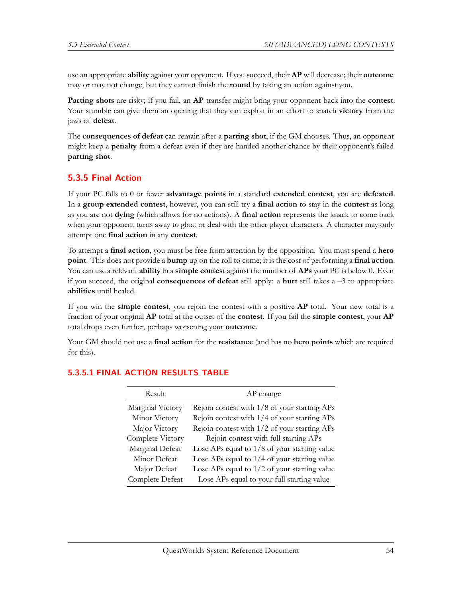use an appropriate **ability** against your opponent. If you succeed, their **AP** will decrease; their **outcome** may or may not change, but they cannot finish the **round** by taking an action against you.

**Parting shots** are risky; if you fail, an **AP** transfer might bring your opponent back into the **contest**. Your stumble can give them an opening that they can exploit in an effort to snatch **victory** from the jaws of **defeat**.

The **consequences of defeat** can remain after a **parting shot**, if the GM chooses. Thus, an opponent might keep a **penalty** from a defeat even if they are handed another chance by their opponent's failed **parting shot**.

# **5.3.5 Final Action**

If your PC falls to 0 or fewer **advantage points** in a standard **extended contest**, you are **defeated**. In a **group extended contest**, however, you can still try a **final action** to stay in the **contest** as long as you are not **dying** (which allows for no actions). A **final action** represents the knack to come back when your opponent turns away to gloat or deal with the other player characters. A character may only attempt one **final action** in any **contest**.

To attempt a **final action**, you must be free from attention by the opposition. You must spend a **hero point**. This does not provide a **bump** up on the roll to come; it is the cost of performing a **final action**. You can use a relevant **ability** in a **simple contest** against the number of **APs** your PC is below 0. Even if you succeed, the original **consequences of defeat** still apply: a **hurt** still takes a –3 to appropriate **abilities** until healed.

If you win the **simple contest**, you rejoin the contest with a positive **AP** total. Your new total is a fraction of your original **AP** total at the outset of the **contest**. If you fail the **simple contest**, your **AP** total drops even further, perhaps worsening your **outcome**.

Your GM should not use a **final action** for the **resistance** (and has no **hero points** which are required for this).

| Result           | AP change                                      |
|------------------|------------------------------------------------|
| Marginal Victory | Rejoin contest with $1/8$ of your starting APs |
| Minor Victory    | Rejoin contest with 1/4 of your starting APs   |
| Major Victory    | Rejoin contest with $1/2$ of your starting APs |
| Complete Victory | Rejoin contest with full starting APs          |
| Marginal Defeat  | Lose APs equal to $1/8$ of your starting value |
| Minor Defeat     | Lose APs equal to $1/4$ of your starting value |
| Major Defeat     | Lose APs equal to $1/2$ of your starting value |
| Complete Defeat  | Lose APs equal to your full starting value     |
|                  |                                                |

#### **5.3.5.1 FINAL ACTION RESULTS TABLE**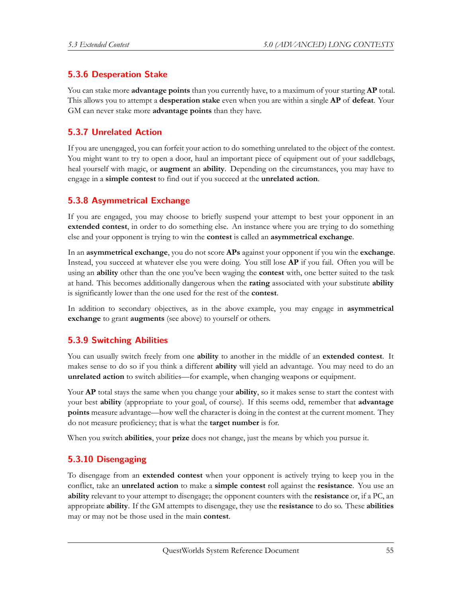# **5.3.6 Desperation Stake**

You can stake more **advantage points** than you currently have, to a maximum of your starting **AP** total. This allows you to attempt a **desperation stake** even when you are within a single **AP** of **defeat**. Your GM can never stake more **advantage points** than they have.

# **5.3.7 Unrelated Action**

If you are unengaged, you can forfeit your action to do something unrelated to the object of the contest. You might want to try to open a door, haul an important piece of equipment out of your saddlebags, heal yourself with magic, or **augment** an **ability**. Depending on the circumstances, you may have to engage in a **simple contest** to find out if you succeed at the **unrelated action**.

# **5.3.8 Asymmetrical Exchange**

If you are engaged, you may choose to briefly suspend your attempt to best your opponent in an **extended contest**, in order to do something else. An instance where you are trying to do something else and your opponent is trying to win the **contest** is called an **asymmetrical exchange**.

In an **asymmetrical exchange**, you do not score **APs** against your opponent if you win the **exchange**. Instead, you succeed at whatever else you were doing. You still lose **AP** if you fail. Often you will be using an **ability** other than the one you've been waging the **contest** with, one better suited to the task at hand. This becomes additionally dangerous when the **rating** associated with your substitute **ability** is significantly lower than the one used for the rest of the **contest**.

In addition to secondary objectives, as in the above example, you may engage in **asymmetrical exchange** to grant **augments** (see above) to yourself or others.

# **5.3.9 Switching Abilities**

You can usually switch freely from one **ability** to another in the middle of an **extended contest**. It makes sense to do so if you think a different **ability** will yield an advantage. You may need to do an **unrelated action** to switch abilities—for example, when changing weapons or equipment.

Your **AP** total stays the same when you change your **ability**, so it makes sense to start the contest with your best **ability** (appropriate to your goal, of course). If this seems odd, remember that **advantage points** measure advantage—how well the character is doing in the contest at the current moment. They do not measure proficiency; that is what the **target number** is for.

When you switch **abilities**, your **prize** does not change, just the means by which you pursue it.

# **5.3.10 Disengaging**

To disengage from an **extended contest** when your opponent is actively trying to keep you in the conflict, take an **unrelated action** to make a **simple contest** roll against the **resistance**. You use an **ability** relevant to your attempt to disengage; the opponent counters with the **resistance** or, if a PC, an appropriate **ability**. If the GM attempts to disengage, they use the **resistance** to do so. These **abilities** may or may not be those used in the main **contest**.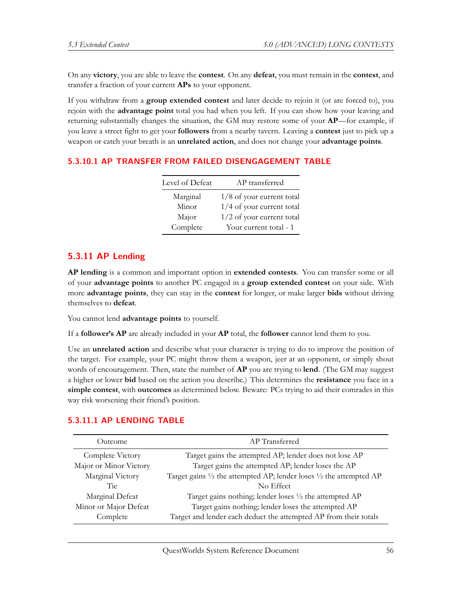On any **victory**, you are able to leave the **contest**. On any **defeat**, you must remain in the **contest**, and transfer a fraction of your current **APs** to your opponent.

If you withdraw from a **group extended contest** and later decide to rejoin it (or are forced to), you rejoin with the **advantage point** total you had when you left. If you can show how your leaving and returning substantially changes the situation, the GM may restore some of your **AP**—for example, if you leave a street fight to get your **followers** from a nearby tavern. Leaving a **contest** just to pick up a weapon or catch your breath is an **unrelated action**, and does not change your **advantage points**.

### **5.3.10.1 AP TRANSFER FROM FAILED DISENGAGEMENT TABLE**

| Level of Defeat | AP transferred              |
|-----------------|-----------------------------|
| Marginal        | $1/8$ of your current total |
| Minor           | $1/4$ of your current total |
| Major           | 1/2 of your current total   |
| Complete        | Your current total - 1      |

### **5.3.11 AP Lending**

**AP lending** is a common and important option in **extended contests**. You can transfer some or all of your **advantage points** to another PC engaged in a **group extended contest** on your side. With more **advantage points**, they can stay in the **contest** for longer, or make larger **bids** without driving themselves to **defeat**.

You cannot lend **advantage points** to yourself.

If a **follower's AP** are already included in your **AP** total, the **follower** cannot lend them to you.

Use an **unrelated action** and describe what your character is trying to do to improve the position of the target. For example, your PC might throw them a weapon, jeer at an opponent, or simply shout words of encouragement. Then, state the number of **AP** you are trying to **lend**. (The GM may suggest a higher or lower **bid** based on the action you describe.) This determines the **resistance** you face in a **simple contest**, with **outcomes** as determined below. Beware: PCs trying to aid their comrades in this way risk worsening their friend's position.

| Outcome                | AP Transferred                                                       |
|------------------------|----------------------------------------------------------------------|
| Complete Victory       | Target gains the attempted AP; lender does not lose AP               |
| Major or Minor Victory | Target gains the attempted AP; lender loses the AP                   |
| Marginal Victory       | Target gains 1/2 the attempted AP; lender loses 1/2 the attempted AP |
| Tie                    | No Effect                                                            |
| Marginal Defeat        | Target gains nothing; lender loses $\frac{1}{2}$ the attempted AP    |
| Minor or Major Defeat  | Target gains nothing; lender loses the attempted AP                  |
| Complete               | Target and lender each deduct the attempted AP from their totals     |

#### **5.3.11.1 AP LENDING TABLE**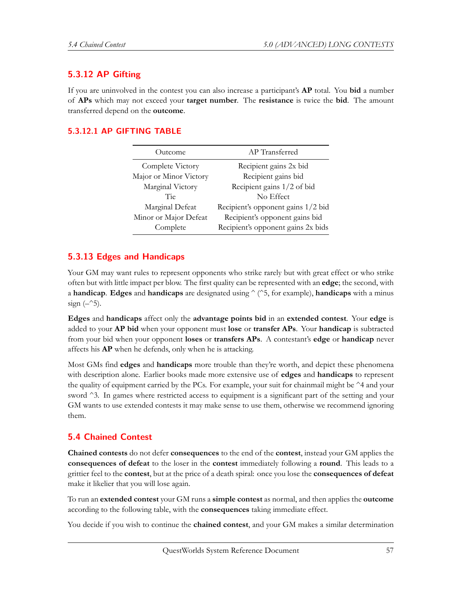# **5.3.12 AP Gifting**

If you are uninvolved in the contest you can also increase a participant's **AP** total. You **bid** a number of **APs** which may not exceed your **target number**. The **resistance** is twice the **bid**. The amount transferred depend on the **outcome**.

### **5.3.12.1 AP GIFTING TABLE**

| Outcome                | AP Transferred                     |
|------------------------|------------------------------------|
| Complete Victory       | Recipient gains 2x bid             |
| Major or Minor Victory | Recipient gains bid                |
| Marginal Victory       | Recipient gains 1/2 of bid         |
| Tie                    | No Effect                          |
| Marginal Defeat        | Recipient's opponent gains 1/2 bid |
| Minor or Major Defeat  | Recipient's opponent gains bid     |
| Complete               | Recipient's opponent gains 2x bids |

### **5.3.13 Edges and Handicaps**

Your GM may want rules to represent opponents who strike rarely but with great effect or who strike often but with little impact per blow. The first quality can be represented with an **edge**; the second, with a **handicap**. **Edges** and **handicaps** are designated using  $\hat{\ }$  ( $\hat{\ }$ 5, for example), **handicaps** with a minus sign  $(-25)$ .

**Edges** and **handicaps** affect only the **advantage points bid** in an **extended contest**. Your **edge** is added to your **AP bid** when your opponent must **lose** or **transfer APs**. Your **handicap** is subtracted from your bid when your opponent **loses** or **transfers APs**. A contestant's **edge** or **handicap** never affects his **AP** when he defends, only when he is attacking.

Most GMs find **edges** and **handicaps** more trouble than they're worth, and depict these phenomena with description alone. Earlier books made more extensive use of **edges** and **handicaps** to represent the quality of equipment carried by the PCs. For example, your suit for chainmail might be ^4 and your sword ^3. In games where restricted access to equipment is a significant part of the setting and your GM wants to use extended contests it may make sense to use them, otherwise we recommend ignoring them.

# **5.4 Chained Contest**

**Chained contests** do not defer **consequences** to the end of the **contest**, instead your GM applies the **consequences of defeat** to the loser in the **contest** immediately following a **round**. This leads to a grittier feel to the **contest**, but at the price of a death spiral: once you lose the **consequences of defeat** make it likelier that you will lose again.

To run an **extended contest** your GM runs a **simple contest** as normal, and then applies the **outcome** according to the following table, with the **consequences** taking immediate effect.

You decide if you wish to continue the **chained contest**, and your GM makes a similar determination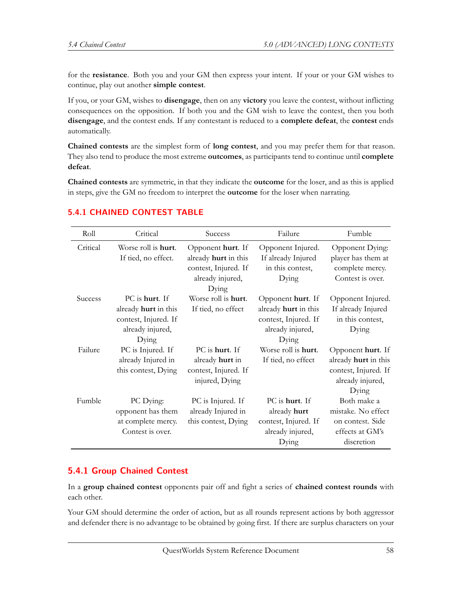for the **resistance**. Both you and your GM then express your intent. If your or your GM wishes to continue, play out another **simple contest**.

If you, or your GM, wishes to **disengage**, then on any **victory** you leave the contest, without inflicting consequences on the opposition. If both you and the GM wish to leave the contest, then you both **disengage**, and the contest ends. If any contestant is reduced to a **complete defeat**, the **contest** ends automatically.

**Chained contests** are the simplest form of **long contest**, and you may prefer them for that reason. They also tend to produce the most extreme **outcomes**, as participants tend to continue until **complete defeat**.

**Chained contests** are symmetric, in that they indicate the **outcome** for the loser, and as this is applied in steps, give the GM no freedom to interpret the **outcome** for the loser when narrating.

| Roll           | Critical                    | Success              | Failure                     | Fumble               |
|----------------|-----------------------------|----------------------|-----------------------------|----------------------|
| Critical       | Worse roll is <b>hurt</b> . | Opponent hurt. If    | Opponent Injured.           | Opponent Dying:      |
|                | If tied, no effect.         | already hurt in this | If already Injured          | player has them at   |
|                |                             | contest, Injured. If | in this contest,            | complete mercy.      |
|                |                             | already injured,     | Dying                       | Contest is over.     |
|                |                             | Dying                |                             |                      |
| <b>Success</b> | PC is hurt. If              | Worse roll is hurt.  | Opponent hurt. If           | Opponent Injured.    |
|                | already hurt in this        | If tied, no effect   | already hurt in this        | If already Injured   |
|                | contest, Injured. If        |                      | contest, Injured. If        | in this contest,     |
|                | already injured,            |                      | already injured,            | Dying                |
|                | Dying                       |                      | Dying                       |                      |
| Failure        | PC is Injured. If           | PC is hurt. If       | Worse roll is <b>hurt</b> . | Opponent hurt. If    |
|                | already Injured in          | already hurt in      | If tied, no effect          | already hurt in this |
|                | this contest, Dying         | contest, Injured. If |                             | contest, Injured. If |
|                |                             | injured, Dying       |                             | already injured,     |
|                |                             |                      |                             | Dying                |
| Fumble         | PC Dying:                   | PC is Injured. If    | PC is hurt. If              | Both make a          |
|                | opponent has them           | already Injured in   | already hurt                | mistake. No effect   |
|                | at complete mercy.          | this contest, Dying  | contest, Injured. If        | on contest. Side     |
|                | Contest is over.            |                      | already injured,            | effects at GM's      |
|                |                             |                      | Dying                       | discretion           |

# **5.4.1 CHAINED CONTEST TABLE**

# **5.4.1 Group Chained Contest**

In a **group chained contest** opponents pair off and fight a series of **chained contest rounds** with each other.

Your GM should determine the order of action, but as all rounds represent actions by both aggressor and defender there is no advantage to be obtained by going first. If there are surplus characters on your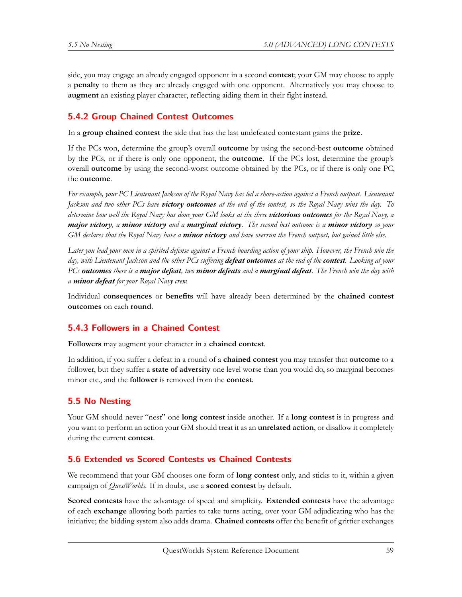side, you may engage an already engaged opponent in a second **contest**; your GM may choose to apply a **penalty** to them as they are already engaged with one opponent. Alternatively you may choose to **augment** an existing player character, reflecting aiding them in their fight instead.

# **5.4.2 Group Chained Contest Outcomes**

In a **group chained contest** the side that has the last undefeated contestant gains the **prize**.

If the PCs won, determine the group's overall **outcome** by using the second-best **outcome** obtained by the PCs, or if there is only one opponent, the **outcome**. If the PCs lost, determine the group's overall **outcome** by using the second-worst outcome obtained by the PCs, or if there is only one PC, the **outcome**.

*For example, your PC Lieutenant Jackson of the Royal Navy has led a shore-action against a French outpost. Lieutenant Jackson and two other PCs have victory outcomes at the end of the contest, so the Royal Navy wins the day. To determine how well the Royal Navy has done your GM looks at the three victorious outcomes for the Royal Navy, a major victory, a minor victory and a marginal victory. The second best outcome is a minor victory so your GM declares that the Royal Navy have a minor victory and have overrun the French outpost, but gained little else.*

*Later you lead your men in a spirited defense against a French boarding action of your ship. However, the French win the day, with Lieutenant Jackson and the other PCs suffering defeat outcomes at the end of the contest. Looking at your PCs outcomes there is a major defeat, two minor defeats and a marginal defeat. The French win the day with a minor defeat for your Royal Navy crew.*

Individual **consequences** or **benefits** will have already been determined by the **chained contest outcomes** on each **round**.

# **5.4.3 Followers in a Chained Contest**

**Followers** may augment your character in a **chained contest**.

In addition, if you suffer a defeat in a round of a **chained contest** you may transfer that **outcome** to a follower, but they suffer a **state of adversity** one level worse than you would do, so marginal becomes minor etc., and the **follower** is removed from the **contest**.

# **5.5 No Nesting**

Your GM should never "nest" one **long contest** inside another. If a **long contest** is in progress and you want to perform an action your GM should treat it as an **unrelated action**, or disallow it completely during the current **contest**.

# **5.6 Extended vs Scored Contests vs Chained Contests**

We recommend that your GM chooses one form of **long contest** only, and sticks to it, within a given campaign of *QuestWorlds*. If in doubt, use a **scored contest** by default.

**Scored contests** have the advantage of speed and simplicity. **Extended contests** have the advantage of each **exchange** allowing both parties to take turns acting, over your GM adjudicating who has the initiative; the bidding system also adds drama. **Chained contests** offer the benefit of grittier exchanges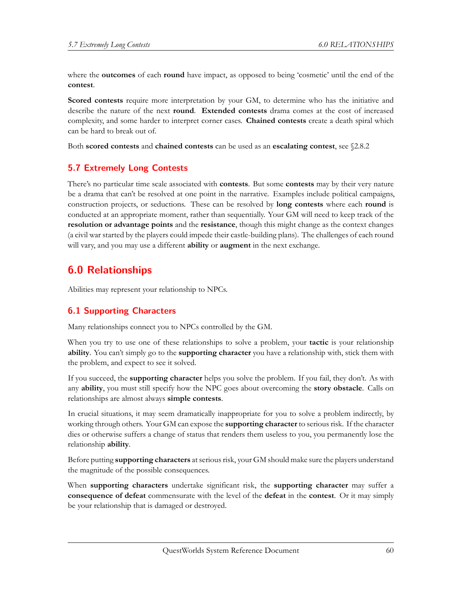where the **outcomes** of each **round** have impact, as opposed to being 'cosmetic' until the end of the **contest**.

**Scored contests** require more interpretation by your GM, to determine who has the initiative and describe the nature of the next **round**. **Extended contests** drama comes at the cost of increased complexity, and some harder to interpret corner cases. **Chained contests** create a death spiral which can be hard to break out of.

Both **scored contests** and **chained contests** can be used as an **escalating contest**, see §2.8.2

# **5.7 Extremely Long Contests**

There's no particular time scale associated with **contests**. But some **contests** may by their very nature be a drama that can't be resolved at one point in the narrative. Examples include political campaigns, construction projects, or seductions. These can be resolved by **long contests** where each **round** is conducted at an appropriate moment, rather than sequentially. Your GM will need to keep track of the **resolution or advantage points** and the **resistance**, though this might change as the context changes (a civil war started by the players could impede their castle-building plans). The challenges of each round will vary, and you may use a different **ability** or **augment** in the next exchange.

# **6.0 Relationships**

Abilities may represent your relationship to NPCs.

# **6.1 Supporting Characters**

Many relationships connect you to NPCs controlled by the GM.

When you try to use one of these relationships to solve a problem, your **tactic** is your relationship **ability**. You can't simply go to the **supporting character** you have a relationship with, stick them with the problem, and expect to see it solved.

If you succeed, the **supporting character** helps you solve the problem. If you fail, they don't. As with any **ability**, you must still specify how the NPC goes about overcoming the **story obstacle**. Calls on relationships are almost always **simple contests**.

In crucial situations, it may seem dramatically inappropriate for you to solve a problem indirectly, by working through others. Your GM can expose the **supporting character** to serious risk. If the character dies or otherwise suffers a change of status that renders them useless to you, you permanently lose the relationship **ability**.

Before putting **supporting characters** at serious risk, your GM should make sure the players understand the magnitude of the possible consequences.

When **supporting characters** undertake significant risk, the **supporting character** may suffer a **consequence of defeat** commensurate with the level of the **defeat** in the **contest**. Or it may simply be your relationship that is damaged or destroyed.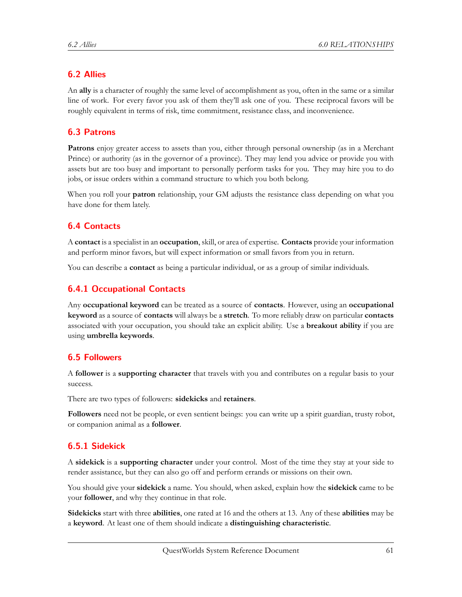# **6.2 Allies**

An **ally** is a character of roughly the same level of accomplishment as you, often in the same or a similar line of work. For every favor you ask of them they'll ask one of you. These reciprocal favors will be roughly equivalent in terms of risk, time commitment, resistance class, and inconvenience.

# **6.3 Patrons**

**Patrons** enjoy greater access to assets than you, either through personal ownership (as in a Merchant Prince) or authority (as in the governor of a province). They may lend you advice or provide you with assets but are too busy and important to personally perform tasks for you. They may hire you to do jobs, or issue orders within a command structure to which you both belong.

When you roll your **patron** relationship, your GM adjusts the resistance class depending on what you have done for them lately.

# **6.4 Contacts**

A **contact** is a specialist in an **occupation**, skill, or area of expertise. **Contacts** provide your information and perform minor favors, but will expect information or small favors from you in return.

You can describe a **contact** as being a particular individual, or as a group of similar individuals.

# **6.4.1 Occupational Contacts**

Any **occupational keyword** can be treated as a source of **contacts**. However, using an **occupational keyword** as a source of **contacts** will always be a **stretch**. To more reliably draw on particular **contacts** associated with your occupation, you should take an explicit ability. Use a **breakout ability** if you are using **umbrella keywords**.

# **6.5 Followers**

A **follower** is a **supporting character** that travels with you and contributes on a regular basis to your success.

There are two types of followers: **sidekicks** and **retainers**.

**Followers** need not be people, or even sentient beings: you can write up a spirit guardian, trusty robot, or companion animal as a **follower**.

# **6.5.1 Sidekick**

A **sidekick** is a **supporting character** under your control. Most of the time they stay at your side to render assistance, but they can also go off and perform errands or missions on their own.

You should give your **sidekick** a name. You should, when asked, explain how the **sidekick** came to be your **follower**, and why they continue in that role.

**Sidekicks** start with three **abilities**, one rated at 16 and the others at 13. Any of these **abilities** may be a **keyword**. At least one of them should indicate a **distinguishing characteristic**.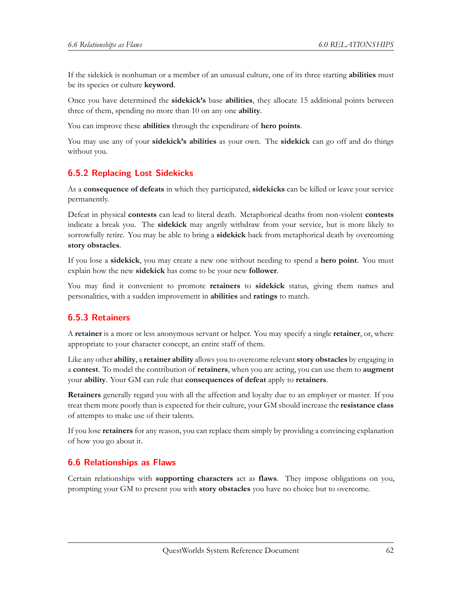If the sidekick is nonhuman or a member of an unusual culture, one of its three starting **abilities** must be its species or culture **keyword**.

Once you have determined the **sidekick's** base **abilities**, they allocate 15 additional points between three of them, spending no more than 10 on any one **ability**.

You can improve these **abilities** through the expenditure of **hero points**.

You may use any of your **sidekick's abilities** as your own. The **sidekick** can go off and do things without you.

#### **6.5.2 Replacing Lost Sidekicks**

As a **consequence of defeats** in which they participated, **sidekicks** can be killed or leave your service permanently.

Defeat in physical **contests** can lead to literal death. Metaphorical deaths from non-violent **contests** indicate a break you. The **sidekick** may angrily withdraw from your service, but is more likely to sorrowfully retire. You may be able to bring a **sidekick** back from metaphorical death by overcoming **story obstacles**.

If you lose a **sidekick**, you may create a new one without needing to spend a **hero point**. You must explain how the new **sidekick** has come to be your new **follower**.

You may find it convenient to promote **retainers** to **sidekick** status, giving them names and personalities, with a sudden improvement in **abilities** and **ratings** to match.

#### **6.5.3 Retainers**

A **retainer** is a more or less anonymous servant or helper. You may specify a single **retainer**, or, where appropriate to your character concept, an entire staff of them.

Like any other **ability**, a **retainer ability** allows you to overcome relevant **story obstacles** by engaging in a **contest**. To model the contribution of **retainers**, when you are acting, you can use them to **augment** your **ability**. Your GM can rule that **consequences of defeat** apply to **retainers**.

**Retainers** generally regard you with all the affection and loyalty due to an employer or master. If you treat them more poorly than is expected for their culture, your GM should increase the **resistance class** of attempts to make use of their talents.

If you lose **retainers** for any reason, you can replace them simply by providing a convincing explanation of how you go about it.

#### **6.6 Relationships as Flaws**

Certain relationships with **supporting characters** act as **flaws**. They impose obligations on you, prompting your GM to present you with **story obstacles** you have no choice but to overcome.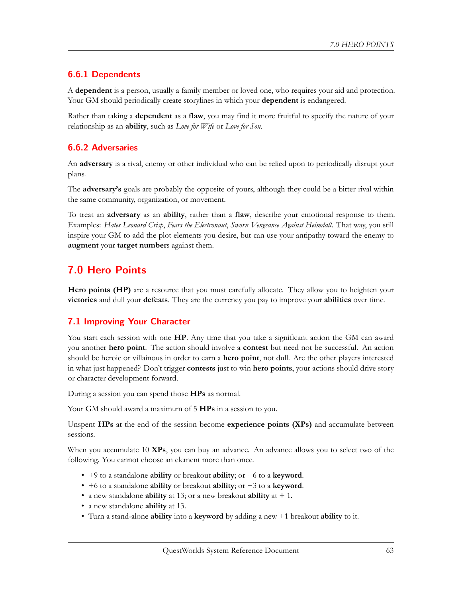# **6.6.1 Dependents**

A **dependent** is a person, usually a family member or loved one, who requires your aid and protection. Your GM should periodically create storylines in which your **dependent** is endangered.

Rather than taking a **dependent** as a **flaw**, you may find it more fruitful to specify the nature of your relationship as an **ability**, such as *Love for Wife* or *Love for Son*.

# **6.6.2 Adversaries**

An **adversary** is a rival, enemy or other individual who can be relied upon to periodically disrupt your plans.

The **adversary's** goals are probably the opposite of yours, although they could be a bitter rival within the same community, organization, or movement.

To treat an **adversary** as an **ability**, rather than a **flaw**, describe your emotional response to them. Examples: *Hates Leonard Crisp*, *Fears the Electronaut*, *Sworn Vengeance Against Heimdall*. That way, you still inspire your GM to add the plot elements you desire, but can use your antipathy toward the enemy to **augment** your **target number**s against them.

# **7.0 Hero Points**

**Hero points (HP)** are a resource that you must carefully allocate. They allow you to heighten your **victories** and dull your **defeats**. They are the currency you pay to improve your **abilities** over time.

# **7.1 Improving Your Character**

You start each session with one **HP**. Any time that you take a significant action the GM can award you another **hero point**. The action should involve a **contest** but need not be successful. An action should be heroic or villainous in order to earn a **hero point**, not dull. Are the other players interested in what just happened? Don't trigger **contests** just to win **hero points**, your actions should drive story or character development forward.

During a session you can spend those **HPs** as normal.

Your GM should award a maximum of 5 **HPs** in a session to you.

Unspent **HPs** at the end of the session become **experience points (XPs)** and accumulate between sessions.

When you accumulate 10 **XPs**, you can buy an advance. An advance allows you to select two of the following. You cannot choose an element more than once.

- +9 to a standalone **ability** or breakout **ability**; or +6 to a **keyword**.
- +6 to a standalone **ability** or breakout **ability**; or +3 to a **keyword**.
- a new standalone **ability** at 13; or a new breakout **ability** at + 1.
- a new standalone **ability** at 13.
- Turn a stand-alone **ability** into a **keyword** by adding a new +1 breakout **ability** to it.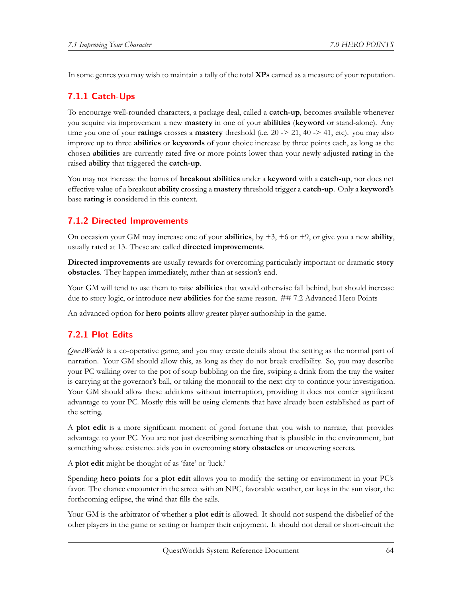In some genres you may wish to maintain a tally of the total **XPs** earned as a measure of your reputation.

# **7.1.1 Catch-Ups**

To encourage well-rounded characters, a package deal, called a **catch-up**, becomes available whenever you acquire via improvement a new **mastery** in one of your **abilities** (**keyword** or stand-alone). Any time you one of your **ratings** crosses a **mastery** threshold (i.e. 20 -> 21, 40 -> 41, etc). you may also improve up to three **abilities** or **keywords** of your choice increase by three points each, as long as the chosen **abilities** are currently rated five or more points lower than your newly adjusted **rating** in the raised **ability** that triggered the **catch-up**.

You may not increase the bonus of **breakout abilities** under a **keyword** with a **catch-up**, nor does net effective value of a breakout **ability** crossing a **mastery** threshold trigger a **catch-up**. Only a **keyword**'s base **rating** is considered in this context.

# **7.1.2 Directed Improvements**

On occasion your GM may increase one of your **abilities**, by +3, +6 or +9, or give you a new **ability**, usually rated at 13. These are called **directed improvements**.

**Directed improvements** are usually rewards for overcoming particularly important or dramatic **story obstacles**. They happen immediately, rather than at session's end.

Your GM will tend to use them to raise **abilities** that would otherwise fall behind, but should increase due to story logic, or introduce new **abilities** for the same reason. ## 7.2 Advanced Hero Points

An advanced option for **hero points** allow greater player authorship in the game.

# **7.2.1 Plot Edits**

*QuestWorlds* is a co-operative game, and you may create details about the setting as the normal part of narration. Your GM should allow this, as long as they do not break credibility. So, you may describe your PC walking over to the pot of soup bubbling on the fire, swiping a drink from the tray the waiter is carrying at the governor's ball, or taking the monorail to the next city to continue your investigation. Your GM should allow these additions without interruption, providing it does not confer significant advantage to your PC. Mostly this will be using elements that have already been established as part of the setting.

A **plot edit** is a more significant moment of good fortune that you wish to narrate, that provides advantage to your PC. You are not just describing something that is plausible in the environment, but something whose existence aids you in overcoming **story obstacles** or uncovering secrets.

A **plot edit** might be thought of as 'fate' or 'luck.'

Spending **hero points** for a **plot edit** allows you to modify the setting or environment in your PC's favor. The chance encounter in the street with an NPC, favorable weather, car keys in the sun visor, the forthcoming eclipse, the wind that fills the sails.

Your GM is the arbitrator of whether a **plot edit** is allowed. It should not suspend the disbelief of the other players in the game or setting or hamper their enjoyment. It should not derail or short-circuit the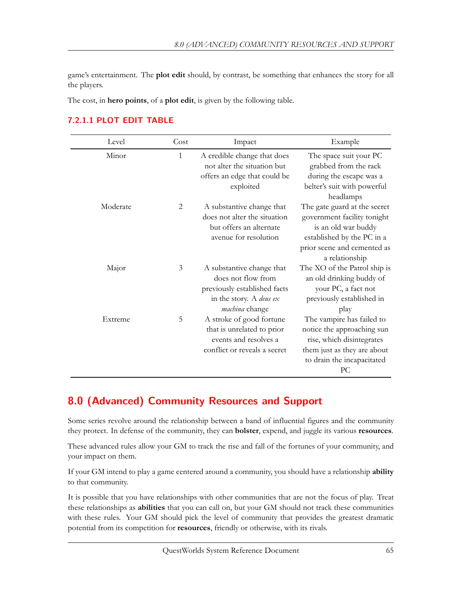game's entertainment. The **plot edit** should, by contrast, be something that enhances the story for all the players.

The cost, in **hero points**, of a **plot edit**, is given by the following table.

| Level    | Cost         | Impact                                                                                                                                     | Example                                                                                                                                                           |
|----------|--------------|--------------------------------------------------------------------------------------------------------------------------------------------|-------------------------------------------------------------------------------------------------------------------------------------------------------------------|
| Minor    | $\mathbf{1}$ | A credible change that does<br>not alter the situation but<br>offers an edge that could be<br>exploited                                    | The space suit your PC<br>grabbed from the rack<br>during the escape was a<br>belter's suit with powerful<br>headlamps                                            |
| Moderate | 2            | A substantive change that<br>does not alter the situation<br>but offers an alternate<br>avenue for resolution                              | The gate guard at the secret<br>government facility tonight<br>is an old war buddy<br>established by the PC in a<br>prior scene and cemented as<br>a relationship |
| Major    | 3            | A substantive change that<br>does not flow from<br>previously established facts<br>in the story. A <i>deus ex</i><br><i>machina</i> change | The XO of the Patrol ship is<br>an old drinking buddy of<br>your PC, a fact not<br>previously established in<br>play                                              |
| Extreme  | 5            | A stroke of good fortune<br>that is unrelated to prior<br>events and resolves a<br>conflict or reveals a secret                            | The vampire has failed to<br>notice the approaching sun<br>rise, which disintegrates<br>them just as they are about<br>to drain the incapacitated<br>PC           |

# **7.2.1.1 PLOT EDIT TABLE**

# **8.0 (Advanced) Community Resources and Support**

Some series revolve around the relationship between a band of influential figures and the community they protect. In defense of the community, they can **bolster**, expend, and juggle its various **resources**.

These advanced rules allow your GM to track the rise and fall of the fortunes of your community, and your impact on them.

If your GM intend to play a game centered around a community, you should have a relationship **ability** to that community.

It is possible that you have relationships with other communities that are not the focus of play. Treat these relationships as **abilities** that you can call on, but your GM should not track these communities with these rules. Your GM should pick the level of community that provides the greatest dramatic potential from its competition for **resources**, friendly or otherwise, with its rivals.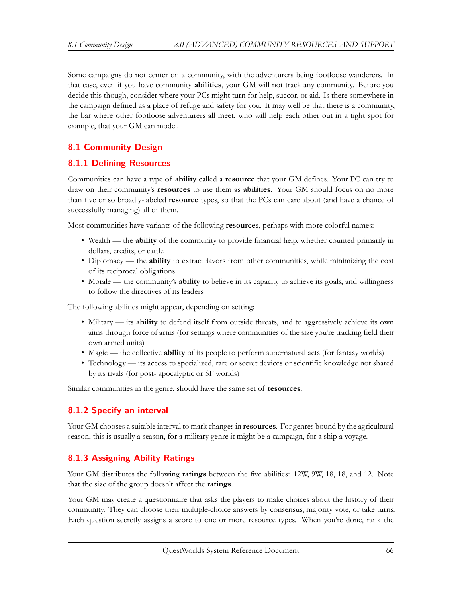Some campaigns do not center on a community, with the adventurers being footloose wanderers. In that case, even if you have community **abilities**, your GM will not track any community. Before you decide this though, consider where your PCs might turn for help, succor, or aid. Is there somewhere in the campaign defined as a place of refuge and safety for you. It may well be that there is a community, the bar where other footloose adventurers all meet, who will help each other out in a tight spot for example, that your GM can model.

# **8.1 Community Design**

### **8.1.1 Defining Resources**

Communities can have a type of **ability** called a **resource** that your GM defines. Your PC can try to draw on their community's **resources** to use them as **abilities**. Your GM should focus on no more than five or so broadly-labeled **resource** types, so that the PCs can care about (and have a chance of successfully managing) all of them.

Most communities have variants of the following **resources**, perhaps with more colorful names:

- Wealth the **ability** of the community to provide financial help, whether counted primarily in dollars, credits, or cattle
- Diplomacy the **ability** to extract favors from other communities, while minimizing the cost of its reciprocal obligations
- Morale the community's **ability** to believe in its capacity to achieve its goals, and willingness to follow the directives of its leaders

The following abilities might appear, depending on setting:

- Military its **ability** to defend itself from outside threats, and to aggressively achieve its own aims through force of arms (for settings where communities of the size you're tracking field their own armed units)
- Magic the collective **ability** of its people to perform supernatural acts (for fantasy worlds)
- Technology its access to specialized, rare or secret devices or scientific knowledge not shared by its rivals (for post- apocalyptic or SF worlds)

Similar communities in the genre, should have the same set of **resources**.

# **8.1.2 Specify an interval**

Your GM chooses a suitable interval to mark changes in **resources**. For genres bound by the agricultural season, this is usually a season, for a military genre it might be a campaign, for a ship a voyage.

# **8.1.3 Assigning Ability Ratings**

Your GM distributes the following **ratings** between the five abilities: 12W, 9W, 18, 18, and 12. Note that the size of the group doesn't affect the **ratings**.

Your GM may create a questionnaire that asks the players to make choices about the history of their community. They can choose their multiple-choice answers by consensus, majority vote, or take turns. Each question secretly assigns a score to one or more resource types. When you're done, rank the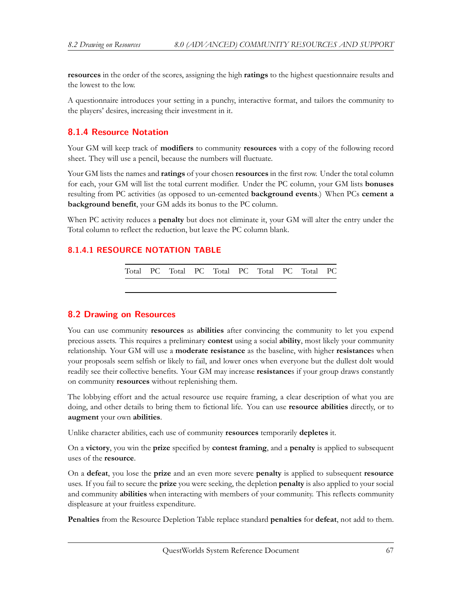**resources** in the order of the scores, assigning the high **ratings** to the highest questionnaire results and the lowest to the low.

A questionnaire introduces your setting in a punchy, interactive format, and tailors the community to the players' desires, increasing their investment in it.

### **8.1.4 Resource Notation**

Your GM will keep track of **modifiers** to community **resources** with a copy of the following record sheet. They will use a pencil, because the numbers will fluctuate.

Your GM lists the names and **ratings** of your chosen **resources** in the first row. Under the total column for each, your GM will list the total current modifier. Under the PC column, your GM lists **bonuses** resulting from PC activities (as opposed to un-cemented **background events**.) When PCs **cement a background benefit**, your GM adds its bonus to the PC column.

When PC activity reduces a **penalty** but does not eliminate it, your GM will alter the entry under the Total column to reflect the reduction, but leave the PC column blank.

#### **8.1.4.1 RESOURCE NOTATION TABLE**

Total PC Total PC Total PC Total PC Total PC

#### **8.2 Drawing on Resources**

You can use community **resources** as **abilities** after convincing the community to let you expend precious assets. This requires a preliminary **contest** using a social **ability**, most likely your community relationship. Your GM will use a **moderate resistance** as the baseline, with higher **resistance**s when your proposals seem selfish or likely to fail, and lower ones when everyone but the dullest dolt would readily see their collective benefits. Your GM may increase **resistance**s if your group draws constantly on community **resources** without replenishing them.

The lobbying effort and the actual resource use require framing, a clear description of what you are doing, and other details to bring them to fictional life. You can use **resource abilities** directly, or to **augment** your own **abilities**.

Unlike character abilities, each use of community **resources** temporarily **depletes** it.

On a **victory**, you win the **prize** specified by **contest framing**, and a **penalty** is applied to subsequent uses of the **resource**.

On a **defeat**, you lose the **prize** and an even more severe **penalty** is applied to subsequent **resource** uses. If you fail to secure the **prize** you were seeking, the depletion **penalty** is also applied to your social and community **abilities** when interacting with members of your community. This reflects community displeasure at your fruitless expenditure.

**Penalties** from the Resource Depletion Table replace standard **penalties** for **defeat**, not add to them.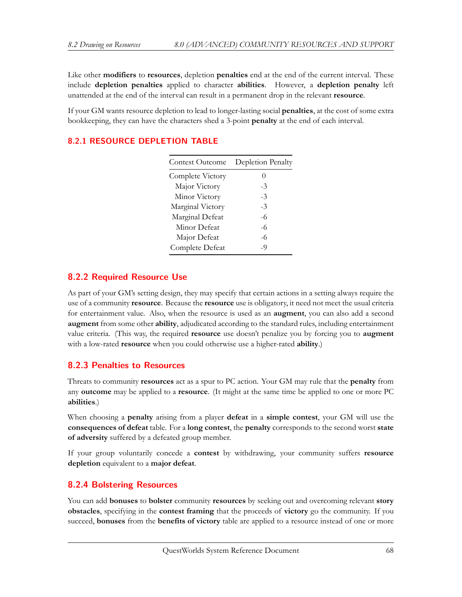Like other **modifiers** to **resources**, depletion **penalties** end at the end of the current interval. These include **depletion penalties** applied to character **abilities**. However, a **depletion penalty** left unattended at the end of the interval can result in a permanent drop in the relevant **resource**.

If your GM wants resource depletion to lead to longer-lasting social **penalties**, at the cost of some extra bookkeeping, they can have the characters shed a 3-point **penalty** at the end of each interval.

| Contest Outcome  | Depletion Penalty |
|------------------|-------------------|
| Complete Victory |                   |
| Major Victory    | -3                |
| Minor Victory    | -3                |
| Marginal Victory | -3                |
| Marginal Defeat  | -6                |
| Minor Defeat     | -6                |
| Major Defeat     | $-6$              |
| Complete Defeat  | -9                |

# **8.2.1 RESOURCE DEPLETION TABLE**

# **8.2.2 Required Resource Use**

As part of your GM's setting design, they may specify that certain actions in a setting always require the use of a community **resource**. Because the **resource** use is obligatory, it need not meet the usual criteria for entertainment value. Also, when the resource is used as an **augment**, you can also add a second **augment** from some other **ability**, adjudicated according to the standard rules, including entertainment value criteria. (This way, the required **resource** use doesn't penalize you by forcing you to **augment** with a low-rated **resource** when you could otherwise use a higher-rated **ability**.)

# **8.2.3 Penalties to Resources**

Threats to community **resources** act as a spur to PC action. Your GM may rule that the **penalty** from any **outcome** may be applied to a **resource**. (It might at the same time be applied to one or more PC **abilities**.)

When choosing a **penalty** arising from a player **defeat** in a **simple contest**, your GM will use the **consequences of defeat** table. For a **long contest**, the **penalty** corresponds to the second worst **state of adversity** suffered by a defeated group member.

If your group voluntarily concede a **contest** by withdrawing, your community suffers **resource depletion** equivalent to a **major defeat**.

# **8.2.4 Bolstering Resources**

You can add **bonuses** to **bolster** community **resources** by seeking out and overcoming relevant **story obstacles**, specifying in the **contest framing** that the proceeds of **victory** go the community. If you succeed, **bonuses** from the **benefits of victory** table are applied to a resource instead of one or more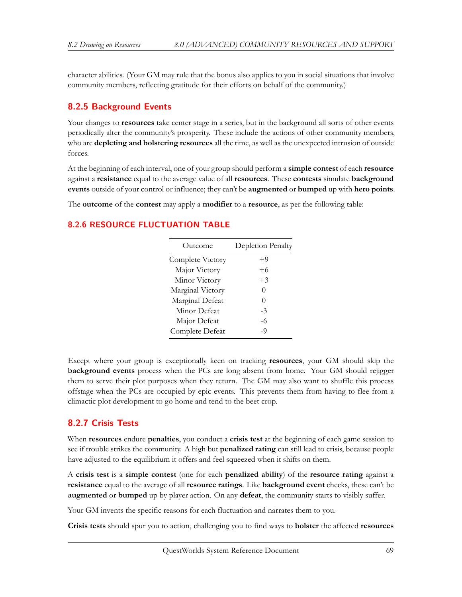character abilities. (Your GM may rule that the bonus also applies to you in social situations that involve community members, reflecting gratitude for their efforts on behalf of the community.)

# **8.2.5 Background Events**

Your changes to **resources** take center stage in a series, but in the background all sorts of other events periodically alter the community's prosperity. These include the actions of other community members, who are **depleting and bolstering resources** all the time, as well as the unexpected intrusion of outside forces.

At the beginning of each interval, one of your group should perform a **simple contest** of each **resource** against a **resistance** equal to the average value of all **resources**. These **contests** simulate **background events** outside of your control or influence; they can't be **augmented** or **bumped** up with **hero points**.

The **outcome** of the **contest** may apply a **modifier** to a **resource**, as per the following table:

### **8.2.6 RESOURCE FLUCTUATION TABLE**

| Outcome          | Depletion Penalty |
|------------------|-------------------|
| Complete Victory | +9                |
| Major Victory    | $+6$              |
| Minor Victory    | $+3$              |
| Marginal Victory | 0                 |
| Marginal Defeat  | 0                 |
| Minor Defeat     | -3                |
| Major Defeat     | -6                |
| Complete Defeat  | -9                |

Except where your group is exceptionally keen on tracking **resources**, your GM should skip the **background events** process when the PCs are long absent from home. Your GM should rejigger them to serve their plot purposes when they return. The GM may also want to shuffle this process offstage when the PCs are occupied by epic events. This prevents them from having to flee from a climactic plot development to go home and tend to the beet crop.

# **8.2.7 Crisis Tests**

When **resources** endure **penalties**, you conduct a **crisis test** at the beginning of each game session to see if trouble strikes the community. A high but **penalized rating** can still lead to crisis, because people have adjusted to the equilibrium it offers and feel squeezed when it shifts on them.

A **crisis test** is a **simple contest** (one for each **penalized ability**) of the **resource rating** against a **resistance** equal to the average of all **resource ratings**. Like **background event** checks, these can't be **augmented** or **bumped** up by player action. On any **defeat**, the community starts to visibly suffer.

Your GM invents the specific reasons for each fluctuation and narrates them to you.

**Crisis tests** should spur you to action, challenging you to find ways to **bolster** the affected **resources**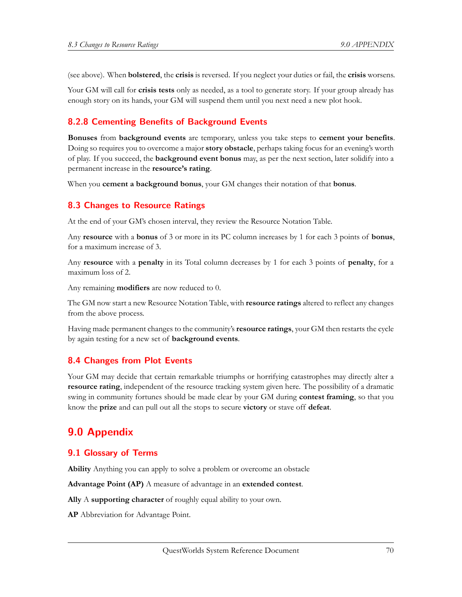(see above). When **bolstered**, the **crisis** is reversed. If you neglect your duties or fail, the **crisis** worsens.

Your GM will call for **crisis tests** only as needed, as a tool to generate story. If your group already has enough story on its hands, your GM will suspend them until you next need a new plot hook.

# **8.2.8 Cementing Benefits of Background Events**

**Bonuses** from **background events** are temporary, unless you take steps to **cement your benefits**. Doing so requires you to overcome a major **story obstacle**, perhaps taking focus for an evening's worth of play. If you succeed, the **background event bonus** may, as per the next section, later solidify into a permanent increase in the **resource's rating**.

When you **cement a background bonus**, your GM changes their notation of that **bonus**.

# **8.3 Changes to Resource Ratings**

At the end of your GM's chosen interval, they review the Resource Notation Table.

Any **resource** with a **bonus** of 3 or more in its PC column increases by 1 for each 3 points of **bonus**, for a maximum increase of 3.

Any **resource** with a **penalty** in its Total column decreases by 1 for each 3 points of **penalty**, for a maximum loss of 2.

Any remaining **modifiers** are now reduced to 0.

The GM now start a new Resource Notation Table, with **resource ratings** altered to reflect any changes from the above process.

Having made permanent changes to the community's **resource ratings**, your GM then restarts the cycle by again testing for a new set of **background events**.

# **8.4 Changes from Plot Events**

Your GM may decide that certain remarkable triumphs or horrifying catastrophes may directly alter a **resource rating**, independent of the resource tracking system given here. The possibility of a dramatic swing in community fortunes should be made clear by your GM during **contest framing**, so that you know the **prize** and can pull out all the stops to secure **victory** or stave off **defeat**.

# **9.0 Appendix**

# **9.1 Glossary of Terms**

**Ability** Anything you can apply to solve a problem or overcome an obstacle

**Advantage Point (AP)** A measure of advantage in an **extended contest**.

**Ally** A **supporting character** of roughly equal ability to your own.

**AP** Abbreviation for Advantage Point.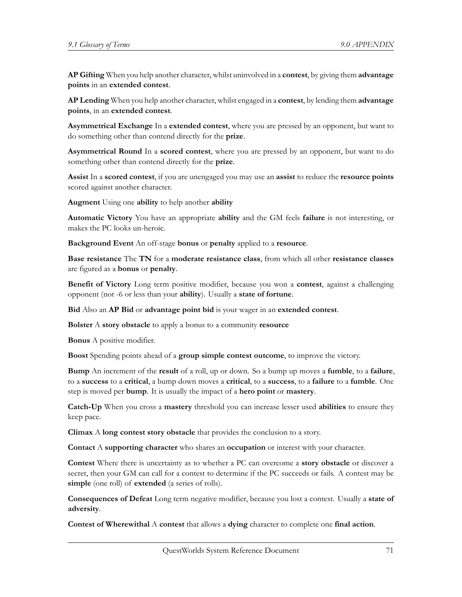**AP Gifting** When you help another character, whilst uninvolved in a **contest**, by giving them **advantage points** in an **extended contest**.

**AP Lending** When you help another character, whilst engaged in a **contest**, by lending them **advantage points**, in an **extended contest**.

**Asymmetrical Exchange** In a **extended contest**, where you are pressed by an opponent, but want to do something other than contend directly for the **prize**.

**Asymmetrical Round** In a **scored contest**, where you are pressed by an opponent, but want to do something other than contend directly for the **prize**.

**Assist** In a **scored contest**, if you are unengaged you may use an **assist** to reduce the **resource points** scored against another character.

**Augment** Using one **ability** to help another **ability**

**Automatic Victory** You have an appropriate **ability** and the GM feels **failure** is not interesting, or makes the PC looks un-heroic.

**Background Event** An off-stage **bonus** or **penalty** applied to a **resource**.

**Base resistance** The **TN** for a **moderate resistance class**, from which all other **resistance classes** are figured as a **bonus** or **penalty**.

**Benefit of Victory** Long term positive modifier, because you won a **contest**, against a challenging opponent (not -6 or less than your **ability**). Usually a **state of fortune**.

**Bid** Also an **AP Bid** or **advantage point bid** is your wager in an **extended contest**.

**Bolster** A **story obstacle** to apply a bonus to a community **resource**

**Bonus** A positive modifier.

**Boost** Spending points ahead of a **group simple contest outcome**, to improve the victory.

**Bump** An increment of the **result** of a roll, up or down. So a bump up moves a **fumble**, to a **failure**, to a **success** to a **critical**, a bump down moves a **critical**, to a **success**, to a **failure** to a **fumble**. One step is moved per **bump**. It is usually the impact of a **hero point** or **mastery**.

**Catch-Up** When you cross a **mastery** threshold you can increase lesser used **abilities** to ensure they keep pace.

**Climax** A **long contest story obstacle** that provides the conclusion to a story.

**Contact** A **supporting character** who shares an **occupation** or interest with your character.

**Contest** Where there is uncertainty as to whether a PC can overcome a **story obstacle** or discover a secret, then your GM can call for a contest to determine if the PC succeeds or fails. A contest may be **simple** (one roll) of **extended** (a series of rolls).

**Consequences of Defeat** Long term negative modifier, because you lost a contest. Usually a **state of adversity**.

**Contest of Wherewithal** A **contest** that allows a **dying** character to complete one **final action**.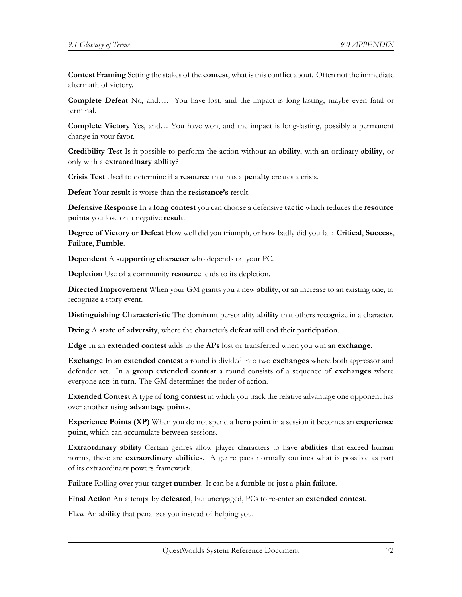**Contest Framing** Setting the stakes of the **contest**, what is this conflict about. Often not the immediate aftermath of victory.

**Complete Defeat** No, and…. You have lost, and the impact is long-lasting, maybe even fatal or terminal.

**Complete Victory** Yes, and… You have won, and the impact is long-lasting, possibly a permanent change in your favor.

**Credibility Test** Is it possible to perform the action without an **ability**, with an ordinary **ability**, or only with a **extraordinary ability**?

**Crisis Test** Used to determine if a **resource** that has a **penalty** creates a crisis.

**Defeat** Your **result** is worse than the **resistance's** result.

**Defensive Response** In a **long contest** you can choose a defensive **tactic** which reduces the **resource points** you lose on a negative **result**.

**Degree of Victory or Defeat** How well did you triumph, or how badly did you fail: **Critical**, **Success**, **Failure**, **Fumble**.

**Dependent** A **supporting character** who depends on your PC.

**Depletion** Use of a community **resource** leads to its depletion.

**Directed Improvement** When your GM grants you a new **ability**, or an increase to an existing one, to recognize a story event.

**Distinguishing Characteristic** The dominant personality **ability** that others recognize in a character.

**Dying** A **state of adversity**, where the character's **defeat** will end their participation.

**Edge** In an **extended contest** adds to the **APs** lost or transferred when you win an **exchange**.

**Exchange** In an **extended contest** a round is divided into two **exchanges** where both aggressor and defender act. In a **group extended contest** a round consists of a sequence of **exchanges** where everyone acts in turn. The GM determines the order of action.

**Extended Contest** A type of **long contest** in which you track the relative advantage one opponent has over another using **advantage points**.

**Experience Points (XP)** When you do not spend a **hero point** in a session it becomes an **experience point**, which can accumulate between sessions.

**Extraordinary ability** Certain genres allow player characters to have **abilities** that exceed human norms, these are **extraordinary abilities**. A genre pack normally outlines what is possible as part of its extraordinary powers framework.

**Failure** Rolling over your **target number**. It can be a **fumble** or just a plain **failure**.

**Final Action** An attempt by **defeated**, but unengaged, PCs to re-enter an **extended contest**.

**Flaw** An **ability** that penalizes you instead of helping you.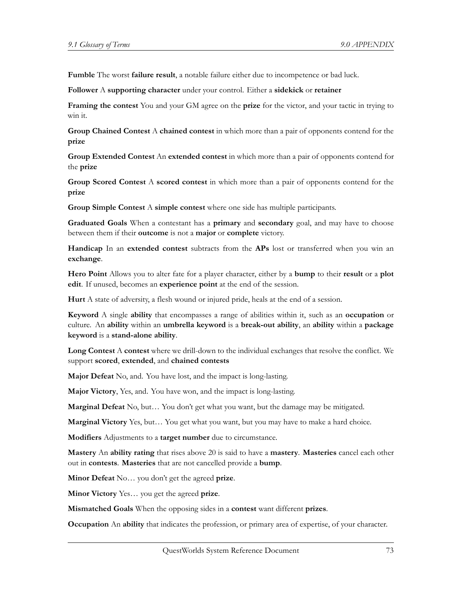**Fumble** The worst **failure result**, a notable failure either due to incompetence or bad luck.

**Follower** A **supporting character** under your control. Either a **sidekick** or **retainer**

**Framing the contest** You and your GM agree on the **prize** for the victor, and your tactic in trying to win it.

**Group Chained Contest** A **chained contest** in which more than a pair of opponents contend for the **prize**

**Group Extended Contest** An **extended contest** in which more than a pair of opponents contend for the **prize**

**Group Scored Contest** A **scored contest** in which more than a pair of opponents contend for the **prize**

**Group Simple Contest** A **simple contest** where one side has multiple participants.

**Graduated Goals** When a contestant has a **primary** and **secondary** goal, and may have to choose between them if their **outcome** is not a **major** or **complete** victory.

**Handicap** In an **extended contest** subtracts from the **APs** lost or transferred when you win an **exchange**.

**Hero Point** Allows you to alter fate for a player character, either by a **bump** to their **result** or a **plot edit**. If unused, becomes an **experience point** at the end of the session.

**Hurt** A state of adversity, a flesh wound or injured pride, heals at the end of a session.

**Keyword** A single **ability** that encompasses a range of abilities within it, such as an **occupation** or culture. An **ability** within an **umbrella keyword** is a **break-out ability**, an **ability** within a **package keyword** is a **stand-alone ability**.

**Long Contest** A **contest** where we drill-down to the individual exchanges that resolve the conflict. We support **scored**, **extended**, and **chained contests**

**Major Defeat** No, and. You have lost, and the impact is long-lasting.

**Major Victory**, Yes, and. You have won, and the impact is long-lasting.

**Marginal Defeat** No, but… You don't get what you want, but the damage may be mitigated.

**Marginal Victory** Yes, but… You get what you want, but you may have to make a hard choice.

**Modifiers** Adjustments to a **target number** due to circumstance.

**Mastery** An **ability rating** that rises above 20 is said to have a **mastery**. **Masteries** cancel each other out in **contests**. **Masteries** that are not cancelled provide a **bump**.

**Minor Defeat** No… you don't get the agreed **prize**.

**Minor Victory** Yes… you get the agreed **prize**.

**Mismatched Goals** When the opposing sides in a **contest** want different **prizes**.

**Occupation** An **ability** that indicates the profession, or primary area of expertise, of your character.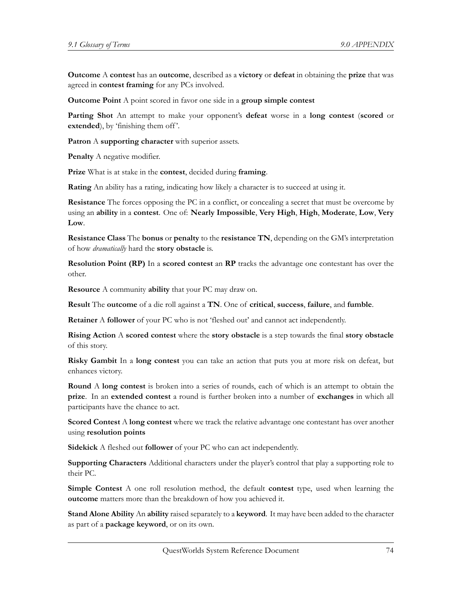**Outcome** A **contest** has an **outcome**, described as a **victory** or **defeat** in obtaining the **prize** that was agreed in **contest framing** for any PCs involved.

**Outcome Point** A point scored in favor one side in a **group simple contest**

**Parting Shot** An attempt to make your opponent's **defeat** worse in a **long contest** (**scored** or extended), by 'finishing them off'.

**Patron** A **supporting character** with superior assets.

**Penalty** A negative modifier.

**Prize** What is at stake in the **contest**, decided during **framing**.

**Rating** An ability has a rating, indicating how likely a character is to succeed at using it.

**Resistance** The forces opposing the PC in a conflict, or concealing a secret that must be overcome by using an **ability** in a **contest**. One of: **Nearly Impossible**, **Very High**, **High**, **Moderate**, **Low**, **Very Low**.

**Resistance Class** The **bonus** or **penalty** to the **resistance TN**, depending on the GM's interpretation of how *dramatically* hard the **story obstacle** is.

**Resolution Point (RP)** In a **scored contest** an **RP** tracks the advantage one contestant has over the other.

**Resource** A community **ability** that your PC may draw on.

**Result** The **outcome** of a die roll against a **TN**. One of **critical**, **success**, **failure**, and **fumble**.

**Retainer** A **follower** of your PC who is not 'fleshed out' and cannot act independently.

**Rising Action** A **scored contest** where the **story obstacle** is a step towards the final **story obstacle** of this story.

**Risky Gambit** In a **long contest** you can take an action that puts you at more risk on defeat, but enhances victory.

**Round** A **long contest** is broken into a series of rounds, each of which is an attempt to obtain the **prize**. In an **extended contest** a round is further broken into a number of **exchanges** in which all participants have the chance to act.

**Scored Contest** A **long contest** where we track the relative advantage one contestant has over another using **resolution points**

**Sidekick** A fleshed out **follower** of your PC who can act independently.

**Supporting Characters** Additional characters under the player's control that play a supporting role to their PC.

**Simple Contest** A one roll resolution method, the default **contest** type, used when learning the **outcome** matters more than the breakdown of how you achieved it.

**Stand Alone Ability** An **ability** raised separately to a **keyword**. It may have been added to the character as part of a **package keyword**, or on its own.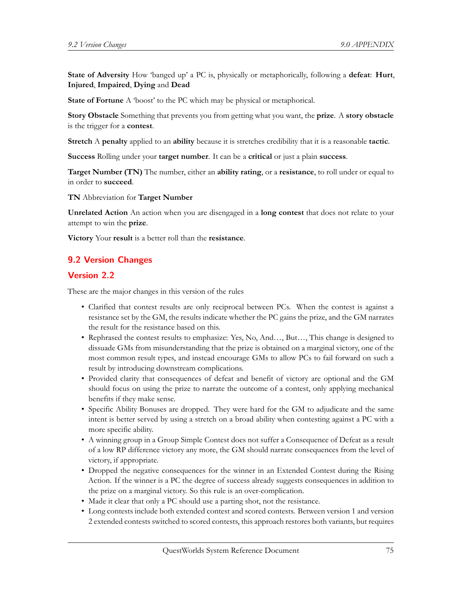**State of Adversity** How 'banged up' a PC is, physically or metaphorically, following a **defeat**: **Hurt**, **Injured**, **Impaired**, **Dying** and **Dead**

**State of Fortune** A 'boost' to the PC which may be physical or metaphorical.

**Story Obstacle** Something that prevents you from getting what you want, the **prize**. A **story obstacle** is the trigger for a **contest**.

**Stretch** A **penalty** applied to an **ability** because it is stretches credibility that it is a reasonable **tactic**.

**Success** Rolling under your **target number**. It can be a **critical** or just a plain **success**.

**Target Number (TN)** The number, either an **ability rating**, or a **resistance**, to roll under or equal to in order to **succeed**.

**TN** Abbreviation for **Target Number**

**Unrelated Action** An action when you are disengaged in a **long contest** that does not relate to your attempt to win the **prize**.

**Victory** Your **result** is a better roll than the **resistance**.

## **9.2 Version Changes**

## **Version 2.2**

These are the major changes in this version of the rules

- Clarified that contest results are only reciprocal between PCs. When the contest is against a resistance set by the GM, the results indicate whether the PC gains the prize, and the GM narrates the result for the resistance based on this.
- Rephrased the contest results to emphasize: Yes, No, And..., But..., This change is designed to dissuade GMs from misunderstanding that the prize is obtained on a marginal victory, one of the most common result types, and instead encourage GMs to allow PCs to fail forward on such a result by introducing downstream complications.
- Provided clarity that consequences of defeat and benefit of victory are optional and the GM should focus on using the prize to narrate the outcome of a contest, only applying mechanical benefits if they make sense.
- Specific Ability Bonuses are dropped. They were hard for the GM to adjudicate and the same intent is better served by using a stretch on a broad ability when contesting against a PC with a more specific ability.
- A winning group in a Group Simple Contest does not suffer a Consequence of Defeat as a result of a low RP difference victory any more, the GM should narrate consequences from the level of victory, if appropriate.
- Dropped the negative consequences for the winner in an Extended Contest during the Rising Action. If the winner is a PC the degree of success already suggests consequences in addition to the prize on a marginal victory. So this rule is an over-complication.
- Made it clear that only a PC should use a parting shot, not the resistance.
- Long contests include both extended contest and scored contests. Between version 1 and version 2 extended contests switched to scored contests, this approach restores both variants, but requires